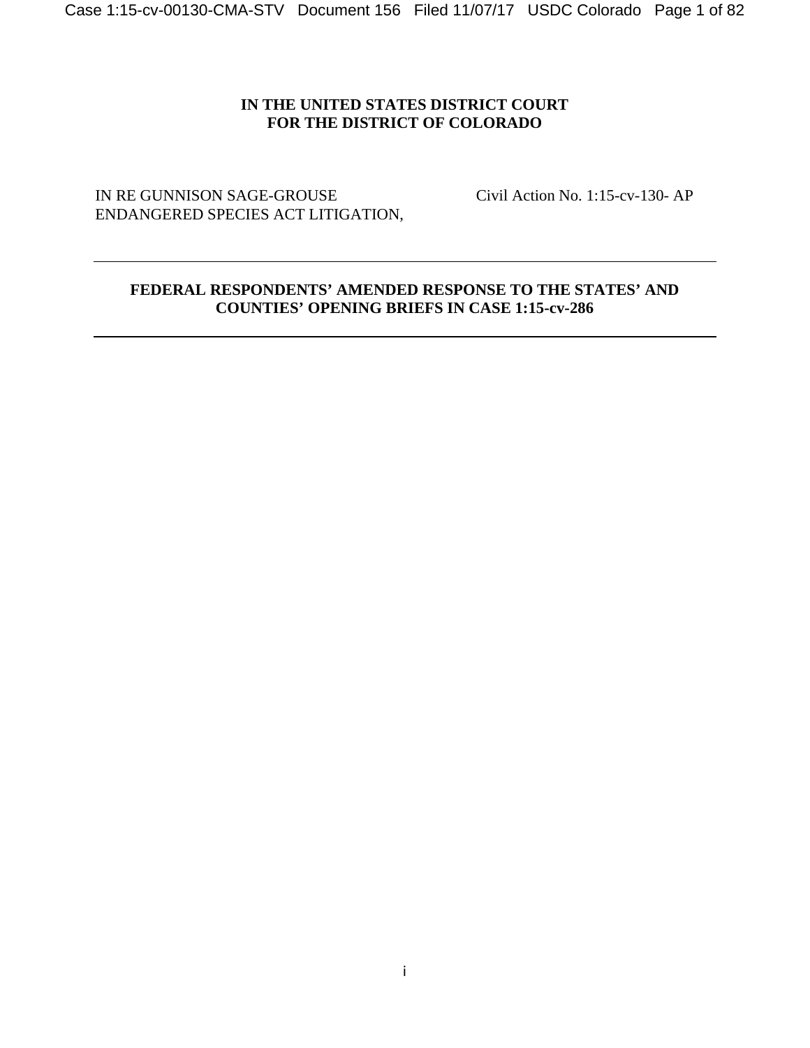# **IN THE UNITED STATES DISTRICT COURT FOR THE DISTRICT OF COLORADO**

IN RE GUNNISON SAGE-GROUSE Civil Action No. 1:15-cv-130- AP ENDANGERED SPECIES ACT LITIGATION,

# **FEDERAL RESPONDENTS' AMENDED RESPONSE TO THE STATES' AND COUNTIES' OPENING BRIEFS IN CASE 1:15-cv-286**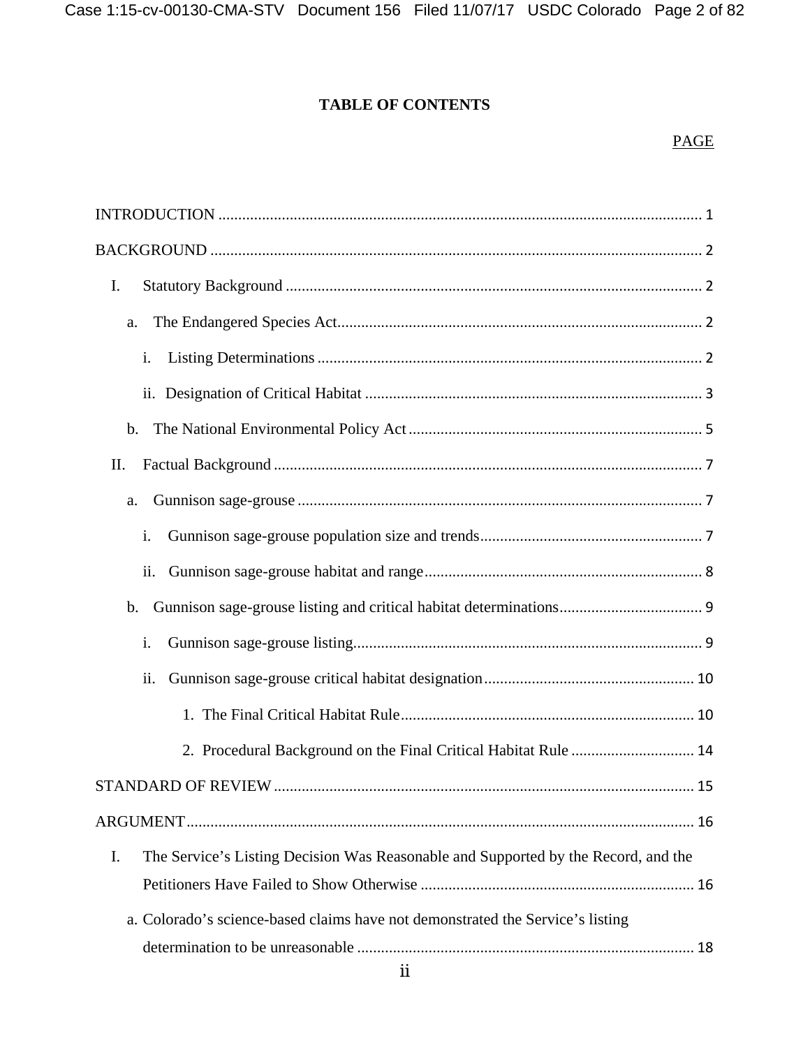# **TABLE OF CONTENTS**

# PAGE

| I.                                                                                       |
|------------------------------------------------------------------------------------------|
| a.                                                                                       |
| i.                                                                                       |
|                                                                                          |
|                                                                                          |
| II.                                                                                      |
| a.                                                                                       |
| i.                                                                                       |
| ii.                                                                                      |
| $\mathbf b$ .                                                                            |
| i.                                                                                       |
| ii.                                                                                      |
|                                                                                          |
| 2. Procedural Background on the Final Critical Habitat Rule  14                          |
|                                                                                          |
|                                                                                          |
| I.<br>The Service's Listing Decision Was Reasonable and Supported by the Record, and the |
|                                                                                          |
| a. Colorado's science-based claims have not demonstrated the Service's listing           |
|                                                                                          |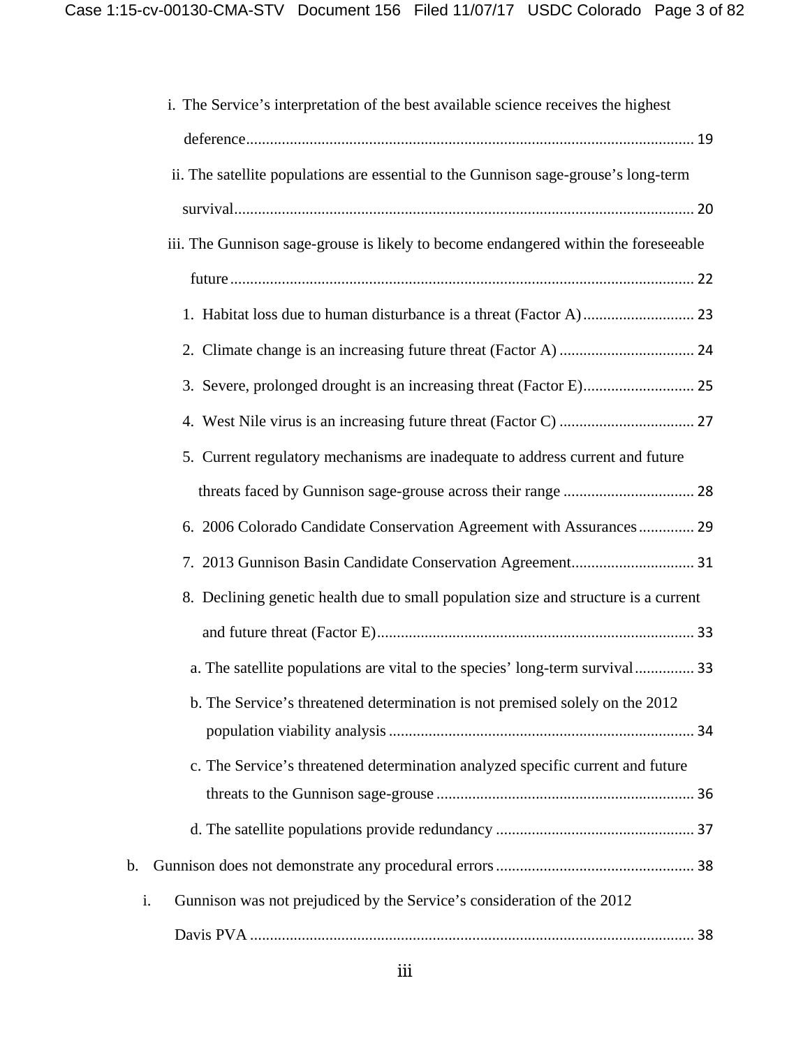| i. The Service's interpretation of the best available science receives the highest  |
|-------------------------------------------------------------------------------------|
|                                                                                     |
| ii. The satellite populations are essential to the Gunnison sage-grouse's long-term |
|                                                                                     |
| iii. The Gunnison sage-grouse is likely to become endangered within the foreseeable |
|                                                                                     |
|                                                                                     |
|                                                                                     |
|                                                                                     |
|                                                                                     |
| 5. Current regulatory mechanisms are inadequate to address current and future       |
|                                                                                     |
| 6. 2006 Colorado Candidate Conservation Agreement with Assurances 29                |
|                                                                                     |
| 8. Declining genetic health due to small population size and structure is a current |
|                                                                                     |
| a. The satellite populations are vital to the species' long-term survival 33        |
| b. The Service's threatened determination is not premised solely on the 2012        |
|                                                                                     |
| c. The Service's threatened determination analyzed specific current and future      |
|                                                                                     |
|                                                                                     |
| b.                                                                                  |
| Gunnison was not prejudiced by the Service's consideration of the 2012<br>i.        |
|                                                                                     |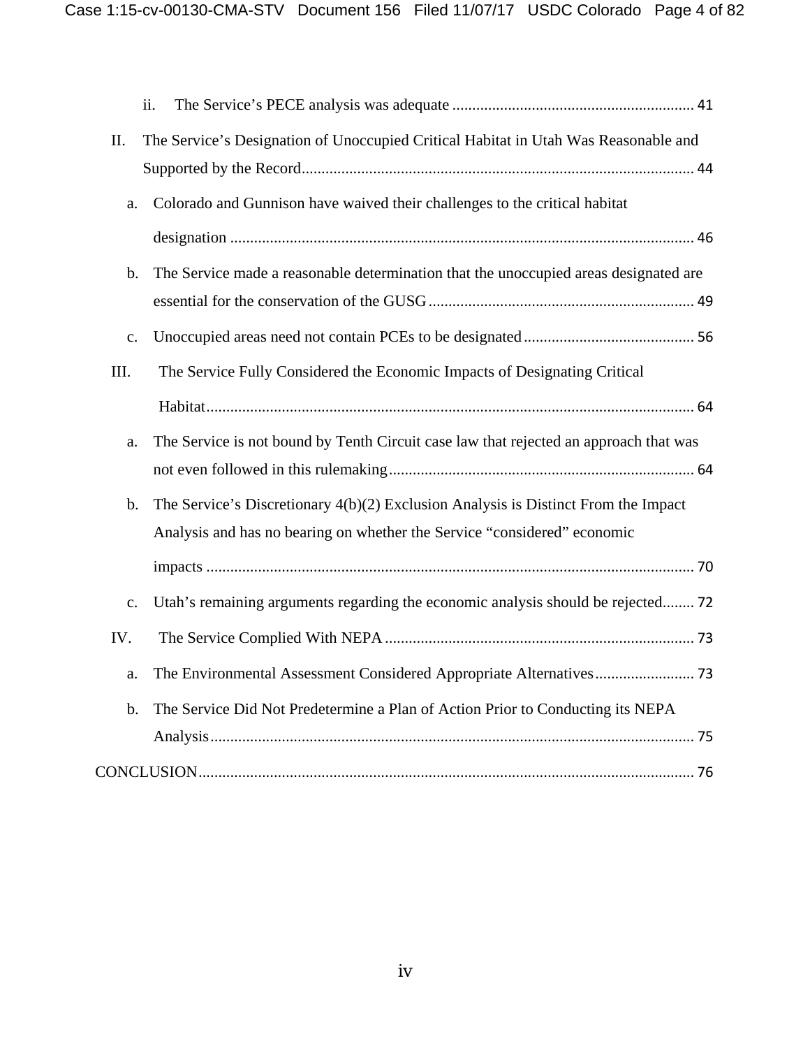|                | ii.                                                                                   |
|----------------|---------------------------------------------------------------------------------------|
| II.            | The Service's Designation of Unoccupied Critical Habitat in Utah Was Reasonable and   |
|                |                                                                                       |
| a.             | Colorado and Gunnison have waived their challenges to the critical habitat            |
|                |                                                                                       |
| $\mathbf b$ .  | The Service made a reasonable determination that the unoccupied areas designated are  |
|                |                                                                                       |
| $\mathbf{c}$ . |                                                                                       |
| III.           | The Service Fully Considered the Economic Impacts of Designating Critical             |
|                |                                                                                       |
| a.             | The Service is not bound by Tenth Circuit case law that rejected an approach that was |
|                |                                                                                       |
| $b$ .          | The Service's Discretionary $4(b)(2)$ Exclusion Analysis is Distinct From the Impact  |
|                | Analysis and has no bearing on whether the Service "considered" economic              |
|                |                                                                                       |
| c.             | Utah's remaining arguments regarding the economic analysis should be rejected 72      |
| IV.            |                                                                                       |
| a.             |                                                                                       |
| $b$ .          | The Service Did Not Predetermine a Plan of Action Prior to Conducting its NEPA        |
|                |                                                                                       |
|                |                                                                                       |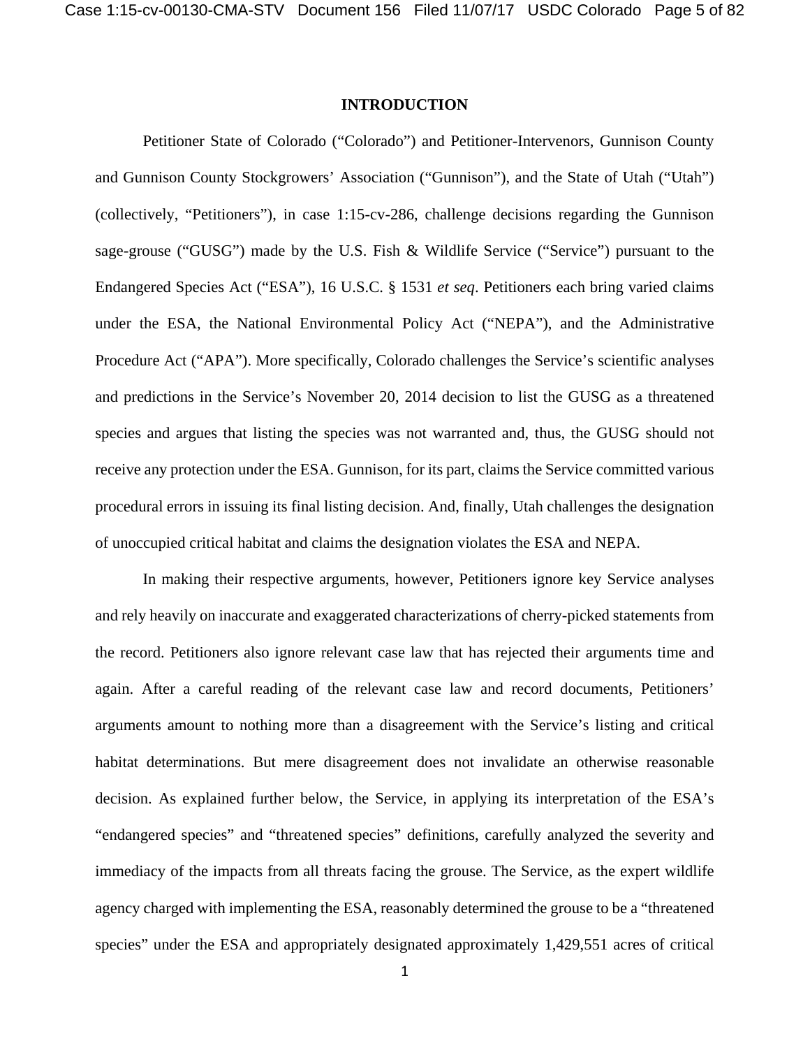#### **INTRODUCTION**

Petitioner State of Colorado ("Colorado") and Petitioner-Intervenors, Gunnison County and Gunnison County Stockgrowers' Association ("Gunnison"), and the State of Utah ("Utah") (collectively, "Petitioners"), in case 1:15-cv-286, challenge decisions regarding the Gunnison sage-grouse ("GUSG") made by the U.S. Fish & Wildlife Service ("Service") pursuant to the Endangered Species Act ("ESA"), 16 U.S.C. § 1531 *et seq*. Petitioners each bring varied claims under the ESA, the National Environmental Policy Act ("NEPA"), and the Administrative Procedure Act ("APA"). More specifically, Colorado challenges the Service's scientific analyses and predictions in the Service's November 20, 2014 decision to list the GUSG as a threatened species and argues that listing the species was not warranted and, thus, the GUSG should not receive any protection under the ESA. Gunnison, for its part, claims the Service committed various procedural errors in issuing its final listing decision. And, finally, Utah challenges the designation of unoccupied critical habitat and claims the designation violates the ESA and NEPA.

In making their respective arguments, however, Petitioners ignore key Service analyses and rely heavily on inaccurate and exaggerated characterizations of cherry-picked statements from the record. Petitioners also ignore relevant case law that has rejected their arguments time and again. After a careful reading of the relevant case law and record documents, Petitioners' arguments amount to nothing more than a disagreement with the Service's listing and critical habitat determinations. But mere disagreement does not invalidate an otherwise reasonable decision. As explained further below, the Service, in applying its interpretation of the ESA's "endangered species" and "threatened species" definitions, carefully analyzed the severity and immediacy of the impacts from all threats facing the grouse. The Service, as the expert wildlife agency charged with implementing the ESA, reasonably determined the grouse to be a "threatened species" under the ESA and appropriately designated approximately 1,429,551 acres of critical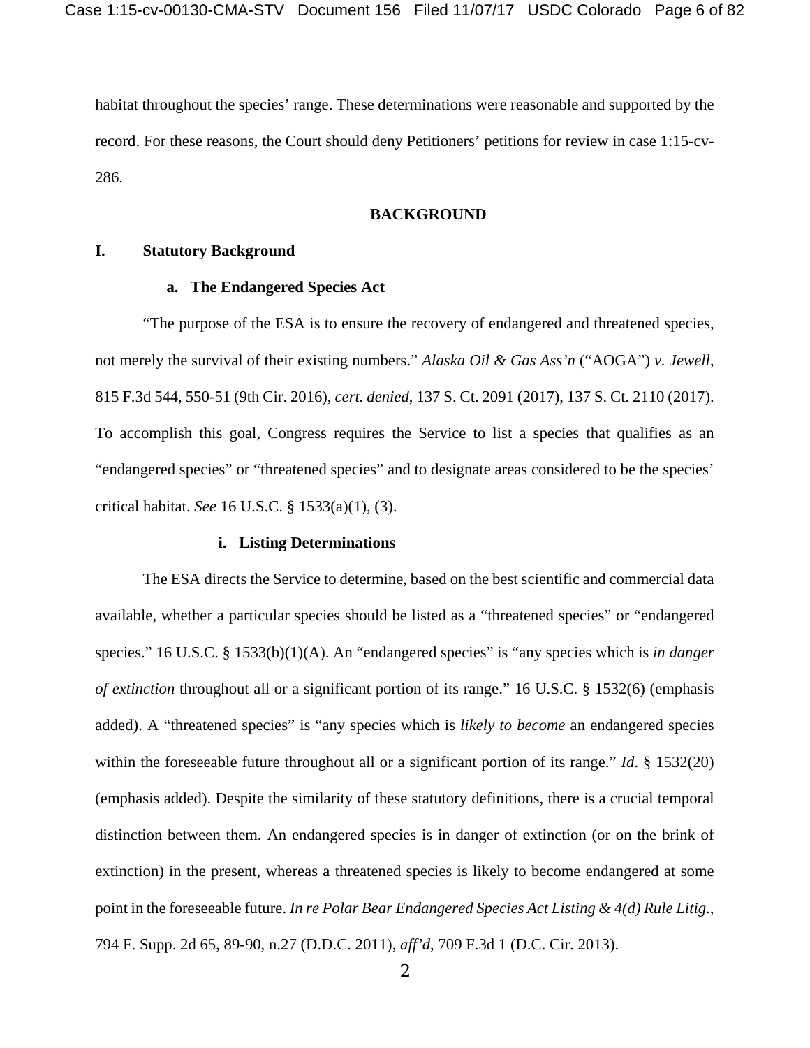habitat throughout the species' range. These determinations were reasonable and supported by the record. For these reasons, the Court should deny Petitioners' petitions for review in case 1:15-cv-286.

## **BACKGROUND**

## **I. Statutory Background**

#### **a. The Endangered Species Act**

"The purpose of the ESA is to ensure the recovery of endangered and threatened species, not merely the survival of their existing numbers." *Alaska Oil & Gas Ass'n* ("AOGA") *v. Jewell*, 815 F.3d 544, 550-51 (9th Cir. 2016), *cert. denied*, 137 S. Ct. 2091 (2017), 137 S. Ct. 2110 (2017). To accomplish this goal, Congress requires the Service to list a species that qualifies as an "endangered species" or "threatened species" and to designate areas considered to be the species' critical habitat. *See* 16 U.S.C. § 1533(a)(1), (3).

#### **i. Listing Determinations**

The ESA directs the Service to determine, based on the best scientific and commercial data available, whether a particular species should be listed as a "threatened species" or "endangered species." 16 U.S.C. § 1533(b)(1)(A). An "endangered species" is "any species which is *in danger of extinction* throughout all or a significant portion of its range." 16 U.S.C. § 1532(6) (emphasis added). A "threatened species" is "any species which is *likely to become* an endangered species within the foreseeable future throughout all or a significant portion of its range." *Id*. § 1532(20) (emphasis added). Despite the similarity of these statutory definitions, there is a crucial temporal distinction between them. An endangered species is in danger of extinction (or on the brink of extinction) in the present, whereas a threatened species is likely to become endangered at some point in the foreseeable future. *In re Polar Bear Endangered Species Act Listing & 4(d) Rule Litig*., 794 F. Supp. 2d 65, 89-90, n.27 (D.D.C. 2011), *aff'd*, 709 F.3d 1 (D.C. Cir. 2013).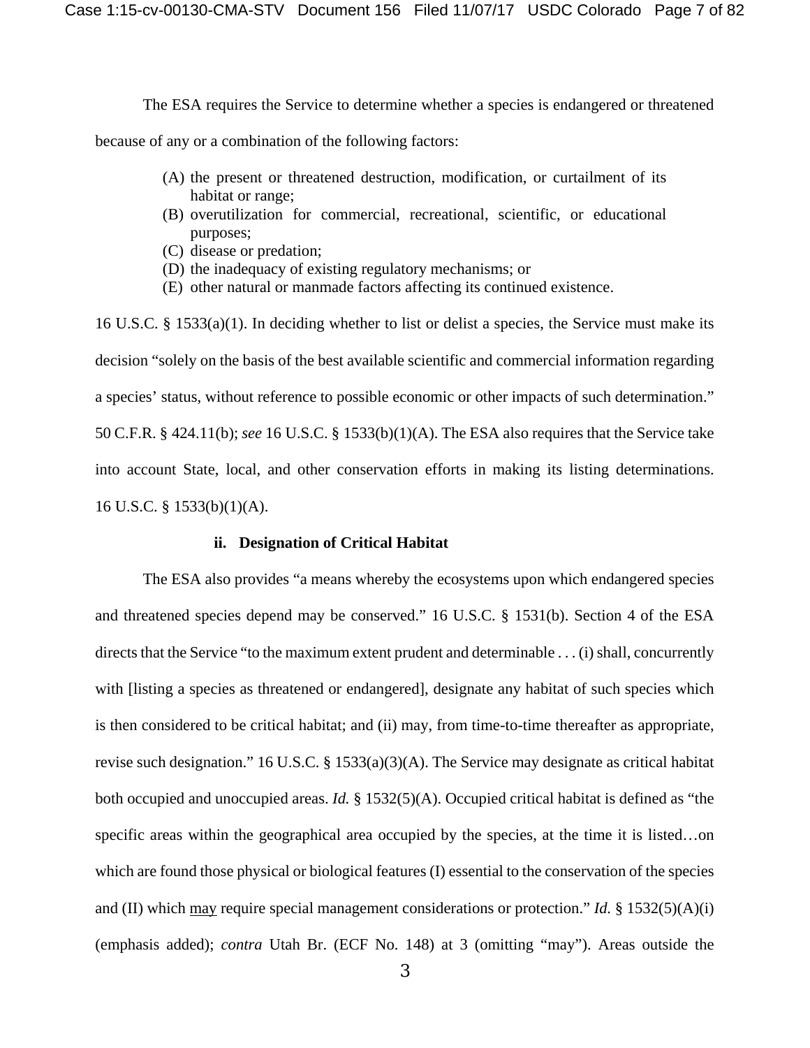The ESA requires the Service to determine whether a species is endangered or threatened

because of any or a combination of the following factors:

- (A) the present or threatened destruction, modification, or curtailment of its habitat or range;
- (B) overutilization for commercial, recreational, scientific, or educational purposes;
- (C) disease or predation;
- (D) the inadequacy of existing regulatory mechanisms; or
- (E) other natural or manmade factors affecting its continued existence.

16 U.S.C. § 1533(a)(1). In deciding whether to list or delist a species, the Service must make its decision "solely on the basis of the best available scientific and commercial information regarding a species' status, without reference to possible economic or other impacts of such determination." 50 C.F.R. § 424.11(b); *see* 16 U.S.C. § 1533(b)(1)(A). The ESA also requires that the Service take into account State, local, and other conservation efforts in making its listing determinations. 16 U.S.C. § 1533(b)(1)(A).

#### **ii. Designation of Critical Habitat**

The ESA also provides "a means whereby the ecosystems upon which endangered species and threatened species depend may be conserved." 16 U.S.C. § 1531(b). Section 4 of the ESA directs that the Service "to the maximum extent prudent and determinable . . . (i) shall, concurrently with [listing a species as threatened or endangered], designate any habitat of such species which is then considered to be critical habitat; and (ii) may, from time-to-time thereafter as appropriate, revise such designation." 16 U.S.C. § 1533(a)(3)(A). The Service may designate as critical habitat both occupied and unoccupied areas. *Id.* § 1532(5)(A). Occupied critical habitat is defined as "the specific areas within the geographical area occupied by the species, at the time it is listed...on which are found those physical or biological features (I) essential to the conservation of the species and (II) which may require special management considerations or protection." *Id.* § 1532(5)(A)(i) (emphasis added); *contra* Utah Br. (ECF No. 148) at 3 (omitting "may"). Areas outside the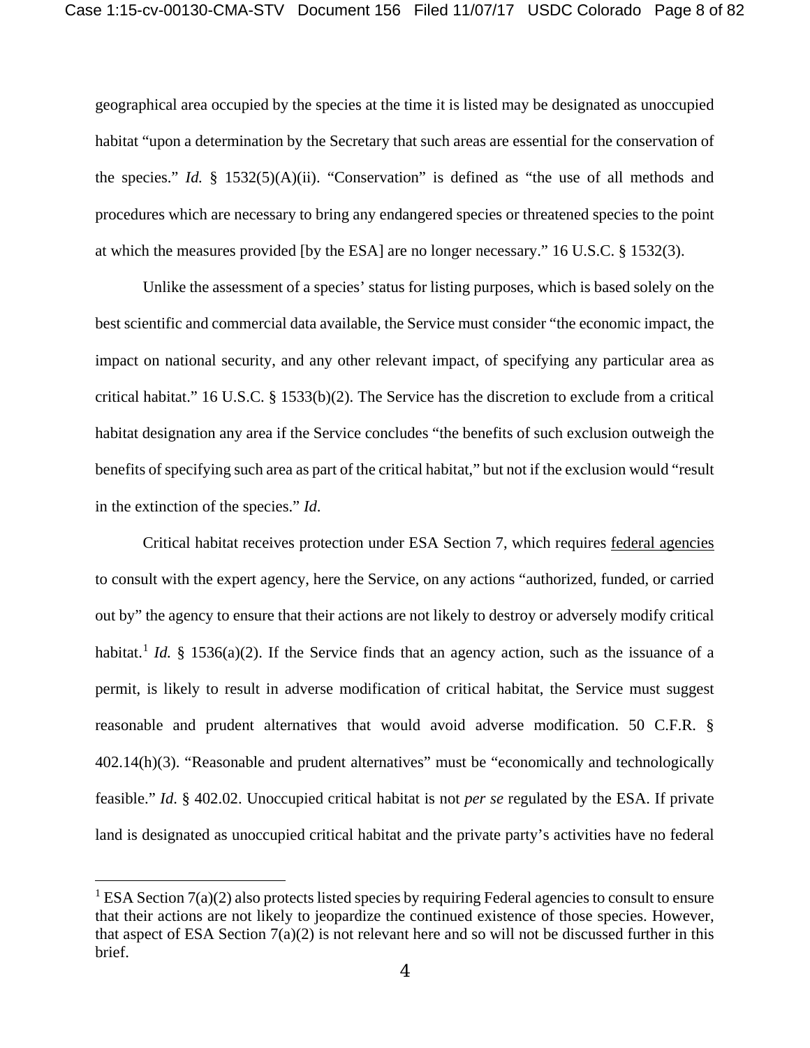geographical area occupied by the species at the time it is listed may be designated as unoccupied habitat "upon a determination by the Secretary that such areas are essential for the conservation of the species." *Id.* § 1532(5)(A)(ii). "Conservation" is defined as "the use of all methods and procedures which are necessary to bring any endangered species or threatened species to the point at which the measures provided [by the ESA] are no longer necessary." 16 U.S.C. § 1532(3).

Unlike the assessment of a species' status for listing purposes, which is based solely on the best scientific and commercial data available, the Service must consider "the economic impact, the impact on national security, and any other relevant impact, of specifying any particular area as critical habitat." 16 U.S.C. § 1533(b)(2). The Service has the discretion to exclude from a critical habitat designation any area if the Service concludes "the benefits of such exclusion outweigh the benefits of specifying such area as part of the critical habitat," but not if the exclusion would "result in the extinction of the species." *Id*.

Critical habitat receives protection under ESA Section 7, which requires federal agencies to consult with the expert agency, here the Service, on any actions "authorized, funded, or carried out by" the agency to ensure that their actions are not likely to destroy or adversely modify critical habitat.<sup>[1](#page-7-0)</sup> *Id.* § 1536(a)(2). If the Service finds that an agency action, such as the issuance of a permit, is likely to result in adverse modification of critical habitat, the Service must suggest reasonable and prudent alternatives that would avoid adverse modification. 50 C.F.R. § 402.14(h)(3). "Reasonable and prudent alternatives" must be "economically and technologically feasible." *Id*. § 402.02. Unoccupied critical habitat is not *per se* regulated by the ESA. If private land is designated as unoccupied critical habitat and the private party's activities have no federal

 $\overline{a}$ 

<span id="page-7-0"></span><sup>&</sup>lt;sup>1</sup> ESA Section  $7(a)(2)$  also protects listed species by requiring Federal agencies to consult to ensure that their actions are not likely to jeopardize the continued existence of those species. However, that aspect of ESA Section  $7(a)(2)$  is not relevant here and so will not be discussed further in this brief.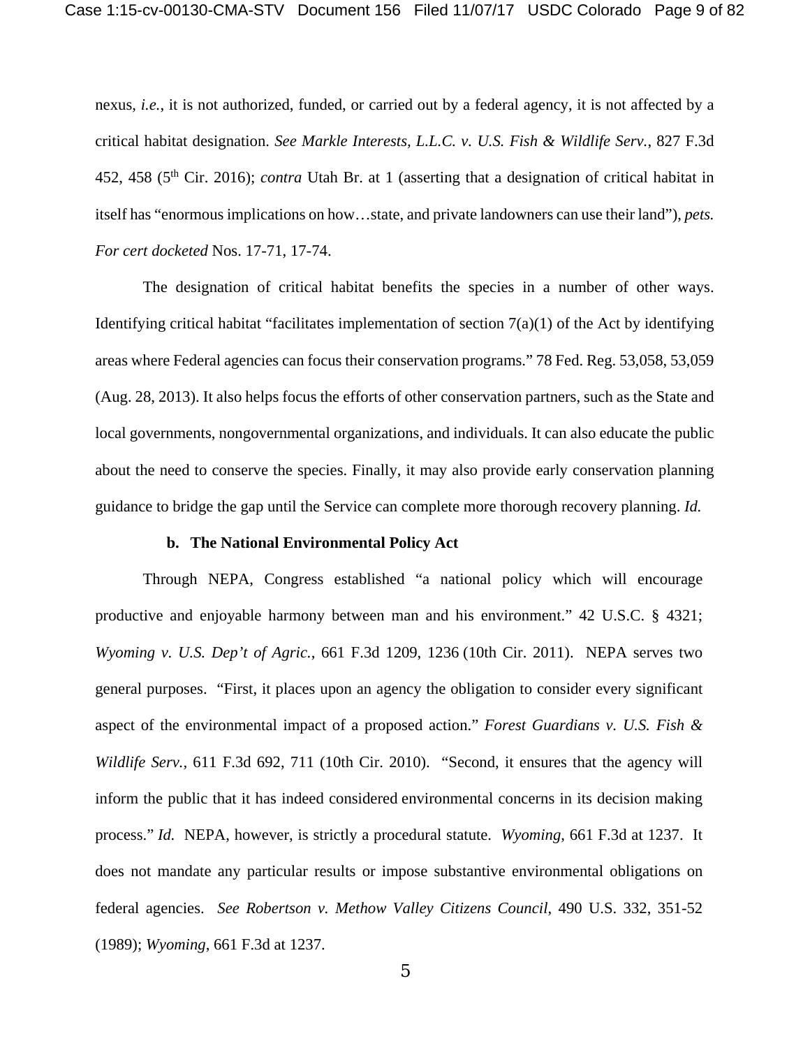nexus, *i.e.*, it is not authorized, funded, or carried out by a federal agency, it is not affected by a critical habitat designation. *See Markle Interests, L.L.C. v. U.S. Fish & Wildlife Serv.*, 827 F.3d 452, 458 (5th Cir. 2016); *contra* Utah Br. at 1 (asserting that a designation of critical habitat in itself has "enormous implications on how…state, and private landowners can use their land"), *pets. For cert docketed* Nos. 17-71, 17-74.

The designation of critical habitat benefits the species in a number of other ways. Identifying critical habitat "facilitates implementation of section  $7(a)(1)$  of the Act by identifying areas where Federal agencies can focus their conservation programs." 78 Fed. Reg. 53,058, 53,059 (Aug. 28, 2013). It also helps focus the efforts of other conservation partners, such as the State and local governments, nongovernmental organizations, and individuals. It can also educate the public about the need to conserve the species. Finally, it may also provide early conservation planning guidance to bridge the gap until the Service can complete more thorough recovery planning. *Id.* 

#### **b. The National Environmental Policy Act**

Through NEPA, Congress established "a national policy which will encourage productive and enjoyable harmony between man and his environment." 42 U.S.C. § 4321; *Wyoming v. U.S. Dep't of Agric.*, 661 F.3d 1209, 1236 (10th Cir. 2011). NEPA serves two general purposes. "First, it places upon an agency the obligation to consider every significant aspect of the environmental impact of a proposed action." *Forest Guardians v. U.S. Fish & Wildlife Serv.*, 611 F.3d 692, 711 (10th Cir. 2010). "Second, it ensures that the agency will inform the public that it has indeed considered environmental concerns in its decision making process." *Id.* NEPA, however, is strictly a procedural statute. *Wyoming*, 661 F.3d at 1237. It does not mandate any particular results or impose substantive environmental obligations on federal agencies. *See Robertson v. Methow Valley Citizens Council*, 490 U.S. 332, 351-52 (1989); *Wyoming*, 661 F.3d at 1237.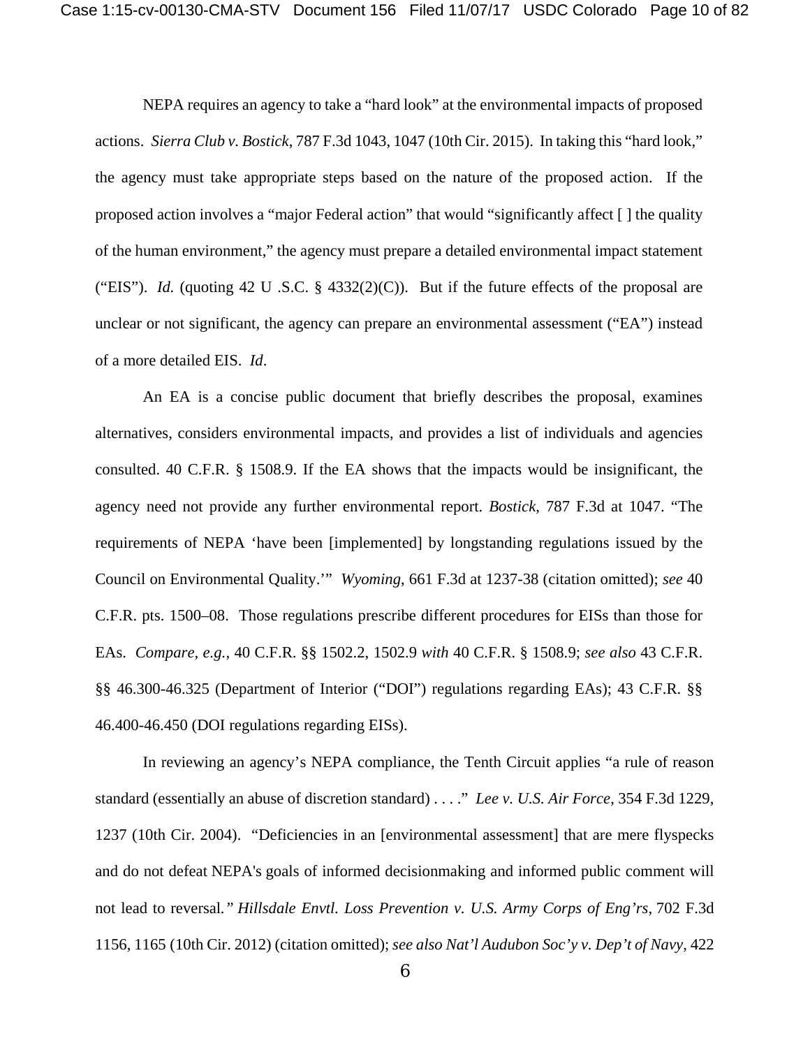NEPA requires an agency to take a "hard look" at the environmental impacts of proposed actions. *Sierra Club v. Bostick*, 787 F.3d 1043, 1047 (10th Cir. 2015). In taking this "hard look," the agency must take appropriate steps based on the nature of the proposed action. If the proposed action involves a "major Federal action" that would "significantly affect [ ] the quality of the human environment," the agency must prepare a detailed environmental impact statement ("EIS"). *Id.* (quoting 42 U .S.C. § 4332(2)(C)). But if the future effects of the proposal are unclear or not significant, the agency can prepare an environmental assessment ("EA") instead of a more detailed EIS. *Id*.

An EA is a concise public document that briefly describes the proposal, examines alternatives, considers environmental impacts, and provides a list of individuals and agencies consulted. 40 C.F.R. § 1508.9. If the EA shows that the impacts would be insignificant, the agency need not provide any further environmental report. *Bostick*, 787 F.3d at 1047. "The requirements of NEPA 'have been [implemented] by longstanding regulations issued by the Council on Environmental Quality.'" *Wyoming*, 661 F.3d at 1237-38 (citation omitted); *see* 40 C.F.R. pts. 1500–08. Those regulations prescribe different procedures for EISs than those for EAs. *Compare, e.g.,* 40 C.F.R. §§ 1502.2, 1502.9 *with* 40 C.F.R. § 1508.9; *see also* 43 C.F.R. §§ 46.300-46.325 (Department of Interior ("DOI") regulations regarding EAs); 43 C.F.R. §§ 46.400-46.450 (DOI regulations regarding EISs).

In reviewing an agency's NEPA compliance, the Tenth Circuit applies "a rule of reason standard (essentially an abuse of discretion standard) . . . ." *Lee v. U.S. Air Force*, 354 F.3d 1229, 1237 (10th Cir. 2004). "Deficiencies in an [environmental assessment] that are mere flyspecks and do not defeat NEPA's goals of informed decisionmaking and informed public comment will not lead to reversal*." Hillsdale Envtl. Loss Prevention v. U.S. Army Corps of Eng'rs*, 702 F.3d 1156, 1165 (10th Cir. 2012) (citation omitted); *see also Nat'l Audubon Soc'y v. Dep't of Navy*, 422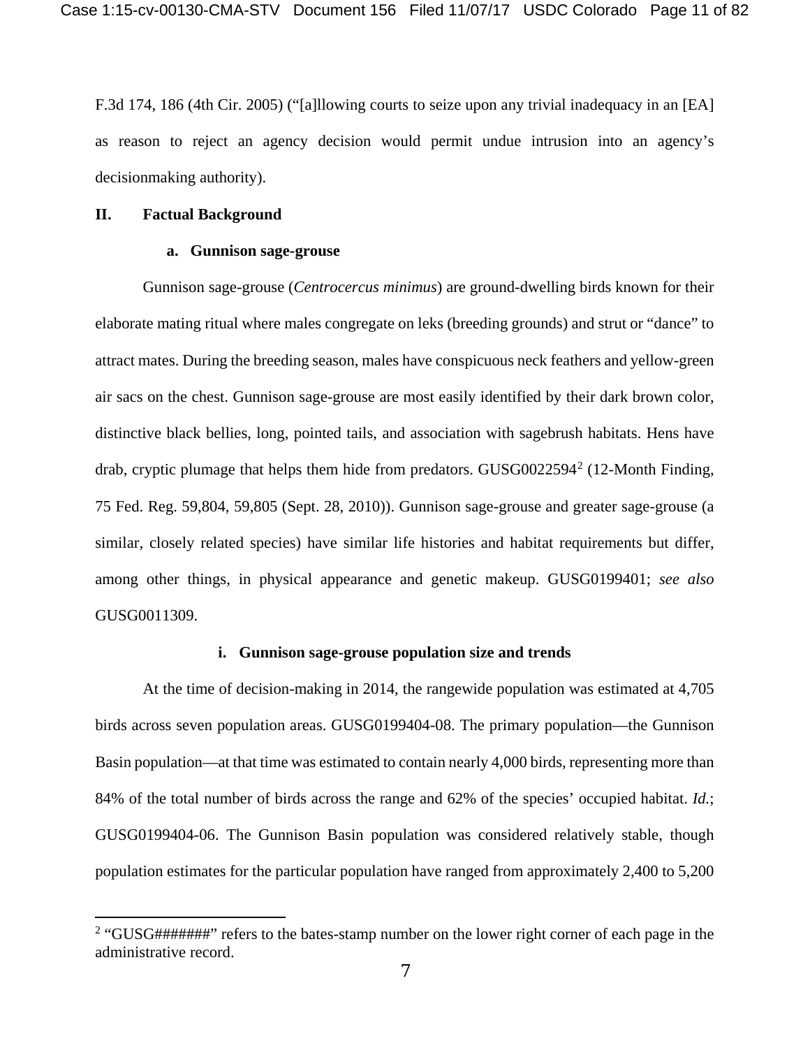F.3d 174, 186 (4th Cir. 2005) ("[a]llowing courts to seize upon any trivial inadequacy in an [EA] as reason to reject an agency decision would permit undue intrusion into an agency's decisionmaking authority).

#### **II. Factual Background**

 $\overline{a}$ 

#### **a. Gunnison sage-grouse**

Gunnison sage-grouse (*Centrocercus minimus*) are ground-dwelling birds known for their elaborate mating ritual where males congregate on leks (breeding grounds) and strut or "dance" to attract mates. During the breeding season, males have conspicuous neck feathers and yellow-green air sacs on the chest. Gunnison sage-grouse are most easily identified by their dark brown color, distinctive black bellies, long, pointed tails, and association with sagebrush habitats. Hens have drab, cryptic plumage that helps them hide from predators. GUSG0022594[2](#page-10-0) (12-Month Finding, 75 Fed. Reg. 59,804, 59,805 (Sept. 28, 2010)). Gunnison sage-grouse and greater sage-grouse (a similar, closely related species) have similar life histories and habitat requirements but differ, among other things, in physical appearance and genetic makeup. GUSG0199401; *see also* GUSG0011309.

## **i. Gunnison sage-grouse population size and trends**

At the time of decision-making in 2014, the rangewide population was estimated at 4,705 birds across seven population areas. GUSG0199404-08. The primary population—the Gunnison Basin population—at that time was estimated to contain nearly 4,000 birds, representing more than 84% of the total number of birds across the range and 62% of the species' occupied habitat. *Id.*; GUSG0199404-06. The Gunnison Basin population was considered relatively stable, though population estimates for the particular population have ranged from approximately 2,400 to 5,200

<span id="page-10-0"></span><sup>&</sup>lt;sup>2</sup> "GUSG#######" refers to the bates-stamp number on the lower right corner of each page in the administrative record.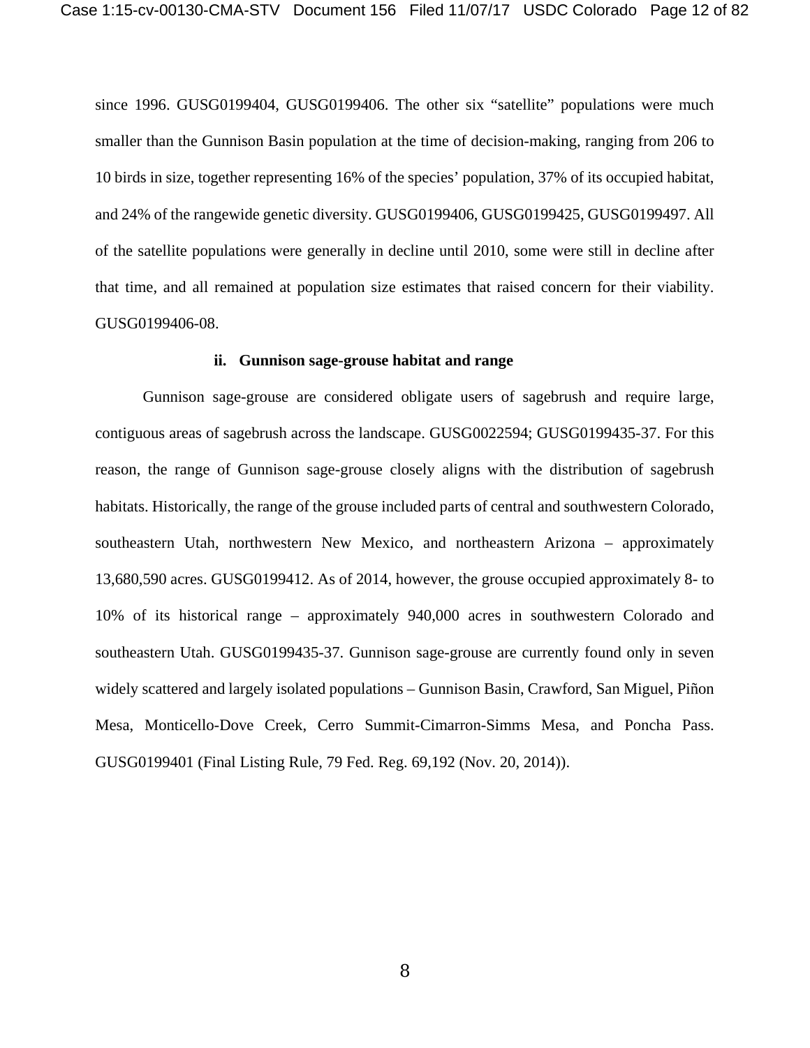since 1996. GUSG0199404, GUSG0199406. The other six "satellite" populations were much smaller than the Gunnison Basin population at the time of decision-making, ranging from 206 to 10 birds in size, together representing 16% of the species' population, 37% of its occupied habitat, and 24% of the rangewide genetic diversity. GUSG0199406, GUSG0199425, GUSG0199497. All of the satellite populations were generally in decline until 2010, some were still in decline after that time, and all remained at population size estimates that raised concern for their viability. GUSG0199406-08.

#### **ii. Gunnison sage-grouse habitat and range**

Gunnison sage-grouse are considered obligate users of sagebrush and require large, contiguous areas of sagebrush across the landscape. GUSG0022594; GUSG0199435-37. For this reason, the range of Gunnison sage-grouse closely aligns with the distribution of sagebrush habitats. Historically, the range of the grouse included parts of central and southwestern Colorado, southeastern Utah, northwestern New Mexico, and northeastern Arizona – approximately 13,680,590 acres. GUSG0199412. As of 2014, however, the grouse occupied approximately 8- to 10% of its historical range – approximately 940,000 acres in southwestern Colorado and southeastern Utah. GUSG0199435-37. Gunnison sage-grouse are currently found only in seven widely scattered and largely isolated populations – Gunnison Basin, Crawford, San Miguel, Piñon Mesa, Monticello-Dove Creek, Cerro Summit-Cimarron-Simms Mesa, and Poncha Pass. GUSG0199401 (Final Listing Rule, 79 Fed. Reg. 69,192 (Nov. 20, 2014)).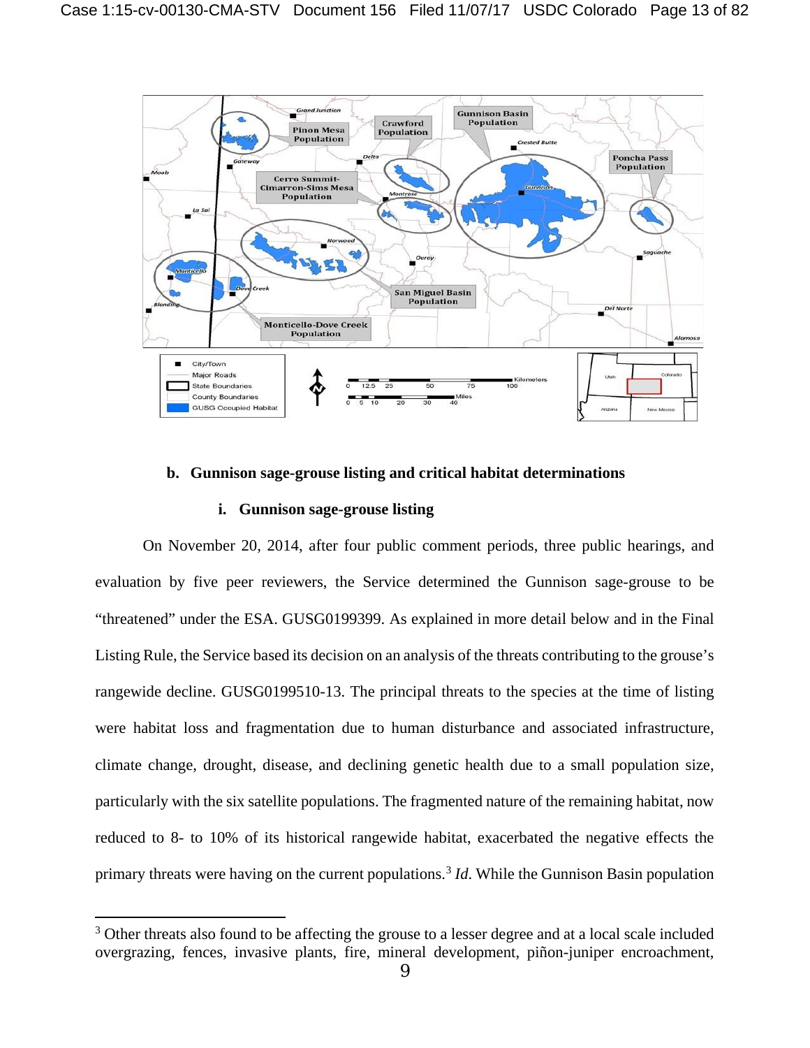

## **b. Gunnison sage-grouse listing and critical habitat determinations**

## **i. Gunnison sage-grouse listing**

 $\overline{a}$ 

On November 20, 2014, after four public comment periods, three public hearings, and evaluation by five peer reviewers, the Service determined the Gunnison sage-grouse to be "threatened" under the ESA. GUSG0199399. As explained in more detail below and in the Final Listing Rule, the Service based its decision on an analysis of the threats contributing to the grouse's rangewide decline. GUSG0199510-13. The principal threats to the species at the time of listing were habitat loss and fragmentation due to human disturbance and associated infrastructure, climate change, drought, disease, and declining genetic health due to a small population size, particularly with the six satellite populations. The fragmented nature of the remaining habitat, now reduced to 8- to 10% of its historical rangewide habitat, exacerbated the negative effects the primary threats were having on the current populations.<sup>[3](#page-12-0)</sup> *Id*. While the Gunnison Basin population

<span id="page-12-0"></span><sup>&</sup>lt;sup>3</sup> Other threats also found to be affecting the grouse to a lesser degree and at a local scale included overgrazing, fences, invasive plants, fire, mineral development, piñon-juniper encroachment,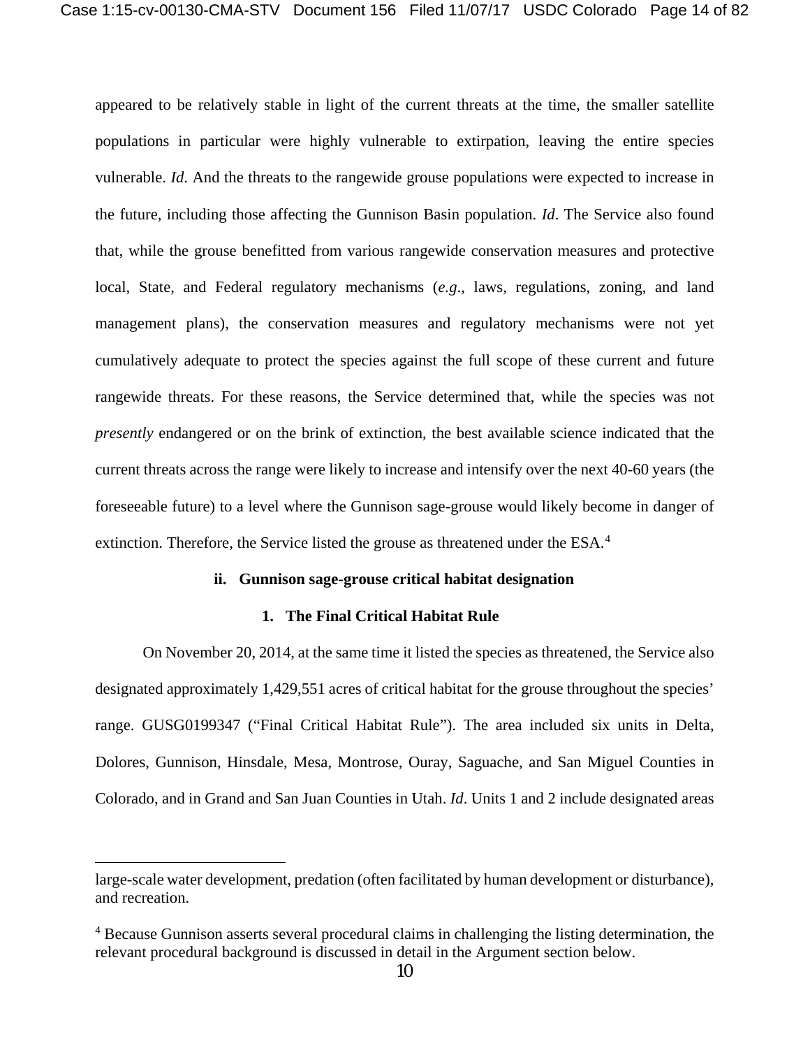appeared to be relatively stable in light of the current threats at the time, the smaller satellite populations in particular were highly vulnerable to extirpation, leaving the entire species vulnerable. *Id*. And the threats to the rangewide grouse populations were expected to increase in the future, including those affecting the Gunnison Basin population. *Id*. The Service also found that, while the grouse benefitted from various rangewide conservation measures and protective local, State, and Federal regulatory mechanisms (*e.g*., laws, regulations, zoning, and land management plans), the conservation measures and regulatory mechanisms were not yet cumulatively adequate to protect the species against the full scope of these current and future rangewide threats. For these reasons, the Service determined that, while the species was not *presently* endangered or on the brink of extinction, the best available science indicated that the current threats across the range were likely to increase and intensify over the next 40-60 years (the foreseeable future) to a level where the Gunnison sage-grouse would likely become in danger of extinction. Therefore, the Service listed the grouse as threatened under the ESA.<sup>[4](#page-13-0)</sup>

### **ii. Gunnison sage-grouse critical habitat designation**

#### **1. The Final Critical Habitat Rule**

On November 20, 2014, at the same time it listed the species as threatened, the Service also designated approximately 1,429,551 acres of critical habitat for the grouse throughout the species' range. GUSG0199347 ("Final Critical Habitat Rule"). The area included six units in Delta, Dolores, Gunnison, Hinsdale, Mesa, Montrose, Ouray, Saguache, and San Miguel Counties in Colorado, and in Grand and San Juan Counties in Utah. *Id*. Units 1 and 2 include designated areas

 $\overline{a}$ 

large-scale water development, predation (often facilitated by human development or disturbance), and recreation.

<span id="page-13-0"></span><sup>&</sup>lt;sup>4</sup> Because Gunnison asserts several procedural claims in challenging the listing determination, the relevant procedural background is discussed in detail in the Argument section below.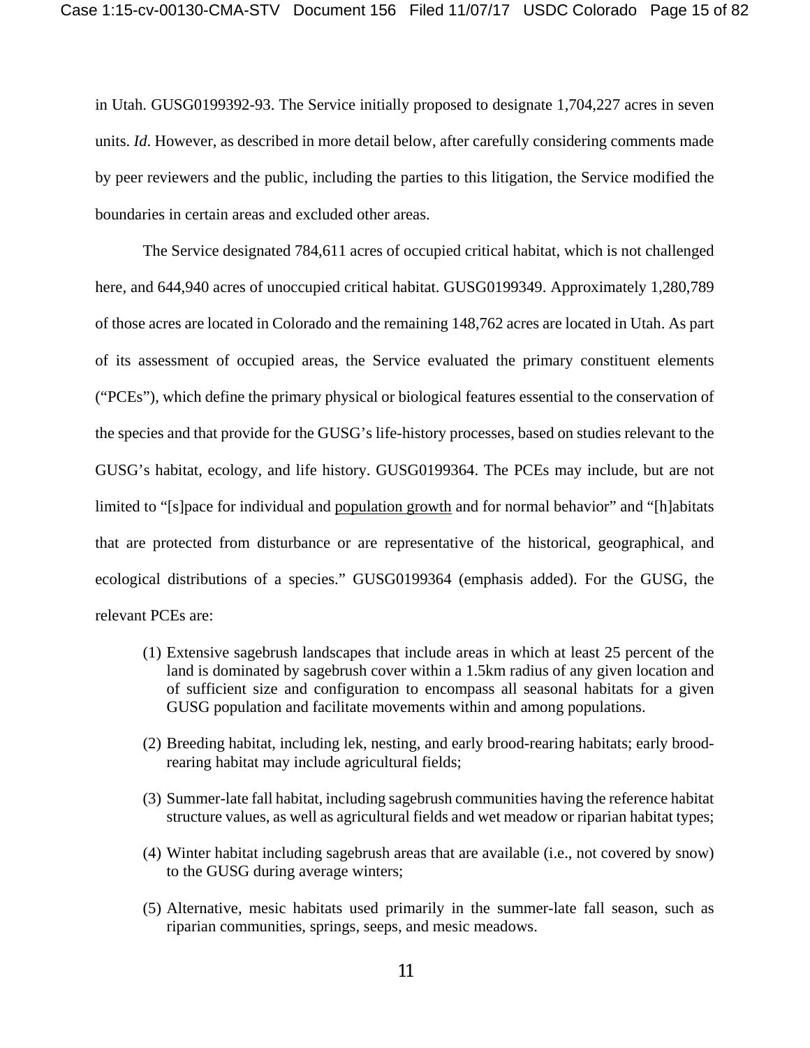in Utah. GUSG0199392-93. The Service initially proposed to designate 1,704,227 acres in seven units. *Id*. However, as described in more detail below, after carefully considering comments made by peer reviewers and the public, including the parties to this litigation, the Service modified the boundaries in certain areas and excluded other areas.

The Service designated 784,611 acres of occupied critical habitat, which is not challenged here, and 644,940 acres of unoccupied critical habitat. GUSG0199349. Approximately 1,280,789 of those acres are located in Colorado and the remaining 148,762 acres are located in Utah. As part of its assessment of occupied areas, the Service evaluated the primary constituent elements ("PCEs"), which define the primary physical or biological features essential to the conservation of the species and that provide for the GUSG's life-history processes, based on studies relevant to the GUSG's habitat, ecology, and life history. GUSG0199364. The PCEs may include, but are not limited to "[s]pace for individual and population growth and for normal behavior" and "[h]abitats that are protected from disturbance or are representative of the historical, geographical, and ecological distributions of a species." GUSG0199364 (emphasis added). For the GUSG, the relevant PCEs are:

- (1) Extensive sagebrush landscapes that include areas in which at least 25 percent of the land is dominated by sagebrush cover within a 1.5km radius of any given location and of sufficient size and configuration to encompass all seasonal habitats for a given GUSG population and facilitate movements within and among populations.
- (2) Breeding habitat, including lek, nesting, and early brood-rearing habitats; early broodrearing habitat may include agricultural fields;
- (3) Summer-late fall habitat, including sagebrush communities having the reference habitat structure values, as well as agricultural fields and wet meadow or riparian habitat types;
- (4) Winter habitat including sagebrush areas that are available (i.e., not covered by snow) to the GUSG during average winters;
- (5) Alternative, mesic habitats used primarily in the summer-late fall season, such as riparian communities, springs, seeps, and mesic meadows.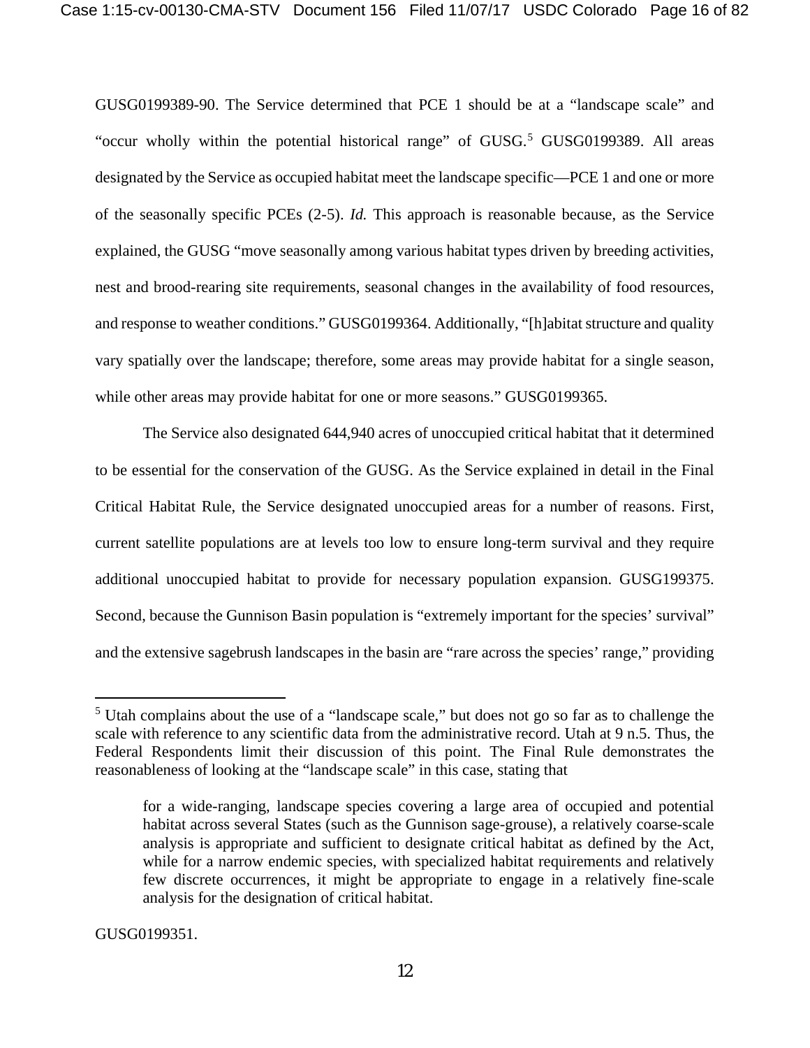GUSG0199389-90. The Service determined that PCE 1 should be at a "landscape scale" and "occur wholly within the potential historical range" of GUSG.<sup>[5](#page-15-0)</sup> GUSG0199389. All areas designated by the Service as occupied habitat meet the landscape specific—PCE 1 and one or more of the seasonally specific PCEs (2-5). *Id.* This approach is reasonable because, as the Service explained, the GUSG "move seasonally among various habitat types driven by breeding activities, nest and brood-rearing site requirements, seasonal changes in the availability of food resources, and response to weather conditions." GUSG0199364. Additionally, "[h]abitat structure and quality vary spatially over the landscape; therefore, some areas may provide habitat for a single season, while other areas may provide habitat for one or more seasons." GUSG0199365.

The Service also designated 644,940 acres of unoccupied critical habitat that it determined to be essential for the conservation of the GUSG. As the Service explained in detail in the Final Critical Habitat Rule, the Service designated unoccupied areas for a number of reasons. First, current satellite populations are at levels too low to ensure long-term survival and they require additional unoccupied habitat to provide for necessary population expansion. GUSG199375. Second, because the Gunnison Basin population is "extremely important for the species' survival" and the extensive sagebrush landscapes in the basin are "rare across the species' range," providing

GUSG0199351.

 $\overline{a}$ 

<span id="page-15-0"></span><sup>5</sup> Utah complains about the use of a "landscape scale," but does not go so far as to challenge the scale with reference to any scientific data from the administrative record. Utah at 9 n.5. Thus, the Federal Respondents limit their discussion of this point. The Final Rule demonstrates the reasonableness of looking at the "landscape scale" in this case, stating that

for a wide-ranging, landscape species covering a large area of occupied and potential habitat across several States (such as the Gunnison sage-grouse), a relatively coarse-scale analysis is appropriate and sufficient to designate critical habitat as defined by the Act, while for a narrow endemic species, with specialized habitat requirements and relatively few discrete occurrences, it might be appropriate to engage in a relatively fine-scale analysis for the designation of critical habitat.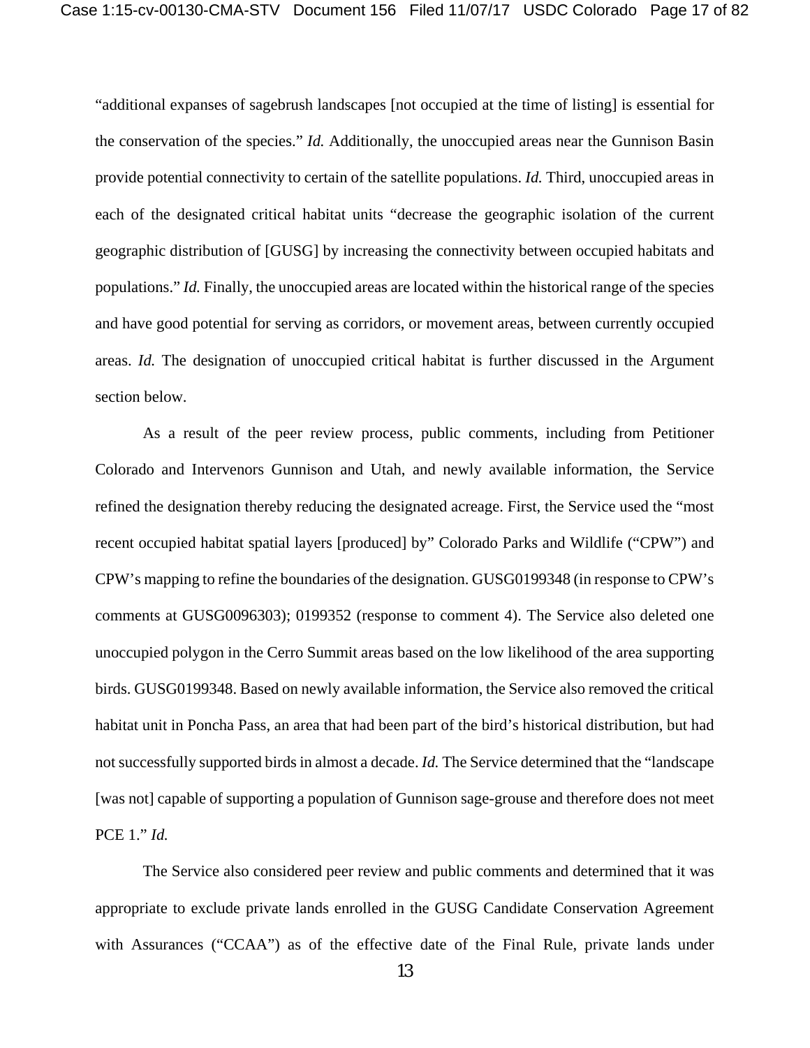"additional expanses of sagebrush landscapes [not occupied at the time of listing] is essential for the conservation of the species." *Id.* Additionally, the unoccupied areas near the Gunnison Basin provide potential connectivity to certain of the satellite populations. *Id.* Third, unoccupied areas in each of the designated critical habitat units "decrease the geographic isolation of the current geographic distribution of [GUSG] by increasing the connectivity between occupied habitats and populations." *Id.* Finally, the unoccupied areas are located within the historical range of the species and have good potential for serving as corridors, or movement areas, between currently occupied areas. *Id.* The designation of unoccupied critical habitat is further discussed in the Argument section below.

As a result of the peer review process, public comments, including from Petitioner Colorado and Intervenors Gunnison and Utah, and newly available information, the Service refined the designation thereby reducing the designated acreage. First, the Service used the "most recent occupied habitat spatial layers [produced] by" Colorado Parks and Wildlife ("CPW") and CPW's mapping to refine the boundaries of the designation. GUSG0199348 (in response to CPW's comments at GUSG0096303); 0199352 (response to comment 4). The Service also deleted one unoccupied polygon in the Cerro Summit areas based on the low likelihood of the area supporting birds. GUSG0199348. Based on newly available information, the Service also removed the critical habitat unit in Poncha Pass, an area that had been part of the bird's historical distribution, but had not successfully supported birds in almost a decade. *Id.* The Service determined that the "landscape [was not] capable of supporting a population of Gunnison sage-grouse and therefore does not meet PCE 1." *Id.*

The Service also considered peer review and public comments and determined that it was appropriate to exclude private lands enrolled in the GUSG Candidate Conservation Agreement with Assurances ("CCAA") as of the effective date of the Final Rule, private lands under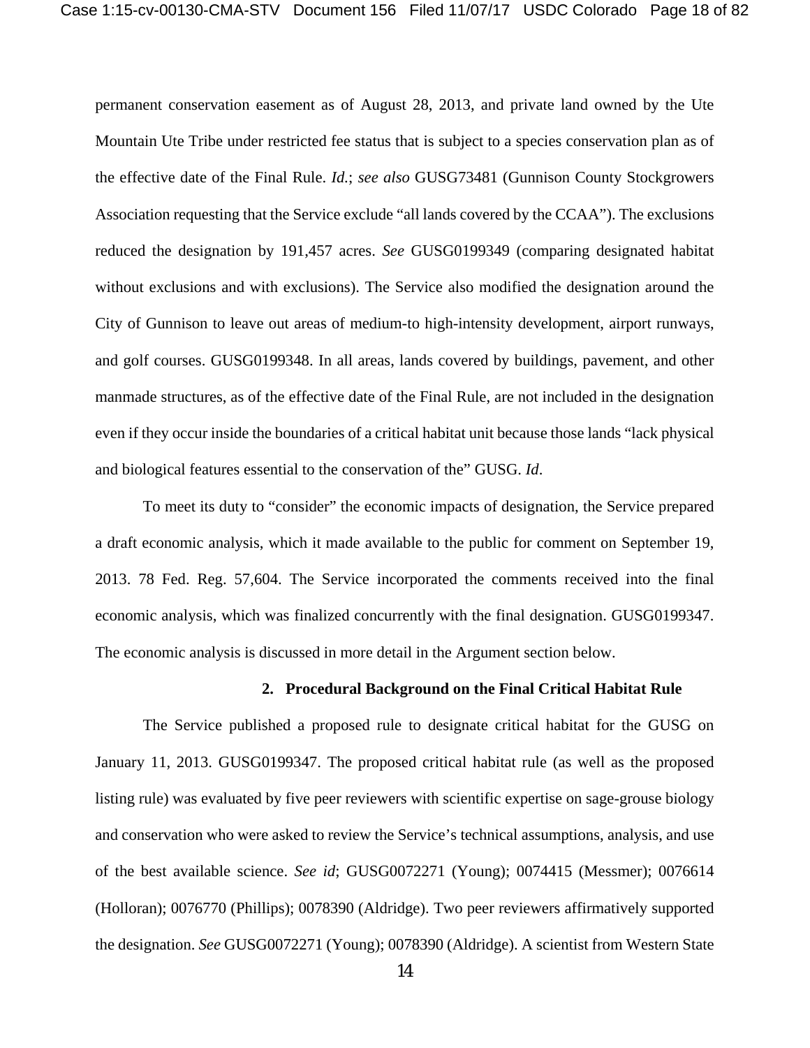permanent conservation easement as of August 28, 2013, and private land owned by the Ute Mountain Ute Tribe under restricted fee status that is subject to a species conservation plan as of the effective date of the Final Rule. *Id.*; *see also* GUSG73481 (Gunnison County Stockgrowers Association requesting that the Service exclude "all lands covered by the CCAA"). The exclusions reduced the designation by 191,457 acres. *See* GUSG0199349 (comparing designated habitat without exclusions and with exclusions). The Service also modified the designation around the City of Gunnison to leave out areas of medium-to high-intensity development, airport runways, and golf courses. GUSG0199348. In all areas, lands covered by buildings, pavement, and other manmade structures, as of the effective date of the Final Rule, are not included in the designation even if they occur inside the boundaries of a critical habitat unit because those lands "lack physical and biological features essential to the conservation of the" GUSG. *Id*.

To meet its duty to "consider" the economic impacts of designation, the Service prepared a draft economic analysis, which it made available to the public for comment on September 19, 2013. 78 Fed. Reg. 57,604. The Service incorporated the comments received into the final economic analysis, which was finalized concurrently with the final designation. GUSG0199347. The economic analysis is discussed in more detail in the Argument section below.

#### **2. Procedural Background on the Final Critical Habitat Rule**

The Service published a proposed rule to designate critical habitat for the GUSG on January 11, 2013. GUSG0199347. The proposed critical habitat rule (as well as the proposed listing rule) was evaluated by five peer reviewers with scientific expertise on sage-grouse biology and conservation who were asked to review the Service's technical assumptions, analysis, and use of the best available science. *See id*; GUSG0072271 (Young); 0074415 (Messmer); 0076614 (Holloran); 0076770 (Phillips); 0078390 (Aldridge). Two peer reviewers affirmatively supported the designation. *See* GUSG0072271 (Young); 0078390 (Aldridge). A scientist from Western State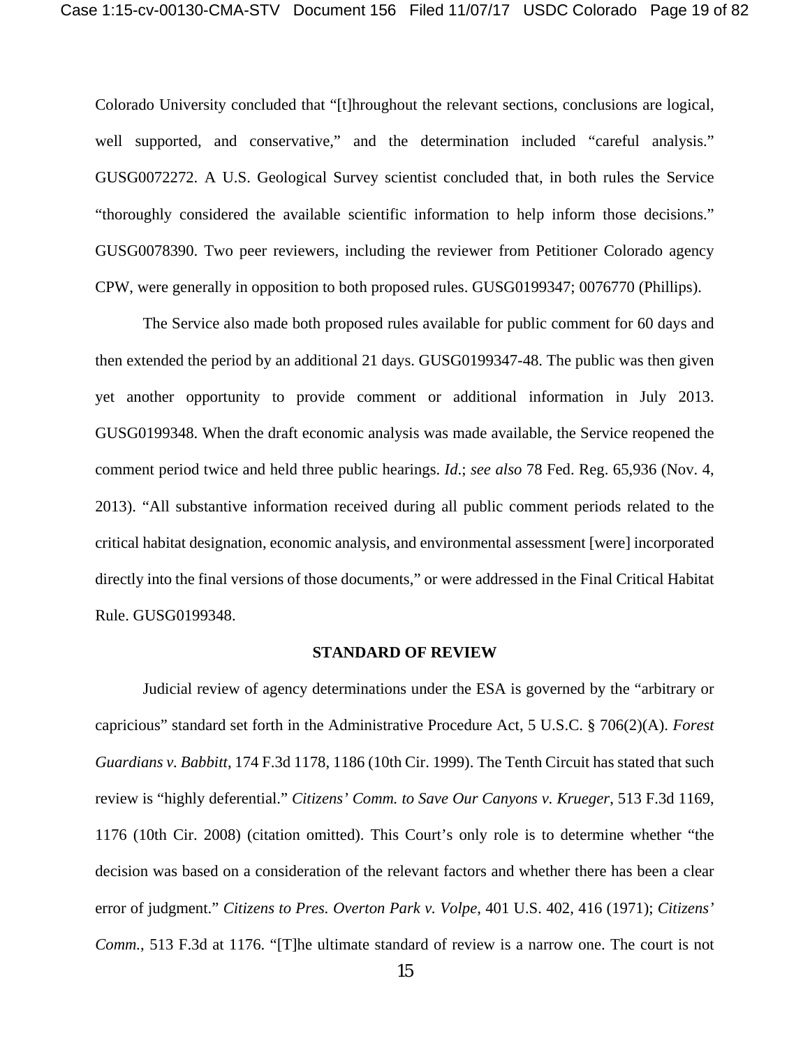Colorado University concluded that "[t]hroughout the relevant sections, conclusions are logical, well supported, and conservative," and the determination included "careful analysis." GUSG0072272. A U.S. Geological Survey scientist concluded that, in both rules the Service "thoroughly considered the available scientific information to help inform those decisions." GUSG0078390. Two peer reviewers, including the reviewer from Petitioner Colorado agency CPW, were generally in opposition to both proposed rules. GUSG0199347; 0076770 (Phillips).

The Service also made both proposed rules available for public comment for 60 days and then extended the period by an additional 21 days. GUSG0199347-48. The public was then given yet another opportunity to provide comment or additional information in July 2013. GUSG0199348. When the draft economic analysis was made available, the Service reopened the comment period twice and held three public hearings. *Id*.; *see also* 78 Fed. Reg. 65,936 (Nov. 4, 2013). "All substantive information received during all public comment periods related to the critical habitat designation, economic analysis, and environmental assessment [were] incorporated directly into the final versions of those documents," or were addressed in the Final Critical Habitat Rule. GUSG0199348.

#### **STANDARD OF REVIEW**

Judicial review of agency determinations under the ESA is governed by the "arbitrary or capricious" standard set forth in the Administrative Procedure Act, 5 U.S.C. § 706(2)(A). *Forest Guardians v. Babbitt*, 174 F.3d 1178, 1186 (10th Cir. 1999). The Tenth Circuit has stated that such review is "highly deferential." *Citizens' Comm. to Save Our Canyons v. Krueger*, 513 F.3d 1169, 1176 (10th Cir. 2008) (citation omitted). This Court's only role is to determine whether "the decision was based on a consideration of the relevant factors and whether there has been a clear error of judgment." *Citizens to Pres. Overton Park v. Volpe*, 401 U.S. 402, 416 (1971); *Citizens' Comm.*, 513 F.3d at 1176. "[T]he ultimate standard of review is a narrow one. The court is not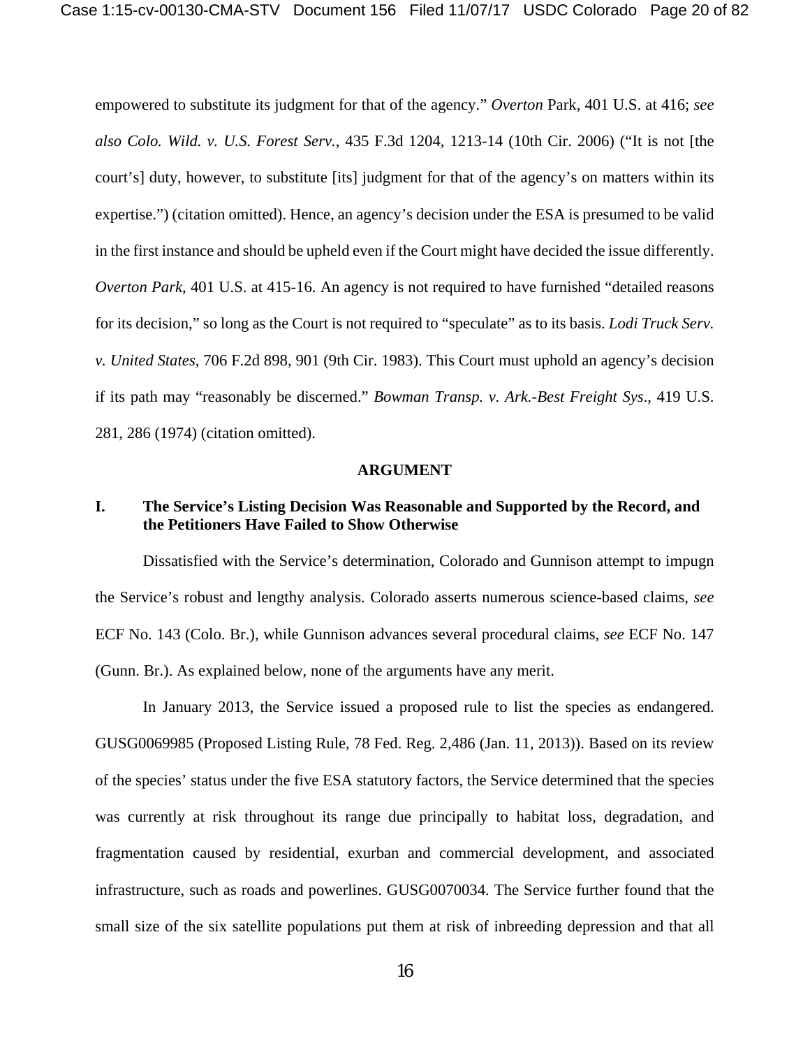empowered to substitute its judgment for that of the agency." *Overton* Park, 401 U.S. at 416; *see also Colo. Wild. v. U.S. Forest Serv.*, 435 F.3d 1204, 1213-14 (10th Cir. 2006) ("It is not [the court's] duty, however, to substitute [its] judgment for that of the agency's on matters within its expertise.") (citation omitted). Hence, an agency's decision under the ESA is presumed to be valid in the first instance and should be upheld even if the Court might have decided the issue differently. *Overton Park*, 401 U.S. at 415-16. An agency is not required to have furnished "detailed reasons" for its decision," so long as the Court is not required to "speculate" as to its basis. *Lodi Truck Serv. v. United States*, 706 F.2d 898, 901 (9th Cir. 1983). This Court must uphold an agency's decision if its path may "reasonably be discerned." *Bowman Transp. v. Ark.-Best Freight Sys*., 419 U.S. 281, 286 (1974) (citation omitted).

#### **ARGUMENT**

## **I. The Service's Listing Decision Was Reasonable and Supported by the Record, and the Petitioners Have Failed to Show Otherwise**

Dissatisfied with the Service's determination, Colorado and Gunnison attempt to impugn the Service's robust and lengthy analysis. Colorado asserts numerous science-based claims, *see* ECF No. 143 (Colo. Br.), while Gunnison advances several procedural claims, *see* ECF No. 147 (Gunn. Br.). As explained below, none of the arguments have any merit.

In January 2013, the Service issued a proposed rule to list the species as endangered. GUSG0069985 (Proposed Listing Rule, 78 Fed. Reg. 2,486 (Jan. 11, 2013)). Based on its review of the species' status under the five ESA statutory factors, the Service determined that the species was currently at risk throughout its range due principally to habitat loss, degradation, and fragmentation caused by residential, exurban and commercial development, and associated infrastructure, such as roads and powerlines. GUSG0070034. The Service further found that the small size of the six satellite populations put them at risk of inbreeding depression and that all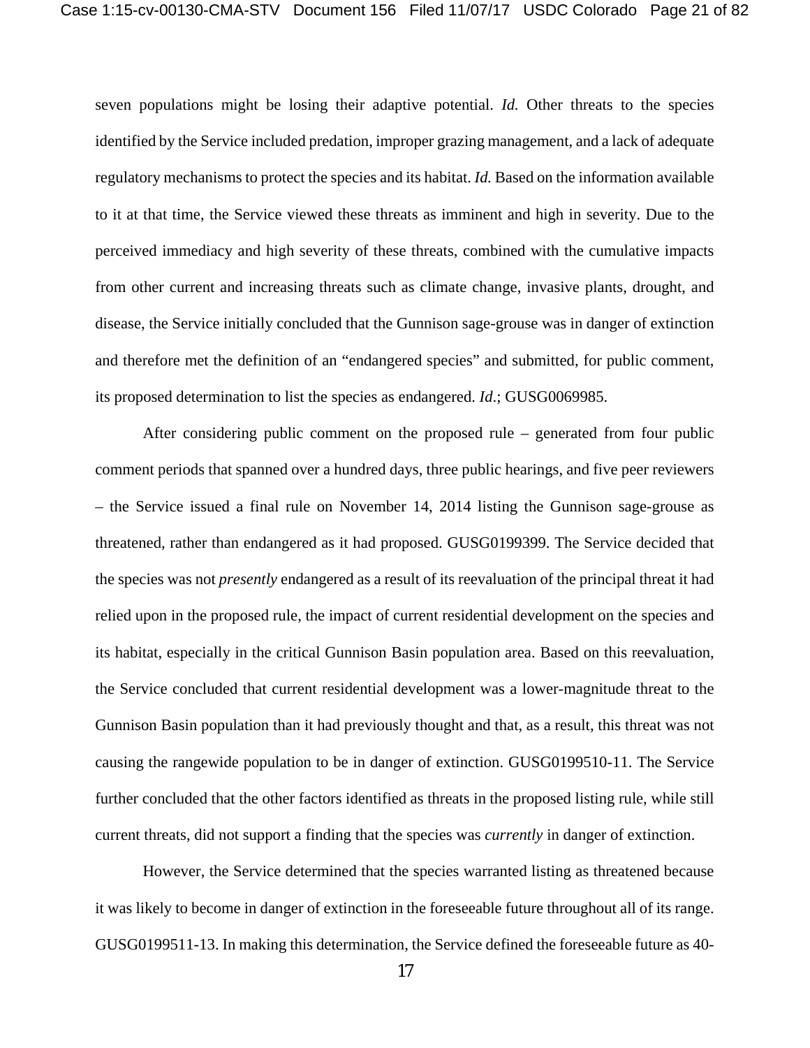seven populations might be losing their adaptive potential. *Id.* Other threats to the species identified by the Service included predation, improper grazing management, and a lack of adequate regulatory mechanisms to protect the species and its habitat. *Id.* Based on the information available to it at that time, the Service viewed these threats as imminent and high in severity. Due to the perceived immediacy and high severity of these threats, combined with the cumulative impacts from other current and increasing threats such as climate change, invasive plants, drought, and disease, the Service initially concluded that the Gunnison sage-grouse was in danger of extinction and therefore met the definition of an "endangered species" and submitted, for public comment, its proposed determination to list the species as endangered. *Id*.; GUSG0069985.

After considering public comment on the proposed rule – generated from four public comment periods that spanned over a hundred days, three public hearings, and five peer reviewers – the Service issued a final rule on November 14, 2014 listing the Gunnison sage-grouse as threatened, rather than endangered as it had proposed. GUSG0199399. The Service decided that the species was not *presently* endangered as a result of its reevaluation of the principal threat it had relied upon in the proposed rule, the impact of current residential development on the species and its habitat, especially in the critical Gunnison Basin population area. Based on this reevaluation, the Service concluded that current residential development was a lower-magnitude threat to the Gunnison Basin population than it had previously thought and that, as a result, this threat was not causing the rangewide population to be in danger of extinction. GUSG0199510-11. The Service further concluded that the other factors identified as threats in the proposed listing rule, while still current threats, did not support a finding that the species was *currently* in danger of extinction.

However, the Service determined that the species warranted listing as threatened because it was likely to become in danger of extinction in the foreseeable future throughout all of its range. GUSG0199511-13. In making this determination, the Service defined the foreseeable future as 40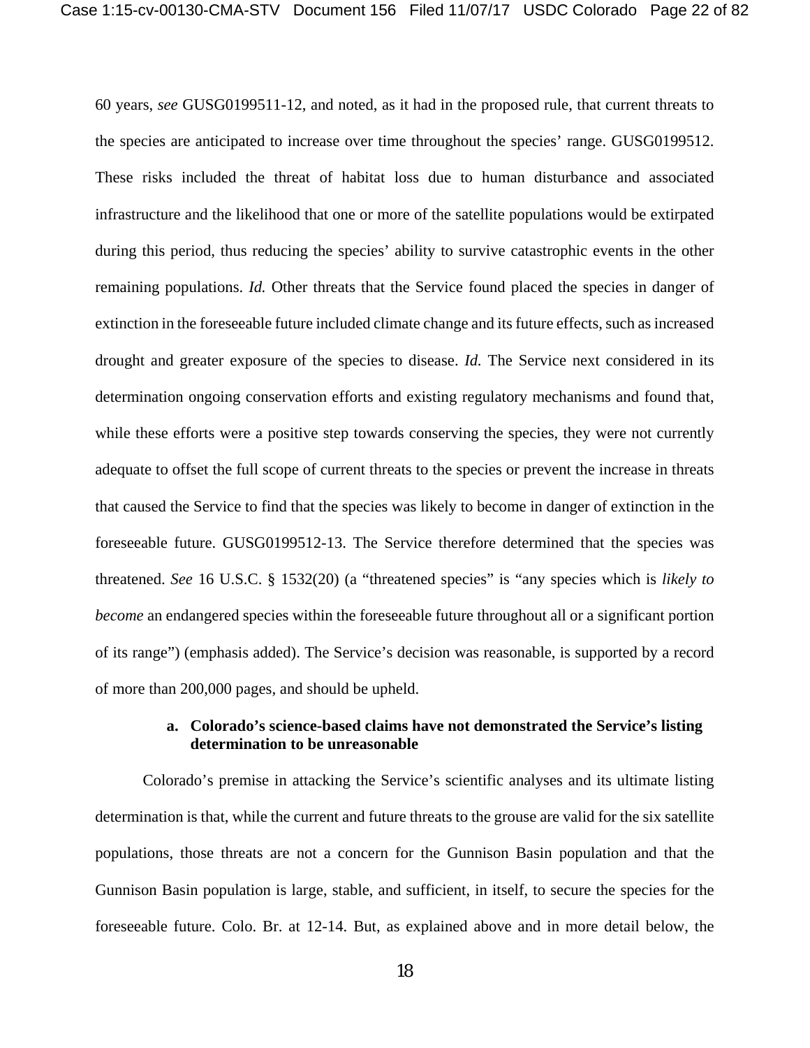60 years, *see* GUSG0199511-12, and noted, as it had in the proposed rule, that current threats to the species are anticipated to increase over time throughout the species' range. GUSG0199512. These risks included the threat of habitat loss due to human disturbance and associated infrastructure and the likelihood that one or more of the satellite populations would be extirpated during this period, thus reducing the species' ability to survive catastrophic events in the other remaining populations. *Id.* Other threats that the Service found placed the species in danger of extinction in the foreseeable future included climate change and its future effects, such as increased drought and greater exposure of the species to disease. *Id.* The Service next considered in its determination ongoing conservation efforts and existing regulatory mechanisms and found that, while these efforts were a positive step towards conserving the species, they were not currently adequate to offset the full scope of current threats to the species or prevent the increase in threats that caused the Service to find that the species was likely to become in danger of extinction in the foreseeable future. GUSG0199512-13. The Service therefore determined that the species was threatened. *See* 16 U.S.C. § 1532(20) (a "threatened species" is "any species which is *likely to become* an endangered species within the foreseeable future throughout all or a significant portion of its range") (emphasis added). The Service's decision was reasonable, is supported by a record of more than 200,000 pages, and should be upheld.

## **a. Colorado's science-based claims have not demonstrated the Service's listing determination to be unreasonable**

Colorado's premise in attacking the Service's scientific analyses and its ultimate listing determination is that, while the current and future threats to the grouse are valid for the six satellite populations, those threats are not a concern for the Gunnison Basin population and that the Gunnison Basin population is large, stable, and sufficient, in itself, to secure the species for the foreseeable future. Colo. Br. at 12-14. But, as explained above and in more detail below, the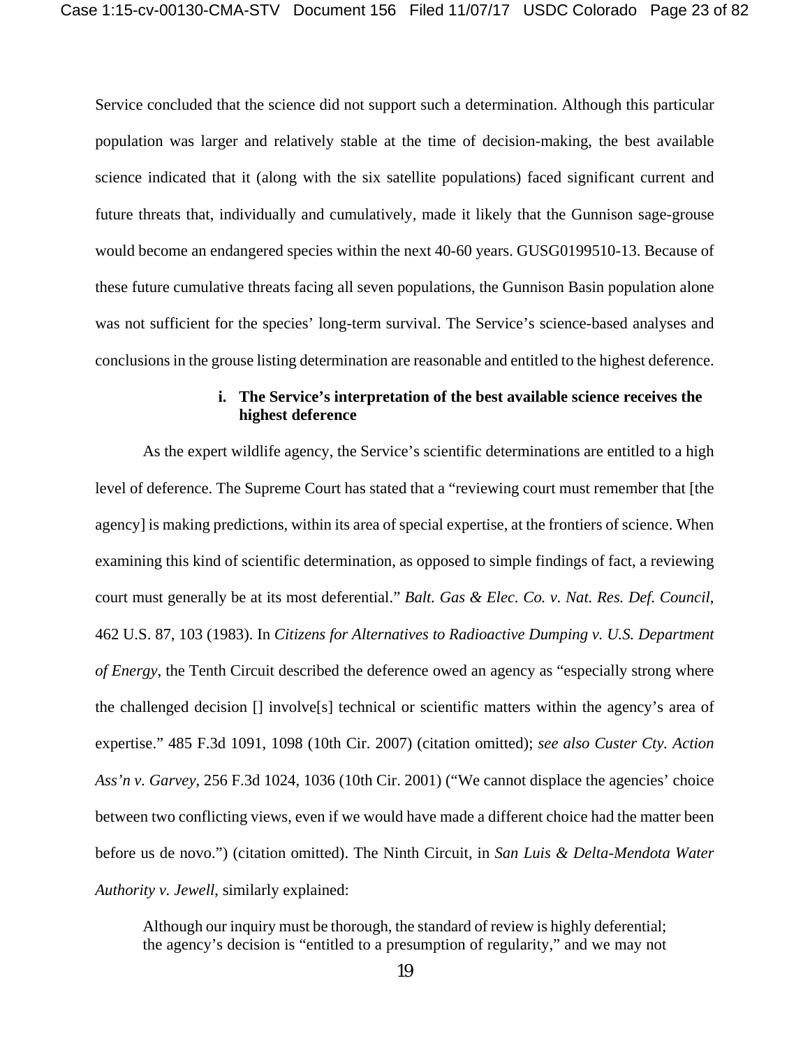Service concluded that the science did not support such a determination. Although this particular population was larger and relatively stable at the time of decision-making, the best available science indicated that it (along with the six satellite populations) faced significant current and future threats that, individually and cumulatively, made it likely that the Gunnison sage-grouse would become an endangered species within the next 40-60 years. GUSG0199510-13. Because of these future cumulative threats facing all seven populations, the Gunnison Basin population alone was not sufficient for the species' long-term survival. The Service's science-based analyses and conclusions in the grouse listing determination are reasonable and entitled to the highest deference.

## **i. The Service's interpretation of the best available science receives the highest deference**

As the expert wildlife agency, the Service's scientific determinations are entitled to a high level of deference. The Supreme Court has stated that a "reviewing court must remember that [the agency] is making predictions, within its area of special expertise, at the frontiers of science. When examining this kind of scientific determination, as opposed to simple findings of fact, a reviewing court must generally be at its most deferential." *Balt. Gas & Elec. Co. v. Nat. Res. Def. Council*, 462 U.S. 87, 103 (1983). In *Citizens for Alternatives to Radioactive Dumping v. U.S. Department of Energy*, the Tenth Circuit described the deference owed an agency as "especially strong where the challenged decision [] involve[s] technical or scientific matters within the agency's area of expertise." 485 F.3d 1091, 1098 (10th Cir. 2007) (citation omitted); *see also Custer Cty. Action Ass'n v. Garvey*, 256 F.3d 1024, 1036 (10th Cir. 2001) ("We cannot displace the agencies' choice between two conflicting views, even if we would have made a different choice had the matter been before us de novo.") (citation omitted). The Ninth Circuit, in *San Luis & Delta-Mendota Water Authority v. Jewell*, similarly explained:

Although our inquiry must be thorough, the standard of review is highly deferential; the agency's decision is "entitled to a presumption of regularity," and we may not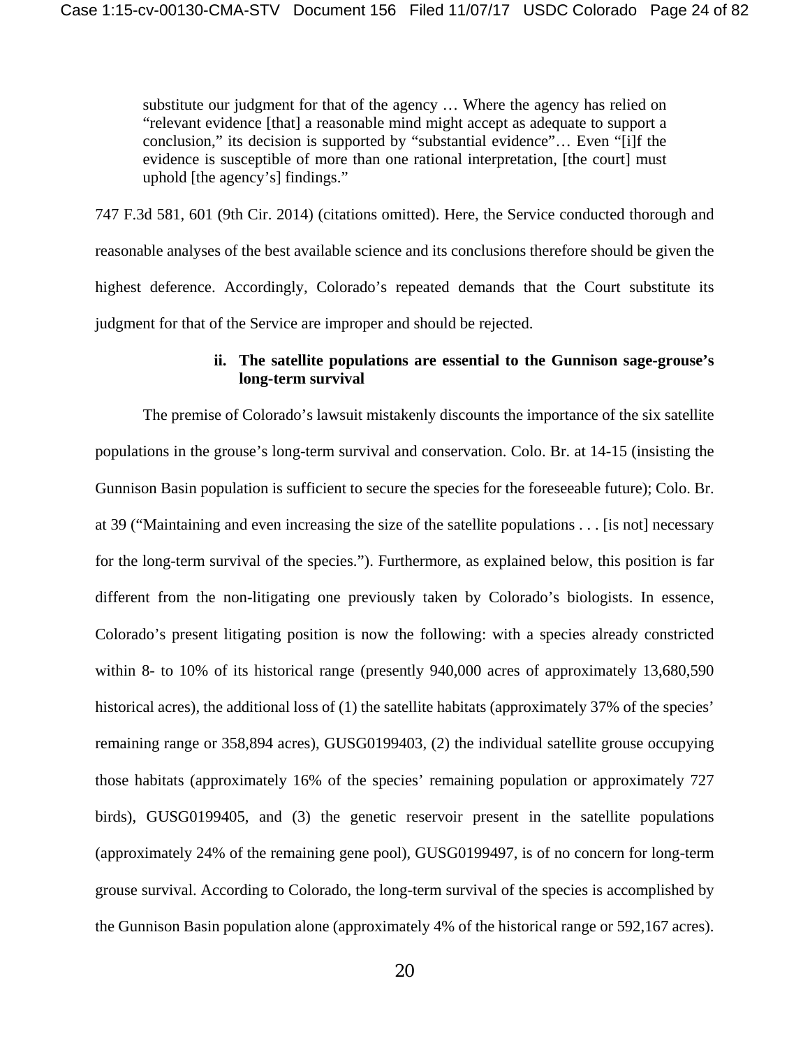substitute our judgment for that of the agency … Where the agency has relied on "relevant evidence [that] a reasonable mind might accept as adequate to support a conclusion," its decision is supported by "substantial evidence"… Even "[i]f the evidence is susceptible of more than one rational interpretation, [the court] must uphold [the agency's] findings."

747 F.3d 581, 601 (9th Cir. 2014) (citations omitted). Here, the Service conducted thorough and reasonable analyses of the best available science and its conclusions therefore should be given the highest deference. Accordingly, Colorado's repeated demands that the Court substitute its judgment for that of the Service are improper and should be rejected.

## **ii. The satellite populations are essential to the Gunnison sage-grouse's long-term survival**

The premise of Colorado's lawsuit mistakenly discounts the importance of the six satellite populations in the grouse's long-term survival and conservation. Colo. Br. at 14-15 (insisting the Gunnison Basin population is sufficient to secure the species for the foreseeable future); Colo. Br. at 39 ("Maintaining and even increasing the size of the satellite populations . . . [is not] necessary for the long-term survival of the species."). Furthermore, as explained below, this position is far different from the non-litigating one previously taken by Colorado's biologists. In essence, Colorado's present litigating position is now the following: with a species already constricted within 8- to 10% of its historical range (presently 940,000 acres of approximately 13,680,590 historical acres), the additional loss of (1) the satellite habitats (approximately 37% of the species' remaining range or 358,894 acres), GUSG0199403, (2) the individual satellite grouse occupying those habitats (approximately 16% of the species' remaining population or approximately 727 birds), GUSG0199405, and (3) the genetic reservoir present in the satellite populations (approximately 24% of the remaining gene pool), GUSG0199497, is of no concern for long-term grouse survival. According to Colorado, the long-term survival of the species is accomplished by the Gunnison Basin population alone (approximately 4% of the historical range or 592,167 acres).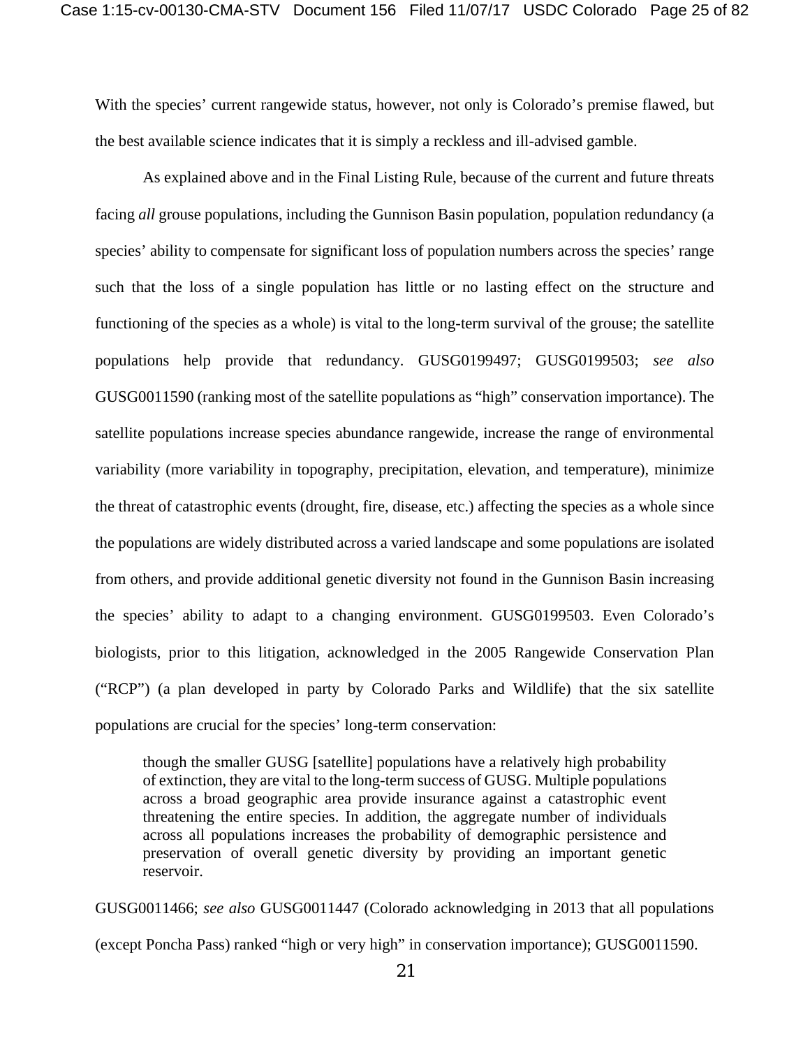With the species' current rangewide status, however, not only is Colorado's premise flawed, but the best available science indicates that it is simply a reckless and ill-advised gamble.

As explained above and in the Final Listing Rule, because of the current and future threats facing *all* grouse populations, including the Gunnison Basin population, population redundancy (a species' ability to compensate for significant loss of population numbers across the species' range such that the loss of a single population has little or no lasting effect on the structure and functioning of the species as a whole) is vital to the long-term survival of the grouse; the satellite populations help provide that redundancy. GUSG0199497; GUSG0199503; *see also* GUSG0011590 (ranking most of the satellite populations as "high" conservation importance). The satellite populations increase species abundance rangewide, increase the range of environmental variability (more variability in topography, precipitation, elevation, and temperature), minimize the threat of catastrophic events (drought, fire, disease, etc.) affecting the species as a whole since the populations are widely distributed across a varied landscape and some populations are isolated from others, and provide additional genetic diversity not found in the Gunnison Basin increasing the species' ability to adapt to a changing environment. GUSG0199503. Even Colorado's biologists, prior to this litigation, acknowledged in the 2005 Rangewide Conservation Plan ("RCP") (a plan developed in party by Colorado Parks and Wildlife) that the six satellite populations are crucial for the species' long-term conservation:

though the smaller GUSG [satellite] populations have a relatively high probability of extinction, they are vital to the long-term success of GUSG. Multiple populations across a broad geographic area provide insurance against a catastrophic event threatening the entire species. In addition, the aggregate number of individuals across all populations increases the probability of demographic persistence and preservation of overall genetic diversity by providing an important genetic reservoir.

GUSG0011466; *see also* GUSG0011447 (Colorado acknowledging in 2013 that all populations (except Poncha Pass) ranked "high or very high" in conservation importance); GUSG0011590.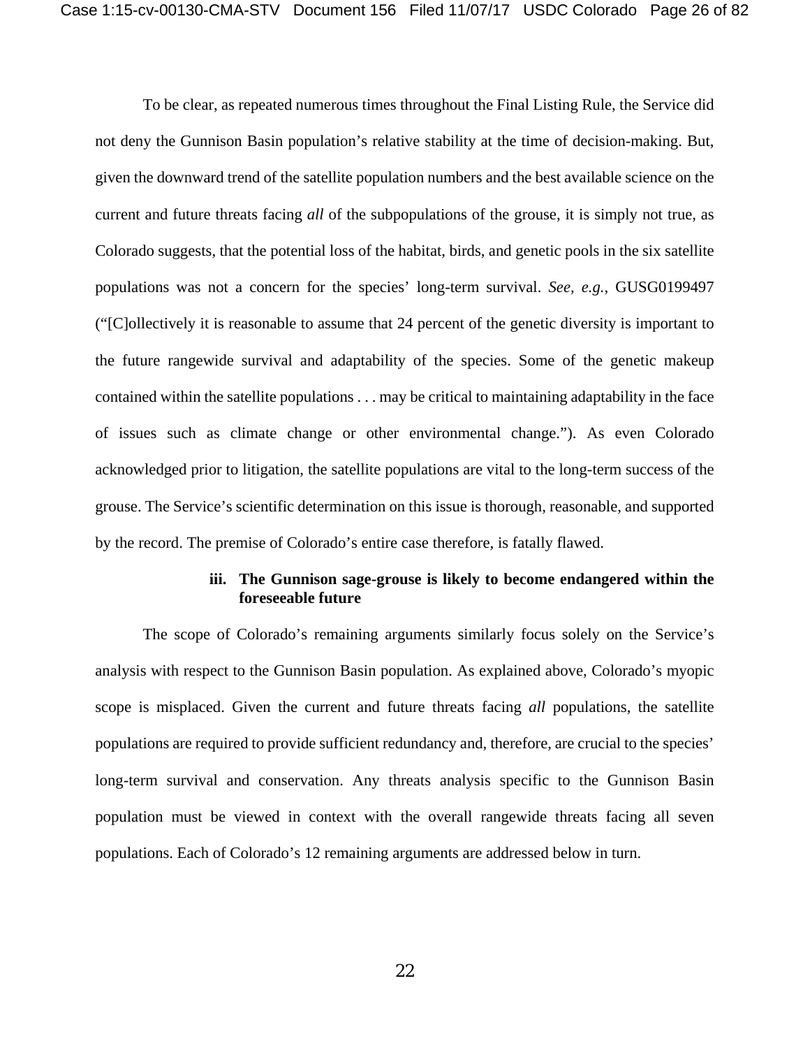To be clear, as repeated numerous times throughout the Final Listing Rule, the Service did not deny the Gunnison Basin population's relative stability at the time of decision-making. But, given the downward trend of the satellite population numbers and the best available science on the current and future threats facing *all* of the subpopulations of the grouse, it is simply not true, as Colorado suggests, that the potential loss of the habitat, birds, and genetic pools in the six satellite populations was not a concern for the species' long-term survival. *See, e.g.*, GUSG0199497 ("[C]ollectively it is reasonable to assume that 24 percent of the genetic diversity is important to the future rangewide survival and adaptability of the species. Some of the genetic makeup contained within the satellite populations . . . may be critical to maintaining adaptability in the face of issues such as climate change or other environmental change."). As even Colorado acknowledged prior to litigation, the satellite populations are vital to the long-term success of the grouse. The Service's scientific determination on this issue is thorough, reasonable, and supported by the record. The premise of Colorado's entire case therefore, is fatally flawed.

## **iii. The Gunnison sage-grouse is likely to become endangered within the foreseeable future**

The scope of Colorado's remaining arguments similarly focus solely on the Service's analysis with respect to the Gunnison Basin population. As explained above, Colorado's myopic scope is misplaced. Given the current and future threats facing *all* populations, the satellite populations are required to provide sufficient redundancy and, therefore, are crucial to the species' long-term survival and conservation. Any threats analysis specific to the Gunnison Basin population must be viewed in context with the overall rangewide threats facing all seven populations. Each of Colorado's 12 remaining arguments are addressed below in turn.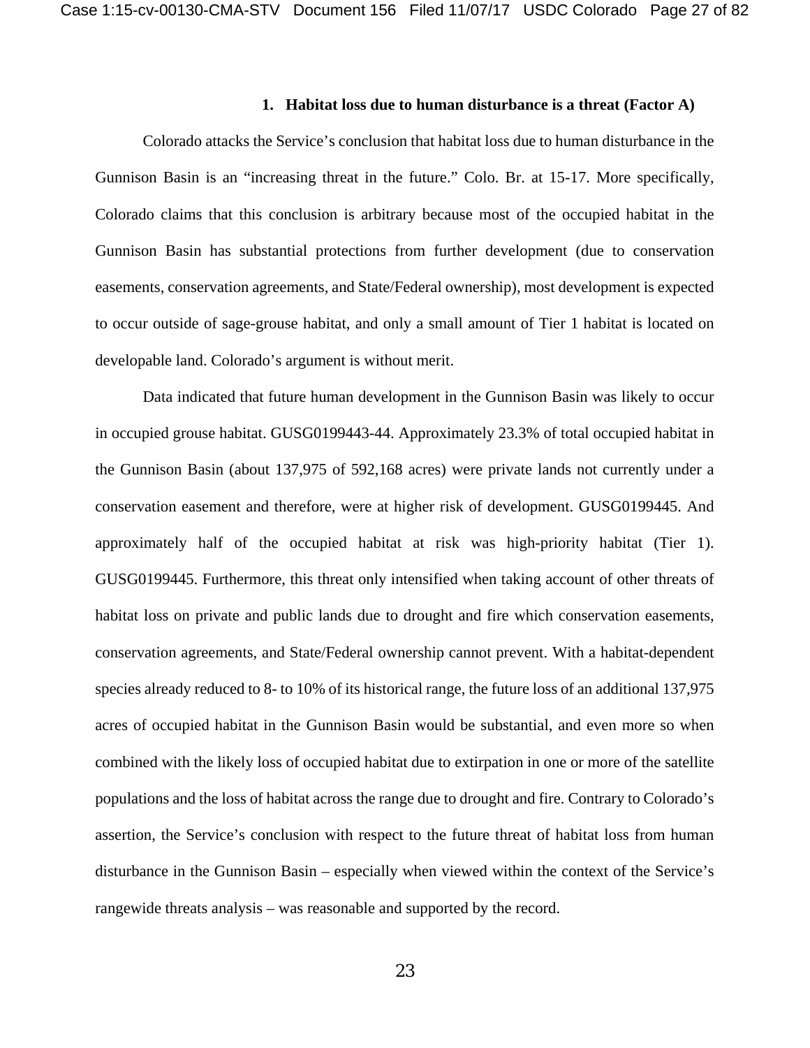#### **1. Habitat loss due to human disturbance is a threat (Factor A)**

Colorado attacks the Service's conclusion that habitat loss due to human disturbance in the Gunnison Basin is an "increasing threat in the future." Colo. Br. at 15-17. More specifically, Colorado claims that this conclusion is arbitrary because most of the occupied habitat in the Gunnison Basin has substantial protections from further development (due to conservation easements, conservation agreements, and State/Federal ownership), most development is expected to occur outside of sage-grouse habitat, and only a small amount of Tier 1 habitat is located on developable land. Colorado's argument is without merit.

Data indicated that future human development in the Gunnison Basin was likely to occur in occupied grouse habitat. GUSG0199443-44. Approximately 23.3% of total occupied habitat in the Gunnison Basin (about 137,975 of 592,168 acres) were private lands not currently under a conservation easement and therefore, were at higher risk of development. GUSG0199445. And approximately half of the occupied habitat at risk was high-priority habitat (Tier 1). GUSG0199445. Furthermore, this threat only intensified when taking account of other threats of habitat loss on private and public lands due to drought and fire which conservation easements, conservation agreements, and State/Federal ownership cannot prevent. With a habitat-dependent species already reduced to 8- to 10% of its historical range, the future loss of an additional 137,975 acres of occupied habitat in the Gunnison Basin would be substantial, and even more so when combined with the likely loss of occupied habitat due to extirpation in one or more of the satellite populations and the loss of habitat across the range due to drought and fire. Contrary to Colorado's assertion, the Service's conclusion with respect to the future threat of habitat loss from human disturbance in the Gunnison Basin – especially when viewed within the context of the Service's rangewide threats analysis – was reasonable and supported by the record.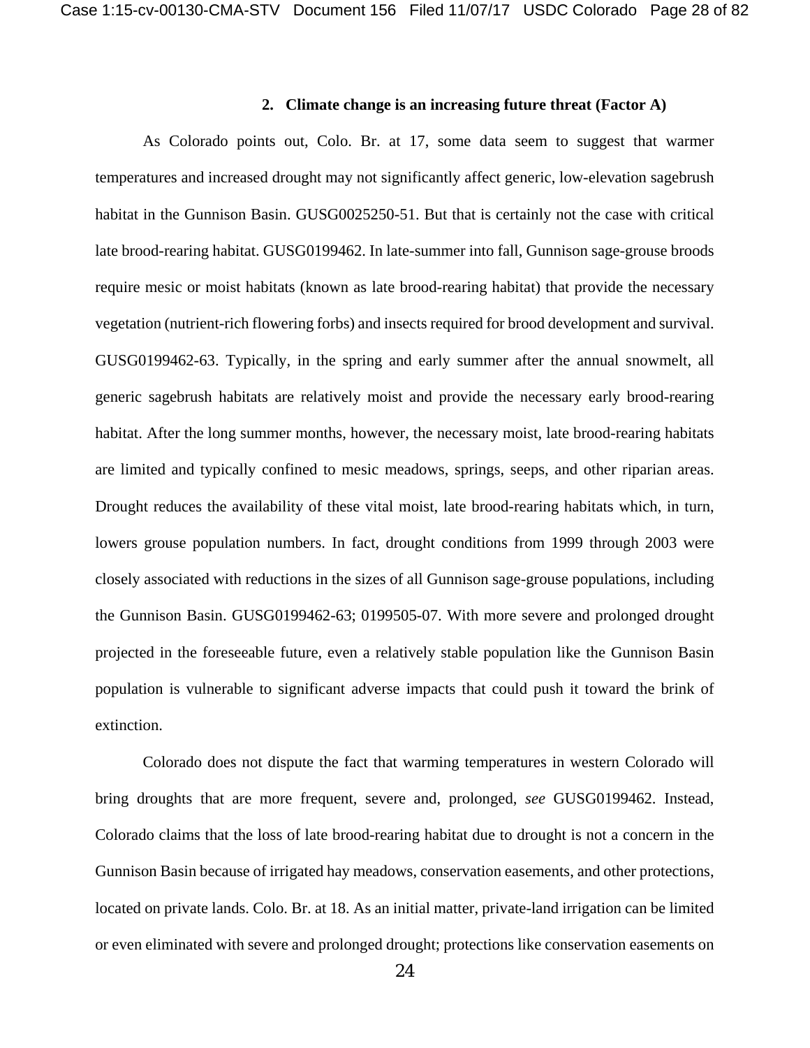#### **2. Climate change is an increasing future threat (Factor A)**

As Colorado points out, Colo. Br. at 17, some data seem to suggest that warmer temperatures and increased drought may not significantly affect generic, low-elevation sagebrush habitat in the Gunnison Basin. GUSG0025250-51. But that is certainly not the case with critical late brood-rearing habitat. GUSG0199462. In late-summer into fall, Gunnison sage-grouse broods require mesic or moist habitats (known as late brood-rearing habitat) that provide the necessary vegetation (nutrient-rich flowering forbs) and insects required for brood development and survival. GUSG0199462-63. Typically, in the spring and early summer after the annual snowmelt, all generic sagebrush habitats are relatively moist and provide the necessary early brood-rearing habitat. After the long summer months, however, the necessary moist, late brood-rearing habitats are limited and typically confined to mesic meadows, springs, seeps, and other riparian areas. Drought reduces the availability of these vital moist, late brood-rearing habitats which, in turn, lowers grouse population numbers. In fact, drought conditions from 1999 through 2003 were closely associated with reductions in the sizes of all Gunnison sage-grouse populations, including the Gunnison Basin. GUSG0199462-63; 0199505-07. With more severe and prolonged drought projected in the foreseeable future, even a relatively stable population like the Gunnison Basin population is vulnerable to significant adverse impacts that could push it toward the brink of extinction.

Colorado does not dispute the fact that warming temperatures in western Colorado will bring droughts that are more frequent, severe and, prolonged, *see* GUSG0199462. Instead, Colorado claims that the loss of late brood-rearing habitat due to drought is not a concern in the Gunnison Basin because of irrigated hay meadows, conservation easements, and other protections, located on private lands. Colo. Br. at 18. As an initial matter, private-land irrigation can be limited or even eliminated with severe and prolonged drought; protections like conservation easements on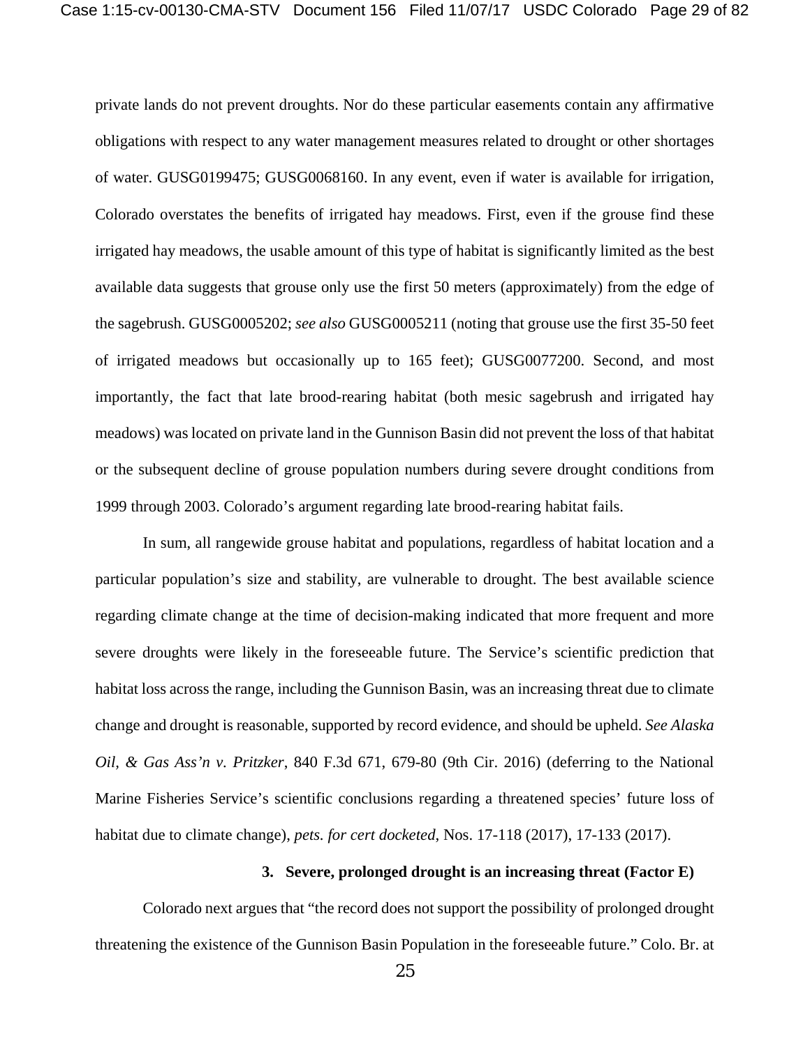private lands do not prevent droughts. Nor do these particular easements contain any affirmative obligations with respect to any water management measures related to drought or other shortages of water. GUSG0199475; GUSG0068160. In any event, even if water is available for irrigation, Colorado overstates the benefits of irrigated hay meadows. First, even if the grouse find these irrigated hay meadows, the usable amount of this type of habitat is significantly limited as the best available data suggests that grouse only use the first 50 meters (approximately) from the edge of the sagebrush. GUSG0005202; *see also* GUSG0005211 (noting that grouse use the first 35-50 feet of irrigated meadows but occasionally up to 165 feet); GUSG0077200. Second, and most importantly, the fact that late brood-rearing habitat (both mesic sagebrush and irrigated hay meadows) was located on private land in the Gunnison Basin did not prevent the loss of that habitat or the subsequent decline of grouse population numbers during severe drought conditions from 1999 through 2003. Colorado's argument regarding late brood-rearing habitat fails.

In sum, all rangewide grouse habitat and populations, regardless of habitat location and a particular population's size and stability, are vulnerable to drought. The best available science regarding climate change at the time of decision-making indicated that more frequent and more severe droughts were likely in the foreseeable future. The Service's scientific prediction that habitat loss across the range, including the Gunnison Basin, was an increasing threat due to climate change and drought is reasonable, supported by record evidence, and should be upheld. *See Alaska Oil, & Gas Ass'n v. Pritzker*, 840 F.3d 671, 679-80 (9th Cir. 2016) (deferring to the National Marine Fisheries Service's scientific conclusions regarding a threatened species' future loss of habitat due to climate change), *pets. for cert docketed*, Nos. 17-118 (2017), 17-133 (2017).

### **3. Severe, prolonged drought is an increasing threat (Factor E)**

Colorado next argues that "the record does not support the possibility of prolonged drought threatening the existence of the Gunnison Basin Population in the foreseeable future." Colo. Br. at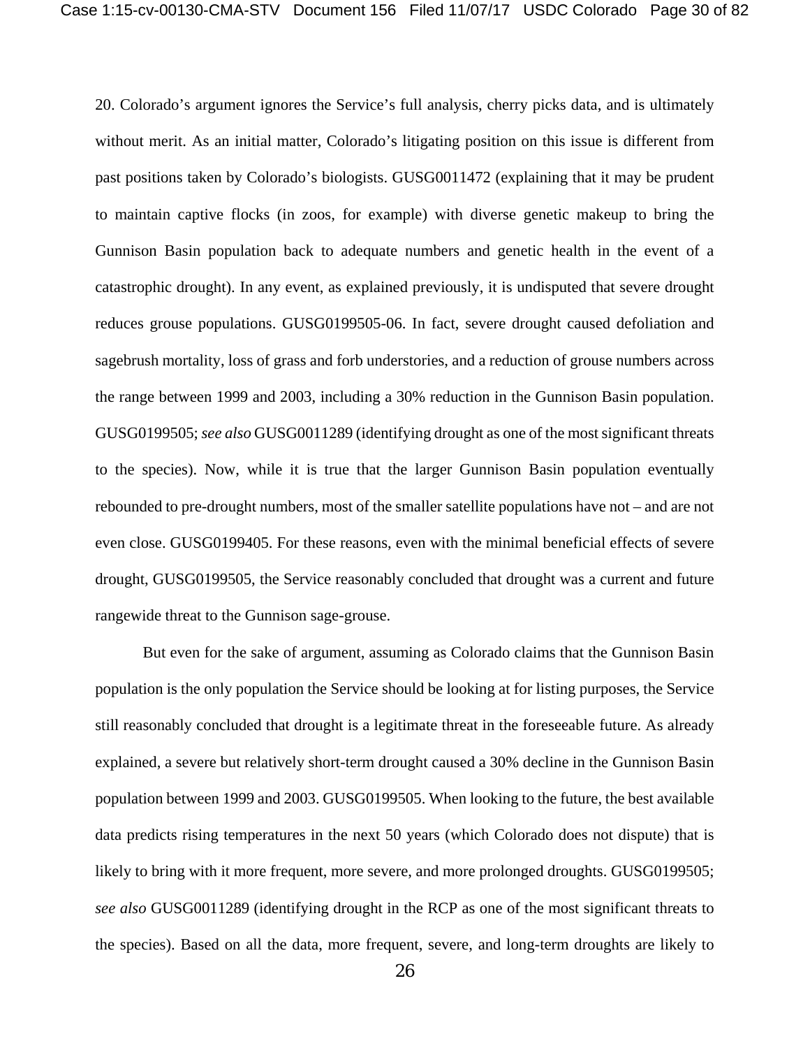20. Colorado's argument ignores the Service's full analysis, cherry picks data, and is ultimately without merit. As an initial matter, Colorado's litigating position on this issue is different from past positions taken by Colorado's biologists. GUSG0011472 (explaining that it may be prudent to maintain captive flocks (in zoos, for example) with diverse genetic makeup to bring the Gunnison Basin population back to adequate numbers and genetic health in the event of a catastrophic drought). In any event, as explained previously, it is undisputed that severe drought reduces grouse populations. GUSG0199505-06. In fact, severe drought caused defoliation and sagebrush mortality, loss of grass and forb understories, and a reduction of grouse numbers across the range between 1999 and 2003, including a 30% reduction in the Gunnison Basin population. GUSG0199505; *see also* GUSG0011289 (identifying drought as one of the most significant threats to the species). Now, while it is true that the larger Gunnison Basin population eventually rebounded to pre-drought numbers, most of the smaller satellite populations have not – and are not even close. GUSG0199405. For these reasons, even with the minimal beneficial effects of severe drought, GUSG0199505, the Service reasonably concluded that drought was a current and future rangewide threat to the Gunnison sage-grouse.

But even for the sake of argument, assuming as Colorado claims that the Gunnison Basin population is the only population the Service should be looking at for listing purposes, the Service still reasonably concluded that drought is a legitimate threat in the foreseeable future. As already explained, a severe but relatively short-term drought caused a 30% decline in the Gunnison Basin population between 1999 and 2003. GUSG0199505. When looking to the future, the best available data predicts rising temperatures in the next 50 years (which Colorado does not dispute) that is likely to bring with it more frequent, more severe, and more prolonged droughts. GUSG0199505; *see also* GUSG0011289 (identifying drought in the RCP as one of the most significant threats to the species). Based on all the data, more frequent, severe, and long-term droughts are likely to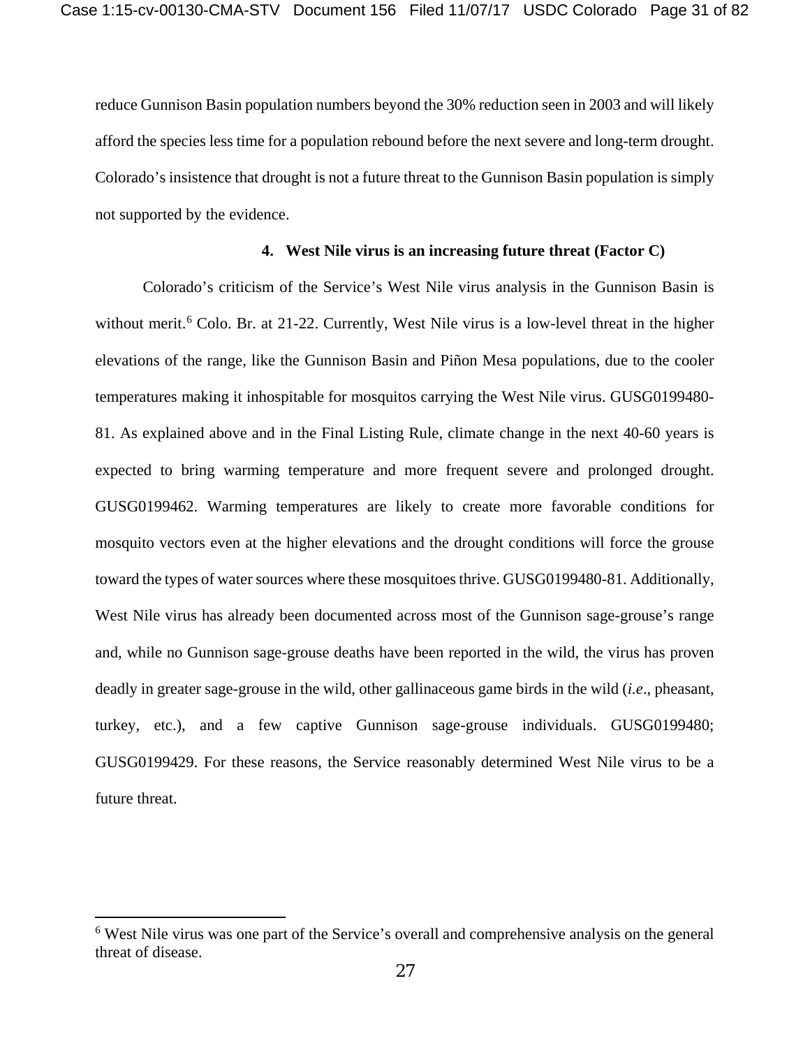reduce Gunnison Basin population numbers beyond the 30% reduction seen in 2003 and will likely afford the species less time for a population rebound before the next severe and long-term drought. Colorado's insistence that drought is not a future threat to the Gunnison Basin population is simply not supported by the evidence.

### **4. West Nile virus is an increasing future threat (Factor C)**

Colorado's criticism of the Service's West Nile virus analysis in the Gunnison Basin is without merit.<sup>[6](#page-30-0)</sup> Colo. Br. at 21-22. Currently, West Nile virus is a low-level threat in the higher elevations of the range, like the Gunnison Basin and Piñon Mesa populations, due to the cooler temperatures making it inhospitable for mosquitos carrying the West Nile virus. GUSG0199480- 81. As explained above and in the Final Listing Rule, climate change in the next 40-60 years is expected to bring warming temperature and more frequent severe and prolonged drought. GUSG0199462. Warming temperatures are likely to create more favorable conditions for mosquito vectors even at the higher elevations and the drought conditions will force the grouse toward the types of water sources where these mosquitoes thrive. GUSG0199480-81. Additionally, West Nile virus has already been documented across most of the Gunnison sage-grouse's range and, while no Gunnison sage-grouse deaths have been reported in the wild, the virus has proven deadly in greater sage-grouse in the wild, other gallinaceous game birds in the wild (*i.e*., pheasant, turkey, etc.), and a few captive Gunnison sage-grouse individuals. GUSG0199480; GUSG0199429. For these reasons, the Service reasonably determined West Nile virus to be a future threat.

 $\overline{a}$ 

<span id="page-30-0"></span><sup>6</sup> West Nile virus was one part of the Service's overall and comprehensive analysis on the general threat of disease.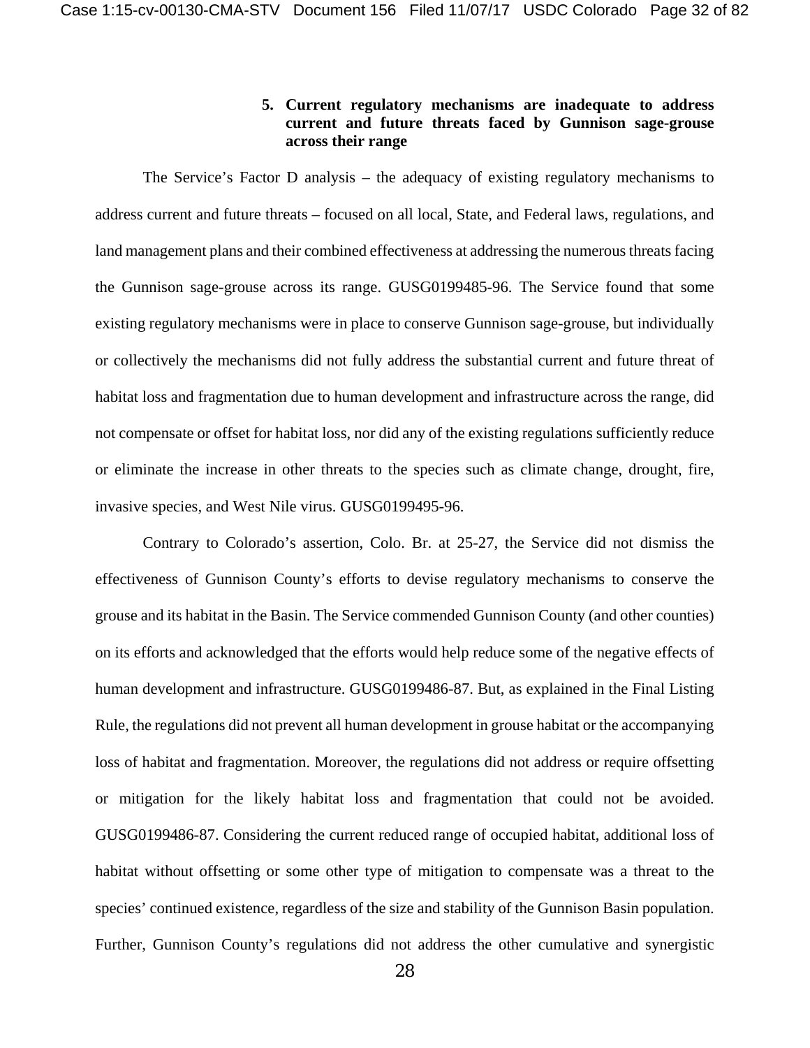# **5. Current regulatory mechanisms are inadequate to address current and future threats faced by Gunnison sage-grouse across their range**

The Service's Factor D analysis – the adequacy of existing regulatory mechanisms to address current and future threats – focused on all local, State, and Federal laws, regulations, and land management plans and their combined effectiveness at addressing the numerous threats facing the Gunnison sage-grouse across its range. GUSG0199485-96. The Service found that some existing regulatory mechanisms were in place to conserve Gunnison sage-grouse, but individually or collectively the mechanisms did not fully address the substantial current and future threat of habitat loss and fragmentation due to human development and infrastructure across the range, did not compensate or offset for habitat loss, nor did any of the existing regulations sufficiently reduce or eliminate the increase in other threats to the species such as climate change, drought, fire, invasive species, and West Nile virus. GUSG0199495-96.

Contrary to Colorado's assertion, Colo. Br. at 25-27, the Service did not dismiss the effectiveness of Gunnison County's efforts to devise regulatory mechanisms to conserve the grouse and its habitat in the Basin. The Service commended Gunnison County (and other counties) on its efforts and acknowledged that the efforts would help reduce some of the negative effects of human development and infrastructure. GUSG0199486-87. But, as explained in the Final Listing Rule, the regulations did not prevent all human development in grouse habitat or the accompanying loss of habitat and fragmentation. Moreover, the regulations did not address or require offsetting or mitigation for the likely habitat loss and fragmentation that could not be avoided. GUSG0199486-87. Considering the current reduced range of occupied habitat, additional loss of habitat without offsetting or some other type of mitigation to compensate was a threat to the species' continued existence, regardless of the size and stability of the Gunnison Basin population. Further, Gunnison County's regulations did not address the other cumulative and synergistic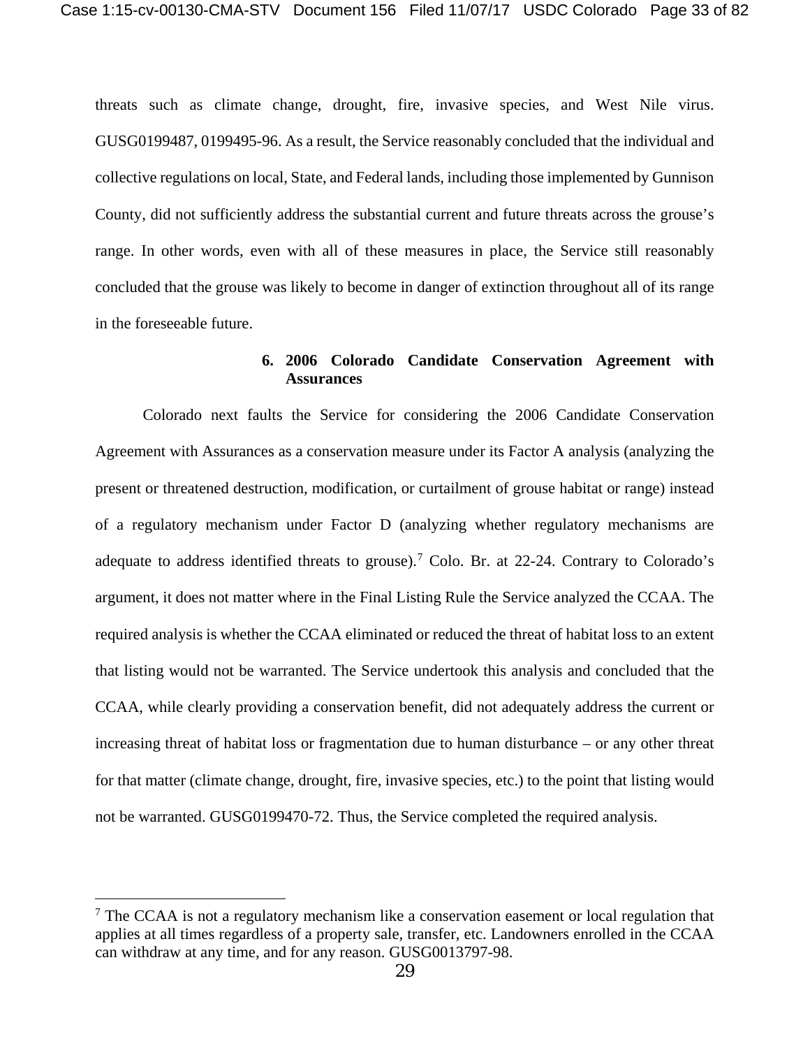threats such as climate change, drought, fire, invasive species, and West Nile virus. GUSG0199487, 0199495-96. As a result, the Service reasonably concluded that the individual and collective regulations on local, State, and Federal lands, including those implemented by Gunnison County, did not sufficiently address the substantial current and future threats across the grouse's range. In other words, even with all of these measures in place, the Service still reasonably concluded that the grouse was likely to become in danger of extinction throughout all of its range in the foreseeable future.

## **6. 2006 Colorado Candidate Conservation Agreement with Assurances**

Colorado next faults the Service for considering the 2006 Candidate Conservation Agreement with Assurances as a conservation measure under its Factor A analysis (analyzing the present or threatened destruction, modification, or curtailment of grouse habitat or range) instead of a regulatory mechanism under Factor D (analyzing whether regulatory mechanisms are adequate to address identified threats to grouse).<sup>[7](#page-32-0)</sup> Colo. Br. at  $22-24$ . Contrary to Colorado's argument, it does not matter where in the Final Listing Rule the Service analyzed the CCAA. The required analysis is whether the CCAA eliminated or reduced the threat of habitat loss to an extent that listing would not be warranted. The Service undertook this analysis and concluded that the CCAA, while clearly providing a conservation benefit, did not adequately address the current or increasing threat of habitat loss or fragmentation due to human disturbance – or any other threat for that matter (climate change, drought, fire, invasive species, etc.) to the point that listing would not be warranted. GUSG0199470-72. Thus, the Service completed the required analysis.

 $\overline{a}$ 

<span id="page-32-0"></span> $<sup>7</sup>$  The CCAA is not a regulatory mechanism like a conservation easement or local regulation that</sup> applies at all times regardless of a property sale, transfer, etc. Landowners enrolled in the CCAA can withdraw at any time, and for any reason. GUSG0013797-98.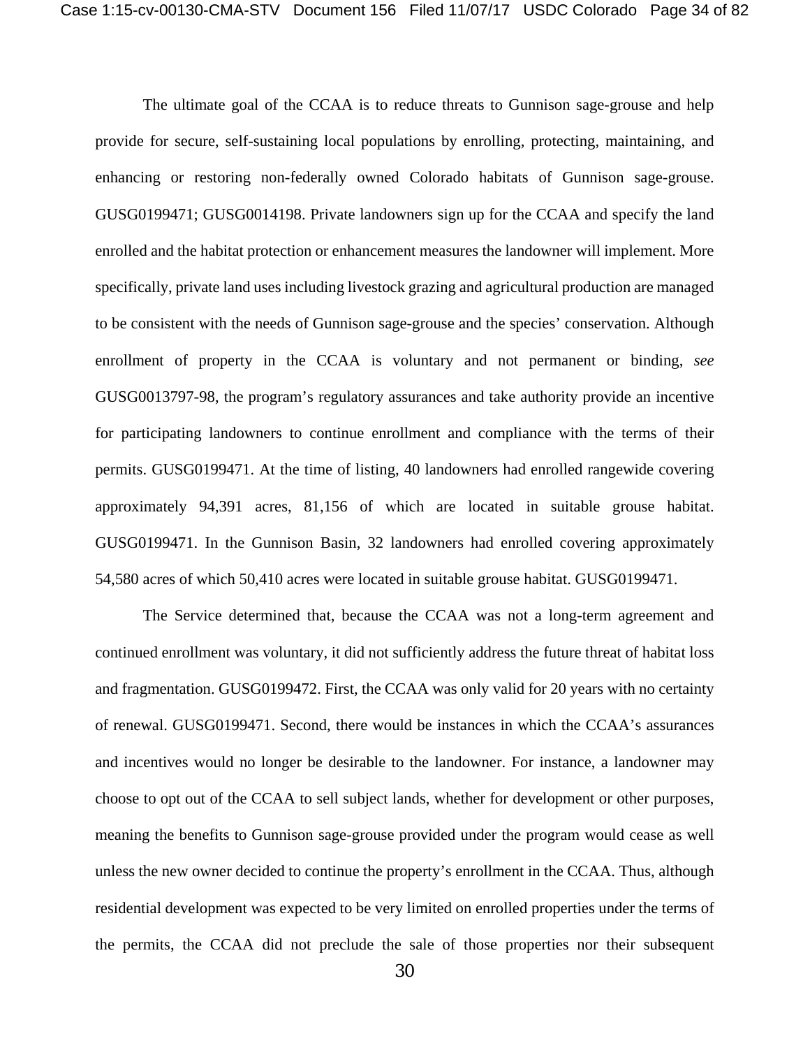The ultimate goal of the CCAA is to reduce threats to Gunnison sage-grouse and help provide for secure, self-sustaining local populations by enrolling, protecting, maintaining, and enhancing or restoring non-federally owned Colorado habitats of Gunnison sage-grouse. GUSG0199471; GUSG0014198. Private landowners sign up for the CCAA and specify the land enrolled and the habitat protection or enhancement measures the landowner will implement. More specifically, private land uses including livestock grazing and agricultural production are managed to be consistent with the needs of Gunnison sage-grouse and the species' conservation. Although enrollment of property in the CCAA is voluntary and not permanent or binding, *see* GUSG0013797-98, the program's regulatory assurances and take authority provide an incentive for participating landowners to continue enrollment and compliance with the terms of their permits. GUSG0199471. At the time of listing, 40 landowners had enrolled rangewide covering approximately 94,391 acres, 81,156 of which are located in suitable grouse habitat. GUSG0199471. In the Gunnison Basin, 32 landowners had enrolled covering approximately 54,580 acres of which 50,410 acres were located in suitable grouse habitat. GUSG0199471.

The Service determined that, because the CCAA was not a long-term agreement and continued enrollment was voluntary, it did not sufficiently address the future threat of habitat loss and fragmentation. GUSG0199472. First, the CCAA was only valid for 20 years with no certainty of renewal. GUSG0199471. Second, there would be instances in which the CCAA's assurances and incentives would no longer be desirable to the landowner. For instance, a landowner may choose to opt out of the CCAA to sell subject lands, whether for development or other purposes, meaning the benefits to Gunnison sage-grouse provided under the program would cease as well unless the new owner decided to continue the property's enrollment in the CCAA. Thus, although residential development was expected to be very limited on enrolled properties under the terms of the permits, the CCAA did not preclude the sale of those properties nor their subsequent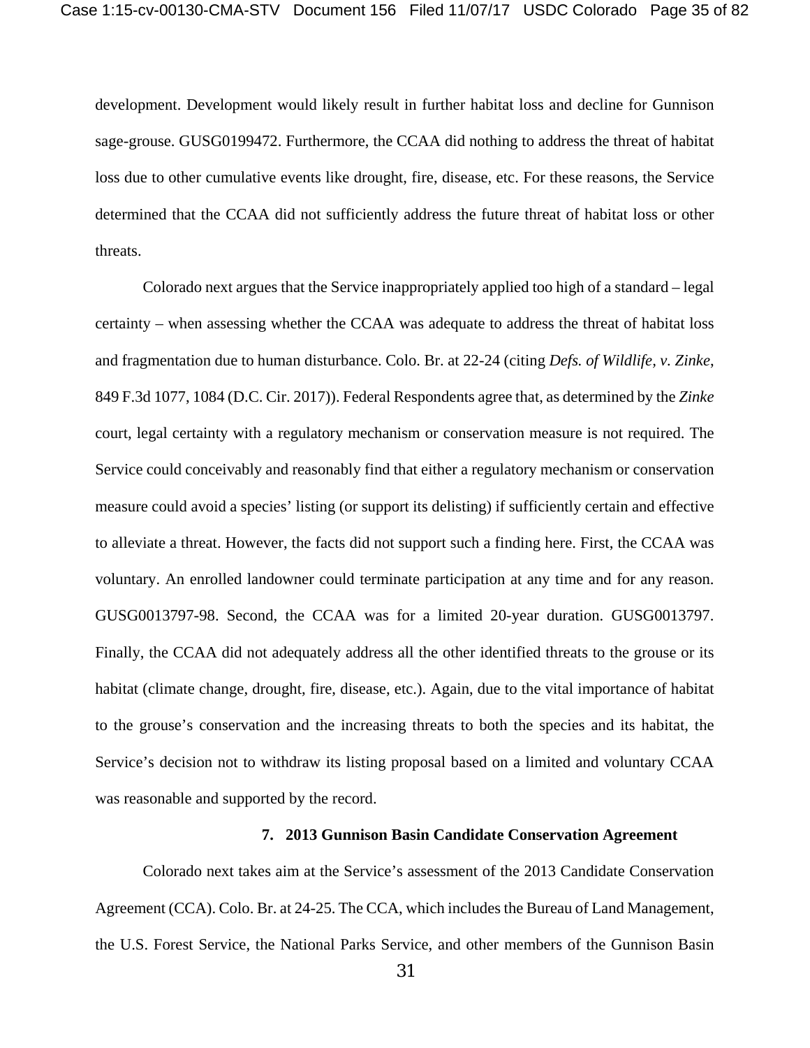development. Development would likely result in further habitat loss and decline for Gunnison sage-grouse. GUSG0199472. Furthermore, the CCAA did nothing to address the threat of habitat loss due to other cumulative events like drought, fire, disease, etc. For these reasons, the Service determined that the CCAA did not sufficiently address the future threat of habitat loss or other threats.

Colorado next argues that the Service inappropriately applied too high of a standard – legal certainty – when assessing whether the CCAA was adequate to address the threat of habitat loss and fragmentation due to human disturbance. Colo. Br. at 22-24 (citing *Defs. of Wildlife, v. Zinke*, 849 F.3d 1077, 1084 (D.C. Cir. 2017)). Federal Respondents agree that, as determined by the *Zinke* court, legal certainty with a regulatory mechanism or conservation measure is not required. The Service could conceivably and reasonably find that either a regulatory mechanism or conservation measure could avoid a species' listing (or support its delisting) if sufficiently certain and effective to alleviate a threat. However, the facts did not support such a finding here. First, the CCAA was voluntary. An enrolled landowner could terminate participation at any time and for any reason. GUSG0013797-98. Second, the CCAA was for a limited 20-year duration. GUSG0013797. Finally, the CCAA did not adequately address all the other identified threats to the grouse or its habitat (climate change, drought, fire, disease, etc.). Again, due to the vital importance of habitat to the grouse's conservation and the increasing threats to both the species and its habitat, the Service's decision not to withdraw its listing proposal based on a limited and voluntary CCAA was reasonable and supported by the record.

#### **7. 2013 Gunnison Basin Candidate Conservation Agreement**

Colorado next takes aim at the Service's assessment of the 2013 Candidate Conservation Agreement (CCA). Colo. Br. at 24-25. The CCA, which includes the Bureau of Land Management, the U.S. Forest Service, the National Parks Service, and other members of the Gunnison Basin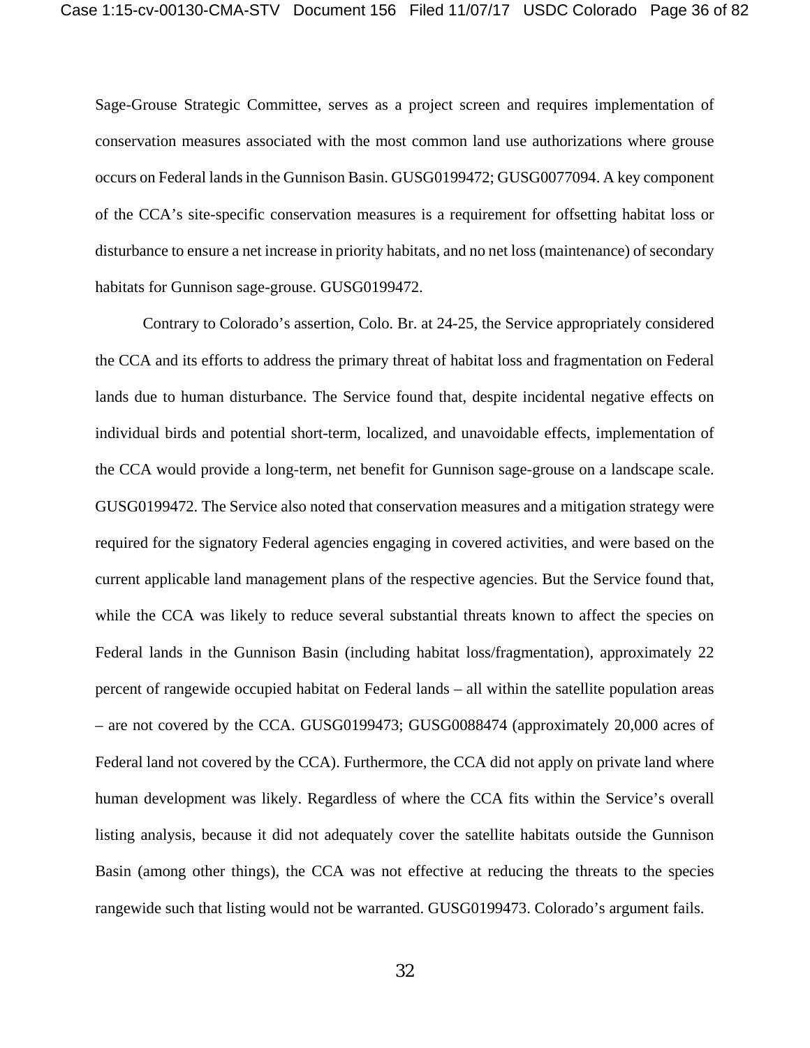Sage-Grouse Strategic Committee, serves as a project screen and requires implementation of conservation measures associated with the most common land use authorizations where grouse occurs on Federal lands in the Gunnison Basin. GUSG0199472; GUSG0077094. A key component of the CCA's site-specific conservation measures is a requirement for offsetting habitat loss or disturbance to ensure a net increase in priority habitats, and no net loss (maintenance) of secondary habitats for Gunnison sage-grouse. GUSG0199472.

Contrary to Colorado's assertion, Colo. Br. at 24-25, the Service appropriately considered the CCA and its efforts to address the primary threat of habitat loss and fragmentation on Federal lands due to human disturbance. The Service found that, despite incidental negative effects on individual birds and potential short-term, localized, and unavoidable effects, implementation of the CCA would provide a long-term, net benefit for Gunnison sage-grouse on a landscape scale. GUSG0199472. The Service also noted that conservation measures and a mitigation strategy were required for the signatory Federal agencies engaging in covered activities, and were based on the current applicable land management plans of the respective agencies. But the Service found that, while the CCA was likely to reduce several substantial threats known to affect the species on Federal lands in the Gunnison Basin (including habitat loss/fragmentation), approximately 22 percent of rangewide occupied habitat on Federal lands – all within the satellite population areas – are not covered by the CCA. GUSG0199473; GUSG0088474 (approximately 20,000 acres of Federal land not covered by the CCA). Furthermore, the CCA did not apply on private land where human development was likely. Regardless of where the CCA fits within the Service's overall listing analysis, because it did not adequately cover the satellite habitats outside the Gunnison Basin (among other things), the CCA was not effective at reducing the threats to the species rangewide such that listing would not be warranted. GUSG0199473. Colorado's argument fails.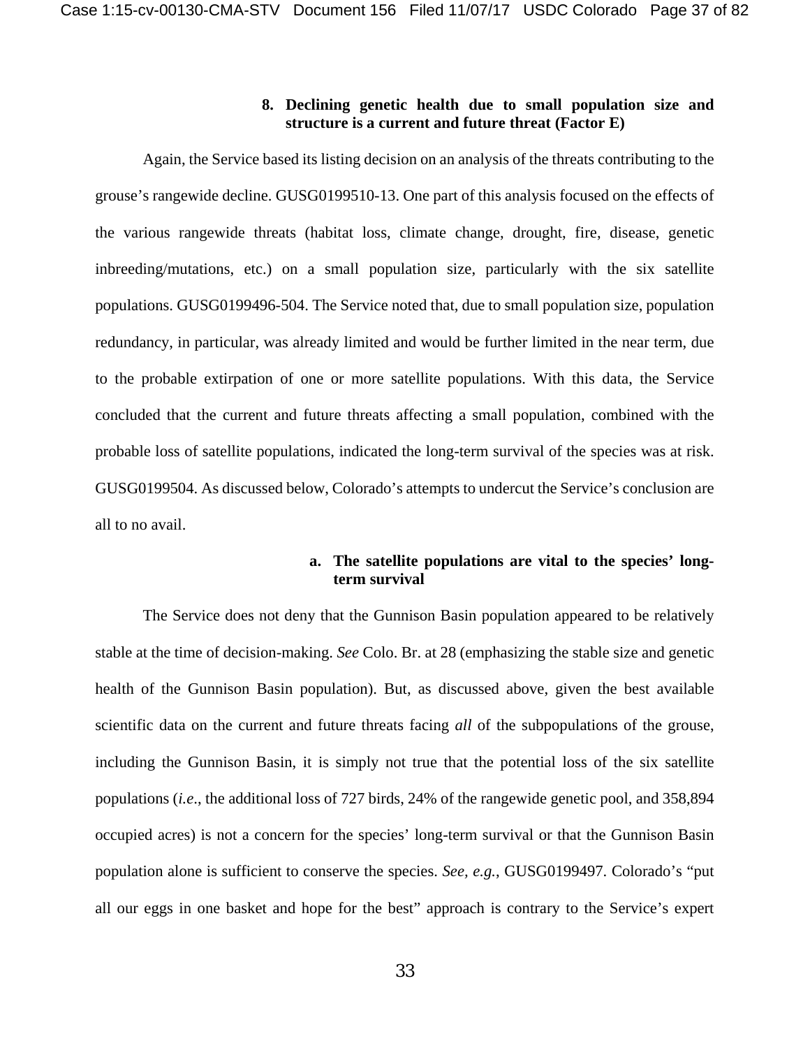### **8. Declining genetic health due to small population size and structure is a current and future threat (Factor E)**

Again, the Service based its listing decision on an analysis of the threats contributing to the grouse's rangewide decline. GUSG0199510-13. One part of this analysis focused on the effects of the various rangewide threats (habitat loss, climate change, drought, fire, disease, genetic inbreeding/mutations, etc.) on a small population size, particularly with the six satellite populations. GUSG0199496-504. The Service noted that, due to small population size, population redundancy, in particular, was already limited and would be further limited in the near term, due to the probable extirpation of one or more satellite populations. With this data, the Service concluded that the current and future threats affecting a small population, combined with the probable loss of satellite populations, indicated the long-term survival of the species was at risk. GUSG0199504. As discussed below, Colorado's attempts to undercut the Service's conclusion are all to no avail.

## **a. The satellite populations are vital to the species' longterm survival**

The Service does not deny that the Gunnison Basin population appeared to be relatively stable at the time of decision-making. *See* Colo. Br. at 28 (emphasizing the stable size and genetic health of the Gunnison Basin population). But, as discussed above, given the best available scientific data on the current and future threats facing *all* of the subpopulations of the grouse, including the Gunnison Basin, it is simply not true that the potential loss of the six satellite populations (*i.e*., the additional loss of 727 birds, 24% of the rangewide genetic pool, and 358,894 occupied acres) is not a concern for the species' long-term survival or that the Gunnison Basin population alone is sufficient to conserve the species. *See, e.g.*, GUSG0199497. Colorado's "put all our eggs in one basket and hope for the best" approach is contrary to the Service's expert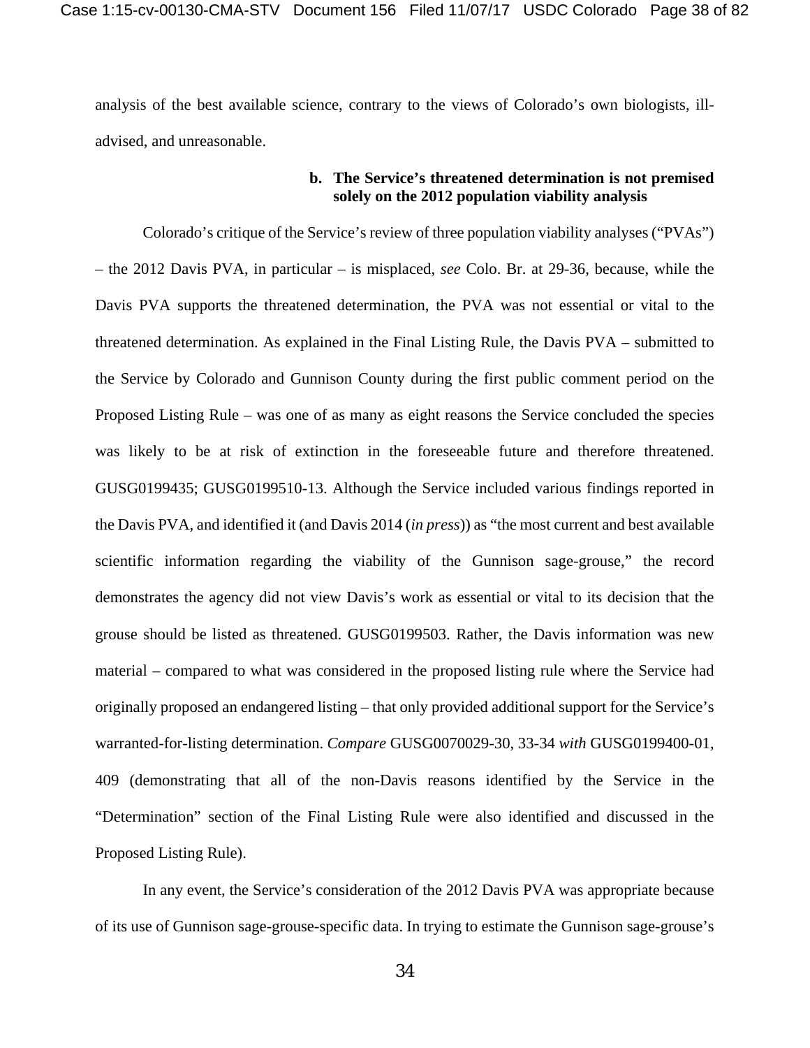analysis of the best available science, contrary to the views of Colorado's own biologists, illadvised, and unreasonable.

## **b. The Service's threatened determination is not premised solely on the 2012 population viability analysis**

Colorado's critique of the Service's review of three population viability analyses ("PVAs") – the 2012 Davis PVA, in particular – is misplaced, *see* Colo. Br. at 29-36, because, while the Davis PVA supports the threatened determination, the PVA was not essential or vital to the threatened determination. As explained in the Final Listing Rule, the Davis PVA – submitted to the Service by Colorado and Gunnison County during the first public comment period on the Proposed Listing Rule – was one of as many as eight reasons the Service concluded the species was likely to be at risk of extinction in the foreseeable future and therefore threatened. GUSG0199435; GUSG0199510-13. Although the Service included various findings reported in the Davis PVA, and identified it (and Davis 2014 (*in press*)) as "the most current and best available scientific information regarding the viability of the Gunnison sage-grouse," the record demonstrates the agency did not view Davis's work as essential or vital to its decision that the grouse should be listed as threatened. GUSG0199503. Rather, the Davis information was new material – compared to what was considered in the proposed listing rule where the Service had originally proposed an endangered listing – that only provided additional support for the Service's warranted-for-listing determination. *Compare* GUSG0070029-30, 33-34 *with* GUSG0199400-01, 409 (demonstrating that all of the non-Davis reasons identified by the Service in the "Determination" section of the Final Listing Rule were also identified and discussed in the Proposed Listing Rule).

In any event, the Service's consideration of the 2012 Davis PVA was appropriate because of its use of Gunnison sage-grouse-specific data. In trying to estimate the Gunnison sage-grouse's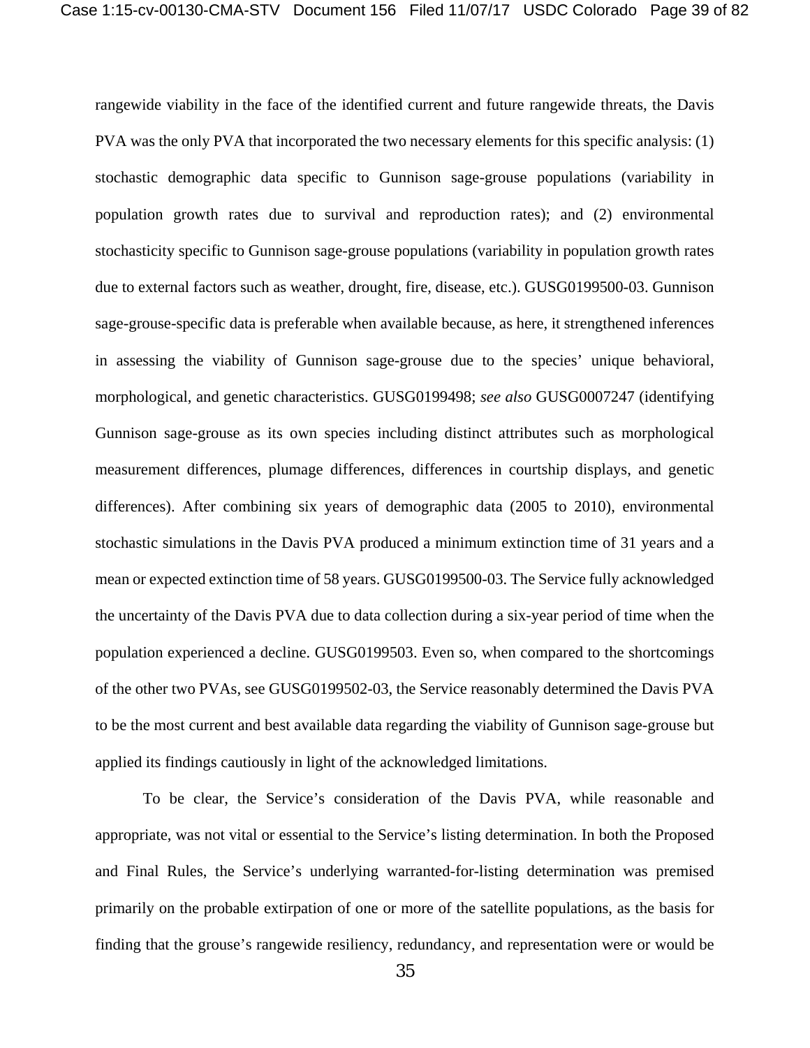rangewide viability in the face of the identified current and future rangewide threats, the Davis PVA was the only PVA that incorporated the two necessary elements for this specific analysis: (1) stochastic demographic data specific to Gunnison sage-grouse populations (variability in population growth rates due to survival and reproduction rates); and (2) environmental stochasticity specific to Gunnison sage-grouse populations (variability in population growth rates due to external factors such as weather, drought, fire, disease, etc.). GUSG0199500-03. Gunnison sage-grouse-specific data is preferable when available because, as here, it strengthened inferences in assessing the viability of Gunnison sage-grouse due to the species' unique behavioral, morphological, and genetic characteristics. GUSG0199498; *see also* GUSG0007247 (identifying Gunnison sage-grouse as its own species including distinct attributes such as morphological measurement differences, plumage differences, differences in courtship displays, and genetic differences). After combining six years of demographic data (2005 to 2010), environmental stochastic simulations in the Davis PVA produced a minimum extinction time of 31 years and a mean or expected extinction time of 58 years. GUSG0199500-03. The Service fully acknowledged the uncertainty of the Davis PVA due to data collection during a six-year period of time when the population experienced a decline. GUSG0199503. Even so, when compared to the shortcomings of the other two PVAs, see GUSG0199502-03, the Service reasonably determined the Davis PVA to be the most current and best available data regarding the viability of Gunnison sage-grouse but applied its findings cautiously in light of the acknowledged limitations.

To be clear, the Service's consideration of the Davis PVA, while reasonable and appropriate, was not vital or essential to the Service's listing determination. In both the Proposed and Final Rules, the Service's underlying warranted-for-listing determination was premised primarily on the probable extirpation of one or more of the satellite populations, as the basis for finding that the grouse's rangewide resiliency, redundancy, and representation were or would be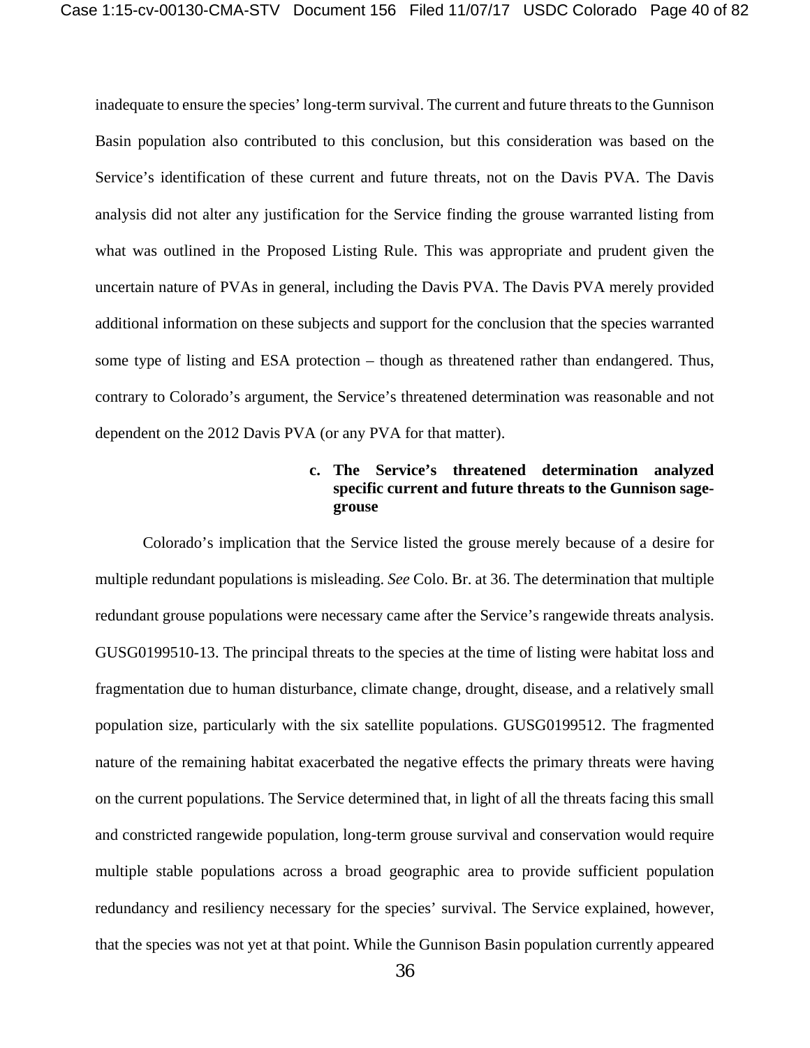inadequate to ensure the species' long-term survival. The current and future threats to the Gunnison Basin population also contributed to this conclusion, but this consideration was based on the Service's identification of these current and future threats, not on the Davis PVA. The Davis analysis did not alter any justification for the Service finding the grouse warranted listing from what was outlined in the Proposed Listing Rule. This was appropriate and prudent given the uncertain nature of PVAs in general, including the Davis PVA. The Davis PVA merely provided additional information on these subjects and support for the conclusion that the species warranted some type of listing and ESA protection – though as threatened rather than endangered. Thus, contrary to Colorado's argument, the Service's threatened determination was reasonable and not dependent on the 2012 Davis PVA (or any PVA for that matter).

# **c. The Service's threatened determination analyzed specific current and future threats to the Gunnison sagegrouse**

Colorado's implication that the Service listed the grouse merely because of a desire for multiple redundant populations is misleading. *See* Colo. Br. at 36. The determination that multiple redundant grouse populations were necessary came after the Service's rangewide threats analysis. GUSG0199510-13. The principal threats to the species at the time of listing were habitat loss and fragmentation due to human disturbance, climate change, drought, disease, and a relatively small population size, particularly with the six satellite populations. GUSG0199512. The fragmented nature of the remaining habitat exacerbated the negative effects the primary threats were having on the current populations. The Service determined that, in light of all the threats facing this small and constricted rangewide population, long-term grouse survival and conservation would require multiple stable populations across a broad geographic area to provide sufficient population redundancy and resiliency necessary for the species' survival. The Service explained, however, that the species was not yet at that point. While the Gunnison Basin population currently appeared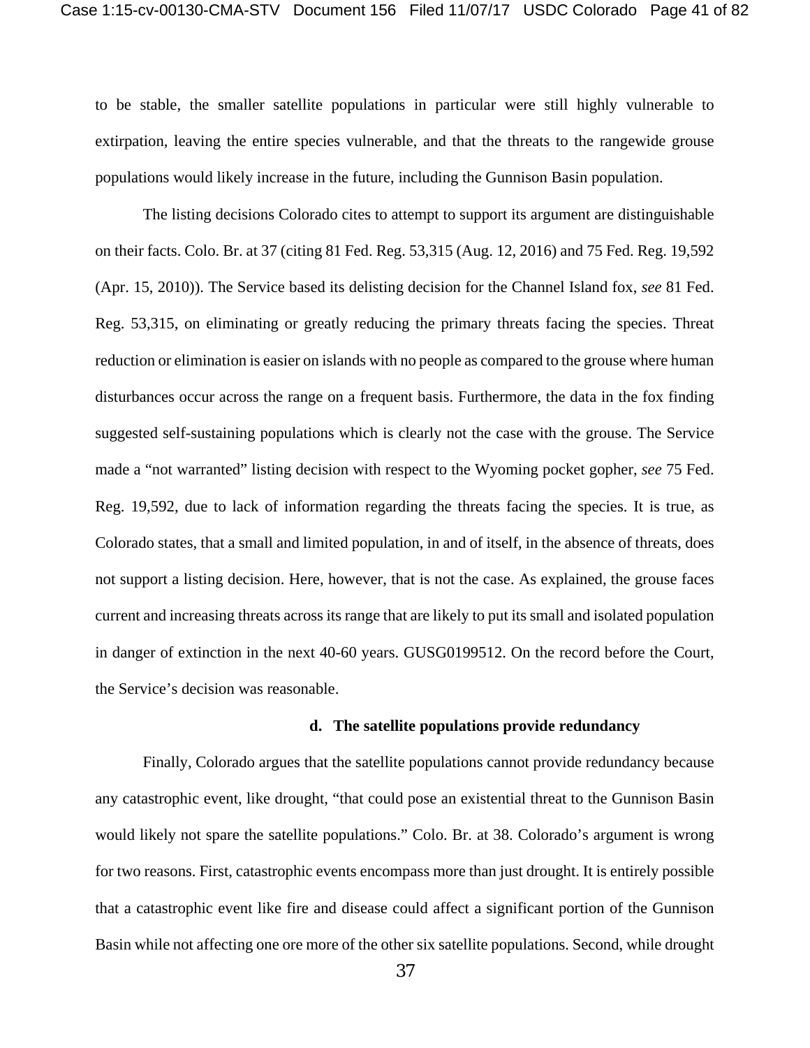to be stable, the smaller satellite populations in particular were still highly vulnerable to extirpation, leaving the entire species vulnerable, and that the threats to the rangewide grouse populations would likely increase in the future, including the Gunnison Basin population.

The listing decisions Colorado cites to attempt to support its argument are distinguishable on their facts. Colo. Br. at 37 (citing 81 Fed. Reg. 53,315 (Aug. 12, 2016) and 75 Fed. Reg. 19,592 (Apr. 15, 2010)). The Service based its delisting decision for the Channel Island fox, *see* 81 Fed. Reg. 53,315, on eliminating or greatly reducing the primary threats facing the species. Threat reduction or elimination is easier on islands with no people as compared to the grouse where human disturbances occur across the range on a frequent basis. Furthermore, the data in the fox finding suggested self-sustaining populations which is clearly not the case with the grouse. The Service made a "not warranted" listing decision with respect to the Wyoming pocket gopher, *see* 75 Fed. Reg. 19,592, due to lack of information regarding the threats facing the species. It is true, as Colorado states, that a small and limited population, in and of itself, in the absence of threats, does not support a listing decision. Here, however, that is not the case. As explained, the grouse faces current and increasing threats across its range that are likely to put its small and isolated population in danger of extinction in the next 40-60 years. GUSG0199512. On the record before the Court, the Service's decision was reasonable.

#### **d. The satellite populations provide redundancy**

Finally, Colorado argues that the satellite populations cannot provide redundancy because any catastrophic event, like drought, "that could pose an existential threat to the Gunnison Basin would likely not spare the satellite populations." Colo. Br. at 38. Colorado's argument is wrong for two reasons. First, catastrophic events encompass more than just drought. It is entirely possible that a catastrophic event like fire and disease could affect a significant portion of the Gunnison Basin while not affecting one ore more of the other six satellite populations. Second, while drought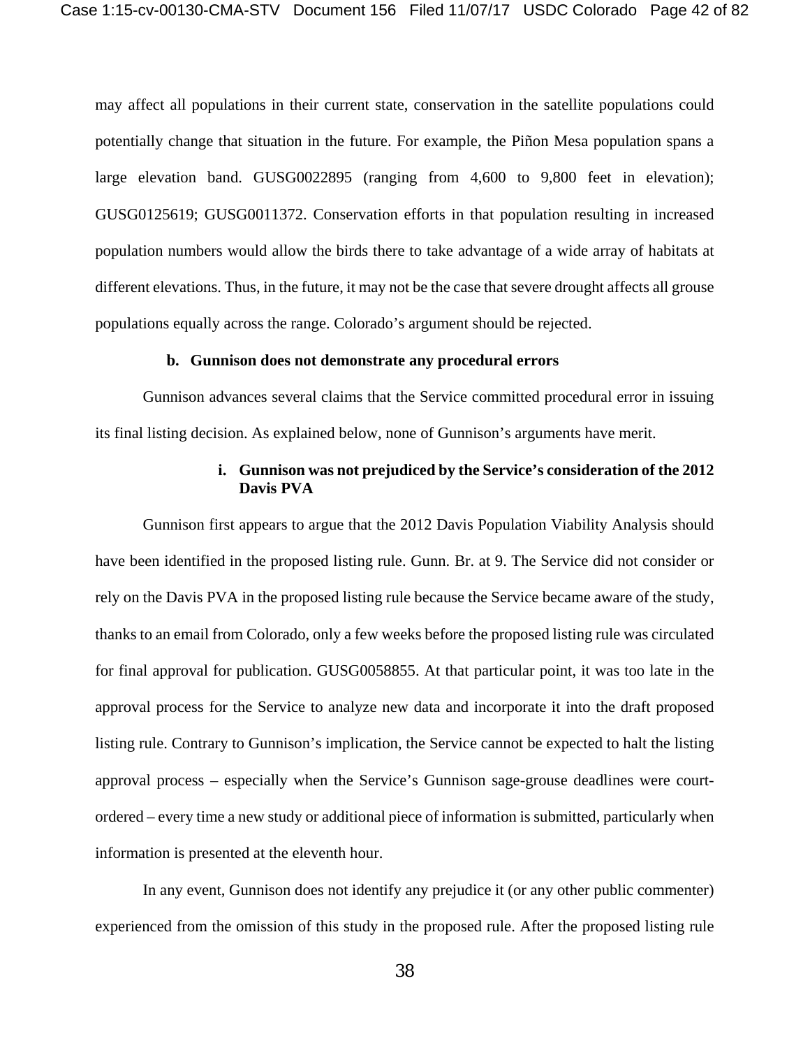may affect all populations in their current state, conservation in the satellite populations could potentially change that situation in the future. For example, the Piñon Mesa population spans a large elevation band. GUSG0022895 (ranging from 4,600 to 9,800 feet in elevation); GUSG0125619; GUSG0011372. Conservation efforts in that population resulting in increased population numbers would allow the birds there to take advantage of a wide array of habitats at different elevations. Thus, in the future, it may not be the case that severe drought affects all grouse populations equally across the range. Colorado's argument should be rejected.

#### **b. Gunnison does not demonstrate any procedural errors**

Gunnison advances several claims that the Service committed procedural error in issuing its final listing decision. As explained below, none of Gunnison's arguments have merit.

### **i. Gunnison was not prejudiced by the Service's consideration of the 2012 Davis PVA**

Gunnison first appears to argue that the 2012 Davis Population Viability Analysis should have been identified in the proposed listing rule. Gunn. Br. at 9. The Service did not consider or rely on the Davis PVA in the proposed listing rule because the Service became aware of the study, thanks to an email from Colorado, only a few weeks before the proposed listing rule was circulated for final approval for publication. GUSG0058855. At that particular point, it was too late in the approval process for the Service to analyze new data and incorporate it into the draft proposed listing rule. Contrary to Gunnison's implication, the Service cannot be expected to halt the listing approval process – especially when the Service's Gunnison sage-grouse deadlines were courtordered – every time a new study or additional piece of information is submitted, particularly when information is presented at the eleventh hour.

In any event, Gunnison does not identify any prejudice it (or any other public commenter) experienced from the omission of this study in the proposed rule. After the proposed listing rule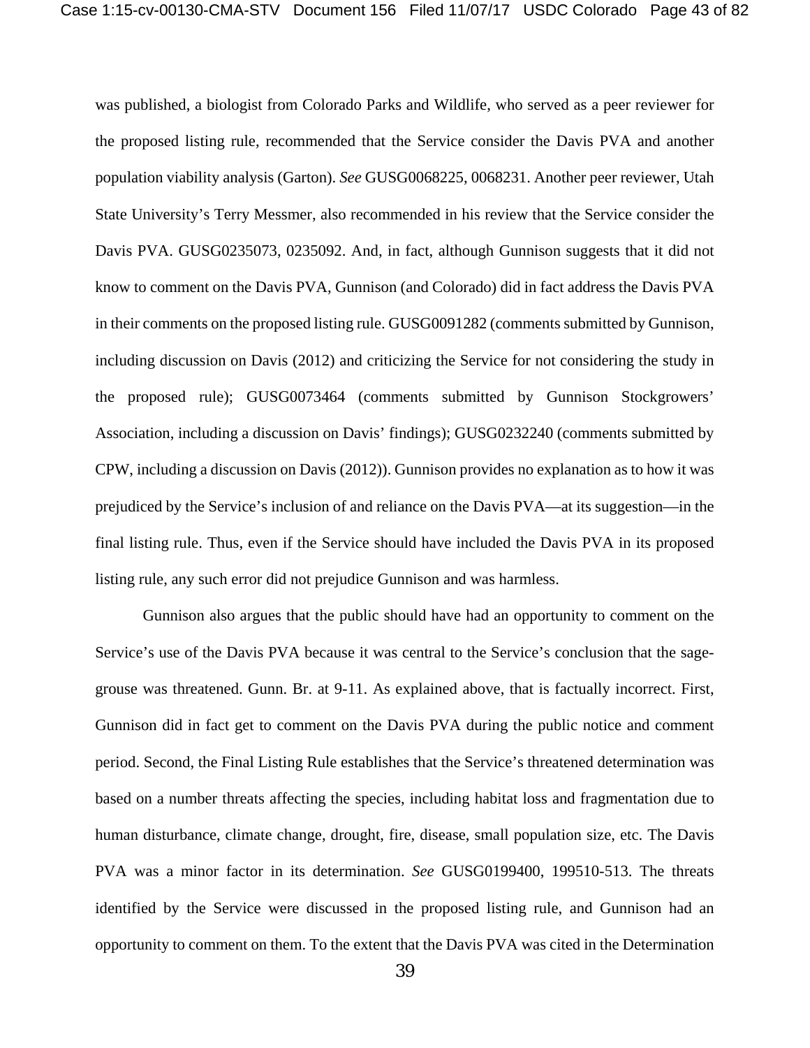was published, a biologist from Colorado Parks and Wildlife, who served as a peer reviewer for the proposed listing rule, recommended that the Service consider the Davis PVA and another population viability analysis (Garton). *See* GUSG0068225, 0068231. Another peer reviewer, Utah State University's Terry Messmer, also recommended in his review that the Service consider the Davis PVA. GUSG0235073, 0235092. And, in fact, although Gunnison suggests that it did not know to comment on the Davis PVA, Gunnison (and Colorado) did in fact address the Davis PVA in their comments on the proposed listing rule. GUSG0091282 (comments submitted by Gunnison, including discussion on Davis (2012) and criticizing the Service for not considering the study in the proposed rule); GUSG0073464 (comments submitted by Gunnison Stockgrowers' Association, including a discussion on Davis' findings); GUSG0232240 (comments submitted by CPW, including a discussion on Davis (2012)). Gunnison provides no explanation as to how it was prejudiced by the Service's inclusion of and reliance on the Davis PVA—at its suggestion—in the final listing rule. Thus, even if the Service should have included the Davis PVA in its proposed listing rule, any such error did not prejudice Gunnison and was harmless.

Gunnison also argues that the public should have had an opportunity to comment on the Service's use of the Davis PVA because it was central to the Service's conclusion that the sagegrouse was threatened. Gunn. Br. at 9-11. As explained above, that is factually incorrect. First, Gunnison did in fact get to comment on the Davis PVA during the public notice and comment period. Second, the Final Listing Rule establishes that the Service's threatened determination was based on a number threats affecting the species, including habitat loss and fragmentation due to human disturbance, climate change, drought, fire, disease, small population size, etc. The Davis PVA was a minor factor in its determination. *See* GUSG0199400, 199510-513. The threats identified by the Service were discussed in the proposed listing rule, and Gunnison had an opportunity to comment on them. To the extent that the Davis PVA was cited in the Determination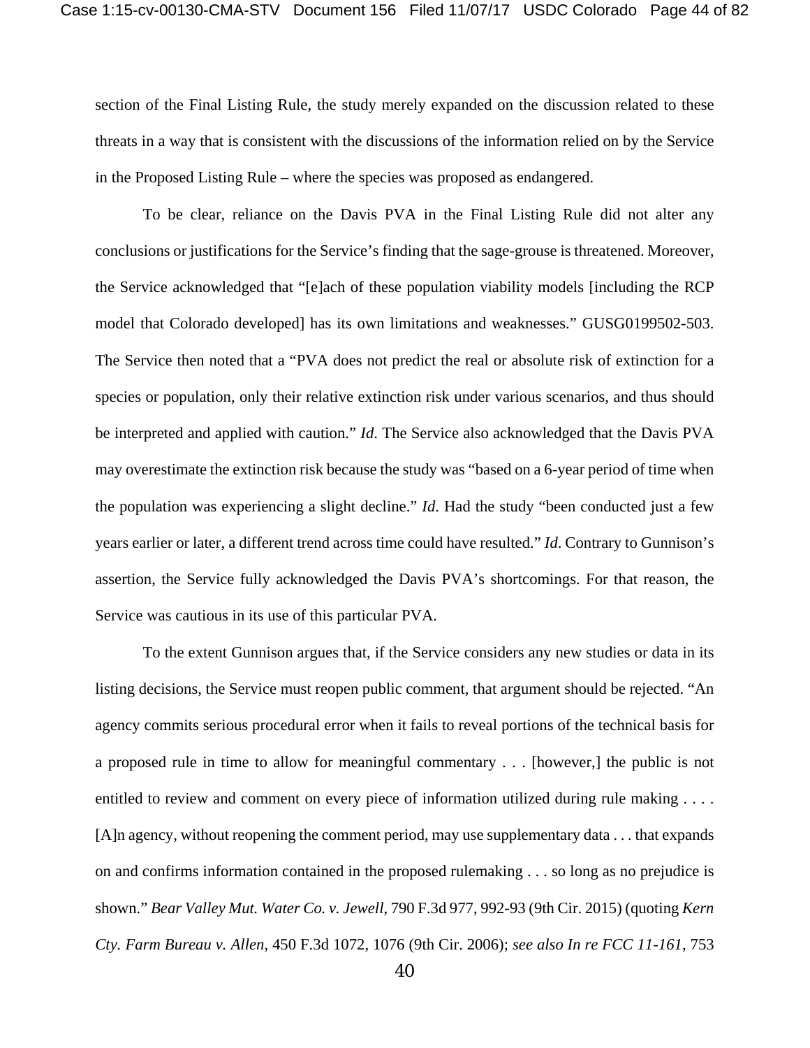section of the Final Listing Rule, the study merely expanded on the discussion related to these threats in a way that is consistent with the discussions of the information relied on by the Service in the Proposed Listing Rule – where the species was proposed as endangered.

To be clear, reliance on the Davis PVA in the Final Listing Rule did not alter any conclusions or justifications for the Service's finding that the sage-grouse is threatened. Moreover, the Service acknowledged that "[e]ach of these population viability models [including the RCP model that Colorado developed] has its own limitations and weaknesses." GUSG0199502-503. The Service then noted that a "PVA does not predict the real or absolute risk of extinction for a species or population, only their relative extinction risk under various scenarios, and thus should be interpreted and applied with caution." *Id*. The Service also acknowledged that the Davis PVA may overestimate the extinction risk because the study was "based on a 6-year period of time when the population was experiencing a slight decline." *Id*. Had the study "been conducted just a few years earlier or later, a different trend across time could have resulted." *Id*. Contrary to Gunnison's assertion, the Service fully acknowledged the Davis PVA's shortcomings. For that reason, the Service was cautious in its use of this particular PVA.

To the extent Gunnison argues that, if the Service considers any new studies or data in its listing decisions, the Service must reopen public comment, that argument should be rejected. "An agency commits serious procedural error when it fails to reveal portions of the technical basis for a proposed rule in time to allow for meaningful commentary . . . [however,] the public is not entitled to review and comment on every piece of information utilized during rule making . . . . [A]n agency, without reopening the comment period, may use supplementary data . . . that expands on and confirms information contained in the proposed rulemaking . . . so long as no prejudice is shown." *Bear Valley Mut. Water Co. v. Jewell*, 790 F.3d 977, 992-93 (9th Cir. 2015) (quoting *Kern Cty. Farm Bureau v. Allen*, 450 F.3d 1072, 1076 (9th Cir. 2006); *see also In re FCC 11-161*, 753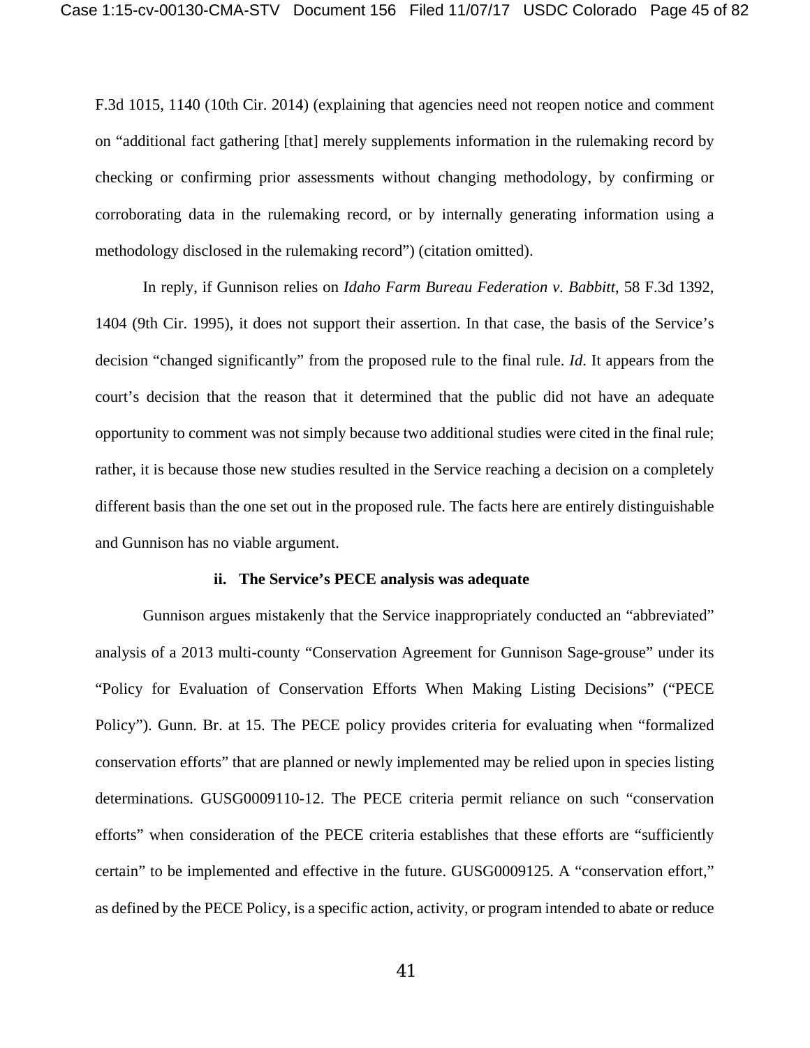F.3d 1015, 1140 (10th Cir. 2014) (explaining that agencies need not reopen notice and comment on "additional fact gathering [that] merely supplements information in the rulemaking record by checking or confirming prior assessments without changing methodology, by confirming or corroborating data in the rulemaking record, or by internally generating information using a methodology disclosed in the rulemaking record") (citation omitted).

In reply, if Gunnison relies on *Idaho Farm Bureau Federation v. Babbitt*, 58 F.3d 1392, 1404 (9th Cir. 1995), it does not support their assertion. In that case, the basis of the Service's decision "changed significantly" from the proposed rule to the final rule. *Id*. It appears from the court's decision that the reason that it determined that the public did not have an adequate opportunity to comment was not simply because two additional studies were cited in the final rule; rather, it is because those new studies resulted in the Service reaching a decision on a completely different basis than the one set out in the proposed rule. The facts here are entirely distinguishable and Gunnison has no viable argument.

## **ii. The Service's PECE analysis was adequate**

Gunnison argues mistakenly that the Service inappropriately conducted an "abbreviated" analysis of a 2013 multi-county "Conservation Agreement for Gunnison Sage-grouse" under its "Policy for Evaluation of Conservation Efforts When Making Listing Decisions" ("PECE Policy"). Gunn. Br. at 15. The PECE policy provides criteria for evaluating when "formalized conservation efforts" that are planned or newly implemented may be relied upon in species listing determinations. GUSG0009110-12. The PECE criteria permit reliance on such "conservation efforts" when consideration of the PECE criteria establishes that these efforts are "sufficiently certain" to be implemented and effective in the future. GUSG0009125. A "conservation effort," as defined by the PECE Policy, is a specific action, activity, or program intended to abate or reduce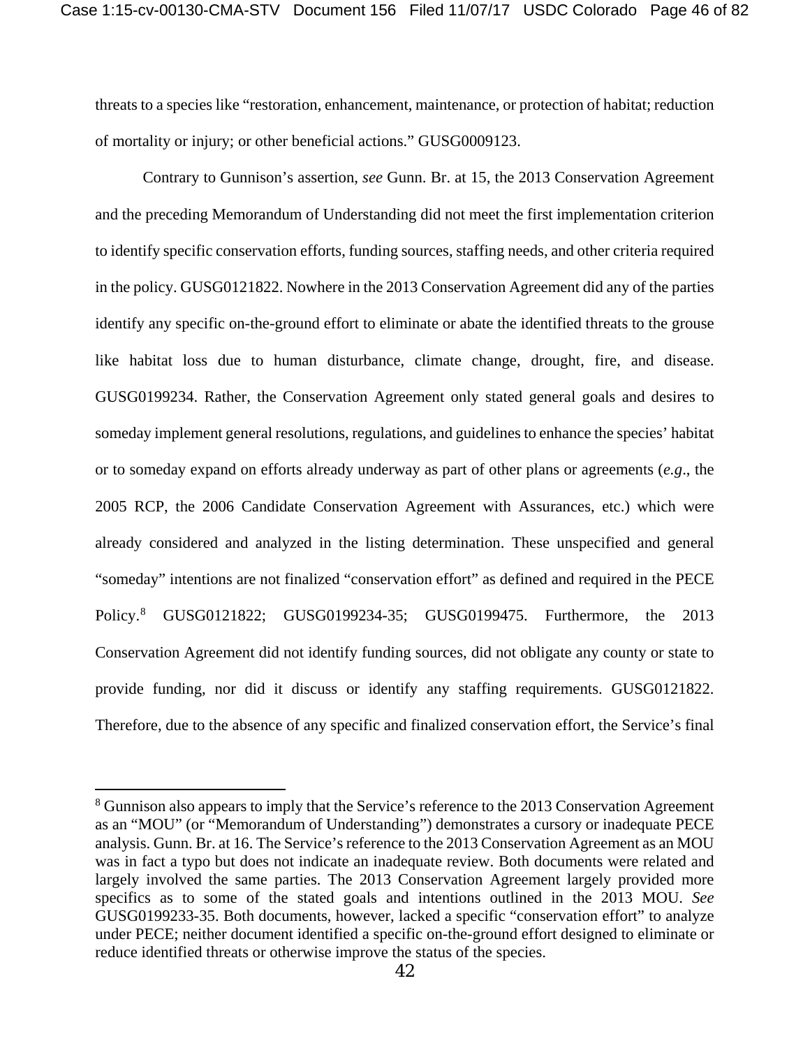threats to a species like "restoration, enhancement, maintenance, or protection of habitat; reduction of mortality or injury; or other beneficial actions." GUSG0009123.

Contrary to Gunnison's assertion, *see* Gunn. Br. at 15, the 2013 Conservation Agreement and the preceding Memorandum of Understanding did not meet the first implementation criterion to identify specific conservation efforts, funding sources, staffing needs, and other criteria required in the policy. GUSG0121822. Nowhere in the 2013 Conservation Agreement did any of the parties identify any specific on-the-ground effort to eliminate or abate the identified threats to the grouse like habitat loss due to human disturbance, climate change, drought, fire, and disease. GUSG0199234. Rather, the Conservation Agreement only stated general goals and desires to someday implement general resolutions, regulations, and guidelines to enhance the species' habitat or to someday expand on efforts already underway as part of other plans or agreements (*e.g*., the 2005 RCP, the 2006 Candidate Conservation Agreement with Assurances, etc.) which were already considered and analyzed in the listing determination. These unspecified and general "someday" intentions are not finalized "conservation effort" as defined and required in the PECE Policy.[8](#page-45-0) GUSG0121822; GUSG0199234-35; GUSG0199475. Furthermore, the 2013 Conservation Agreement did not identify funding sources, did not obligate any county or state to provide funding, nor did it discuss or identify any staffing requirements. GUSG0121822. Therefore, due to the absence of any specific and finalized conservation effort, the Service's final

<span id="page-45-0"></span><sup>&</sup>lt;sup>8</sup> Gunnison also appears to imply that the Service's reference to the 2013 Conservation Agreement as an "MOU" (or "Memorandum of Understanding") demonstrates a cursory or inadequate PECE analysis. Gunn. Br. at 16. The Service's reference to the 2013 Conservation Agreement as an MOU was in fact a typo but does not indicate an inadequate review. Both documents were related and largely involved the same parties. The 2013 Conservation Agreement largely provided more specifics as to some of the stated goals and intentions outlined in the 2013 MOU. *See* GUSG0199233-35. Both documents, however, lacked a specific "conservation effort" to analyze under PECE; neither document identified a specific on-the-ground effort designed to eliminate or reduce identified threats or otherwise improve the status of the species.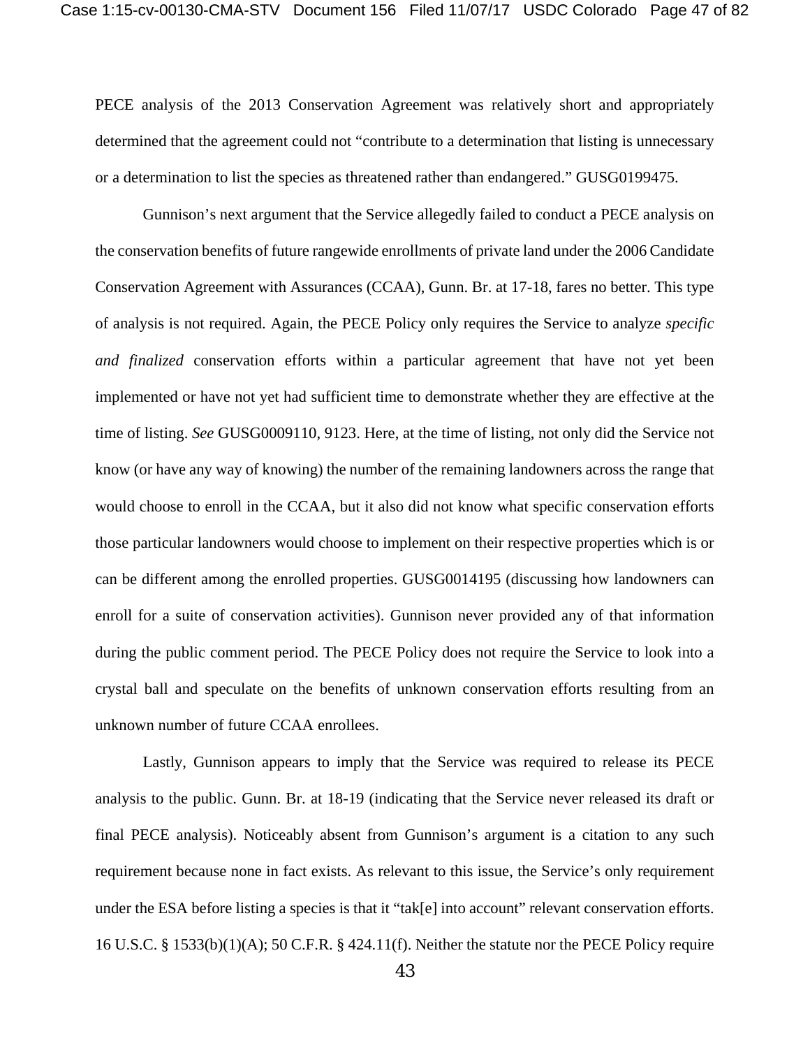PECE analysis of the 2013 Conservation Agreement was relatively short and appropriately determined that the agreement could not "contribute to a determination that listing is unnecessary or a determination to list the species as threatened rather than endangered." GUSG0199475.

Gunnison's next argument that the Service allegedly failed to conduct a PECE analysis on the conservation benefits of future rangewide enrollments of private land under the 2006 Candidate Conservation Agreement with Assurances (CCAA), Gunn. Br. at 17-18, fares no better. This type of analysis is not required. Again, the PECE Policy only requires the Service to analyze *specific and finalized* conservation efforts within a particular agreement that have not yet been implemented or have not yet had sufficient time to demonstrate whether they are effective at the time of listing. *See* GUSG0009110, 9123. Here, at the time of listing, not only did the Service not know (or have any way of knowing) the number of the remaining landowners across the range that would choose to enroll in the CCAA, but it also did not know what specific conservation efforts those particular landowners would choose to implement on their respective properties which is or can be different among the enrolled properties. GUSG0014195 (discussing how landowners can enroll for a suite of conservation activities). Gunnison never provided any of that information during the public comment period. The PECE Policy does not require the Service to look into a crystal ball and speculate on the benefits of unknown conservation efforts resulting from an unknown number of future CCAA enrollees.

Lastly, Gunnison appears to imply that the Service was required to release its PECE analysis to the public. Gunn. Br. at 18-19 (indicating that the Service never released its draft or final PECE analysis). Noticeably absent from Gunnison's argument is a citation to any such requirement because none in fact exists. As relevant to this issue, the Service's only requirement under the ESA before listing a species is that it "tak[e] into account" relevant conservation efforts. 16 U.S.C. § 1533(b)(1)(A); 50 C.F.R. § 424.11(f). Neither the statute nor the PECE Policy require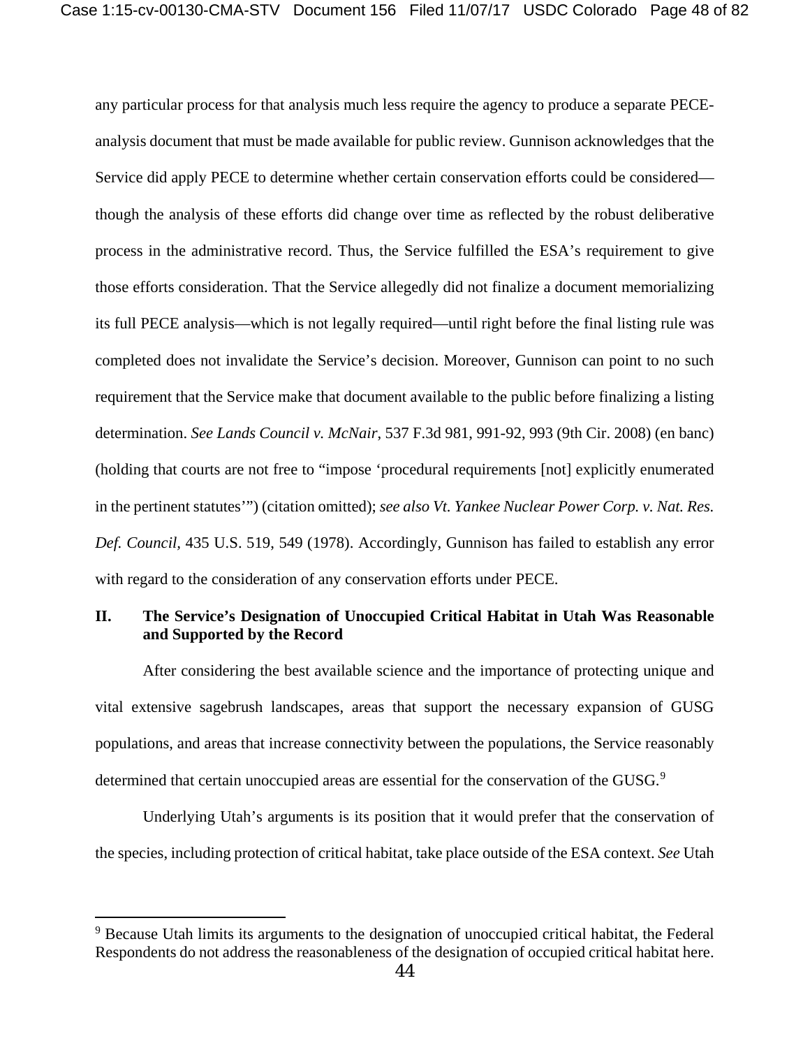any particular process for that analysis much less require the agency to produce a separate PECEanalysis document that must be made available for public review. Gunnison acknowledges that the Service did apply PECE to determine whether certain conservation efforts could be considered though the analysis of these efforts did change over time as reflected by the robust deliberative process in the administrative record. Thus, the Service fulfilled the ESA's requirement to give those efforts consideration. That the Service allegedly did not finalize a document memorializing its full PECE analysis—which is not legally required—until right before the final listing rule was completed does not invalidate the Service's decision. Moreover, Gunnison can point to no such requirement that the Service make that document available to the public before finalizing a listing determination. *See Lands Council v. McNair*, 537 F.3d 981, 991-92, 993 (9th Cir. 2008) (en banc) (holding that courts are not free to "impose 'procedural requirements [not] explicitly enumerated in the pertinent statutes'") (citation omitted); *see also Vt. Yankee Nuclear Power Corp. v. Nat. Res. Def. Council,* 435 U.S. 519, 549 (1978). Accordingly, Gunnison has failed to establish any error with regard to the consideration of any conservation efforts under PECE.

# **II. The Service's Designation of Unoccupied Critical Habitat in Utah Was Reasonable and Supported by the Record**

After considering the best available science and the importance of protecting unique and vital extensive sagebrush landscapes, areas that support the necessary expansion of GUSG populations, and areas that increase connectivity between the populations, the Service reasonably determined that certain unoccupied areas are essential for the conservation of the GUSG.<sup>[9](#page-47-0)</sup>

Underlying Utah's arguments is its position that it would prefer that the conservation of the species, including protection of critical habitat, take place outside of the ESA context. *See* Utah

<span id="page-47-0"></span><sup>&</sup>lt;sup>9</sup> Because Utah limits its arguments to the designation of unoccupied critical habitat, the Federal Respondents do not address the reasonableness of the designation of occupied critical habitat here.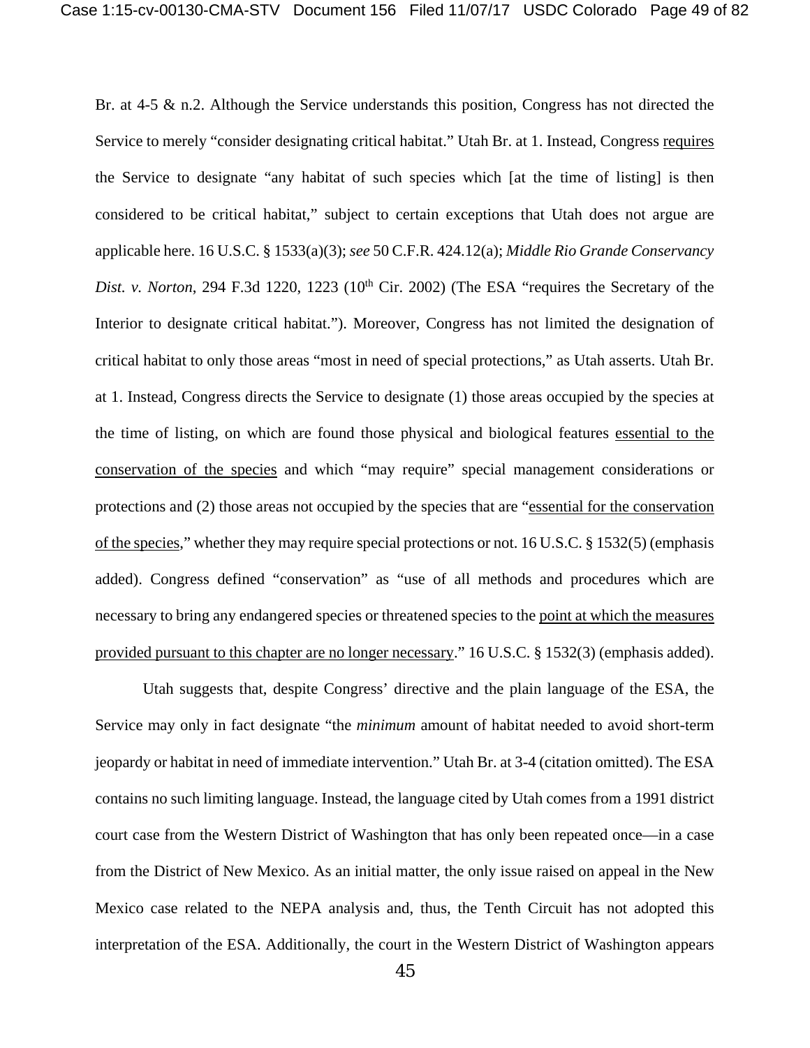Br. at 4-5 & n.2. Although the Service understands this position, Congress has not directed the Service to merely "consider designating critical habitat." Utah Br. at 1. Instead, Congress requires the Service to designate "any habitat of such species which [at the time of listing] is then considered to be critical habitat," subject to certain exceptions that Utah does not argue are applicable here. 16 U.S.C. § 1533(a)(3); *see* 50 C.F.R. 424.12(a); *Middle Rio Grande Conservancy Dist. v. Norton*, 294 F.3d 1220, 1223 (10<sup>th</sup> Cir. 2002) (The ESA "requires the Secretary of the Interior to designate critical habitat."). Moreover, Congress has not limited the designation of critical habitat to only those areas "most in need of special protections," as Utah asserts. Utah Br. at 1. Instead, Congress directs the Service to designate (1) those areas occupied by the species at the time of listing, on which are found those physical and biological features essential to the conservation of the species and which "may require" special management considerations or protections and (2) those areas not occupied by the species that are "essential for the conservation of the species," whether they may require special protections or not. 16 U.S.C. § 1532(5) (emphasis added). Congress defined "conservation" as "use of all methods and procedures which are necessary to bring any endangered species or threatened species to the point at which the measures provided pursuant to this chapter are no longer necessary." 16 U.S.C. § 1532(3) (emphasis added).

Utah suggests that, despite Congress' directive and the plain language of the ESA, the Service may only in fact designate "the *minimum* amount of habitat needed to avoid short-term jeopardy or habitat in need of immediate intervention." Utah Br. at 3-4 (citation omitted). The ESA contains no such limiting language. Instead, the language cited by Utah comes from a 1991 district court case from the Western District of Washington that has only been repeated once—in a case from the District of New Mexico. As an initial matter, the only issue raised on appeal in the New Mexico case related to the NEPA analysis and, thus, the Tenth Circuit has not adopted this interpretation of the ESA. Additionally, the court in the Western District of Washington appears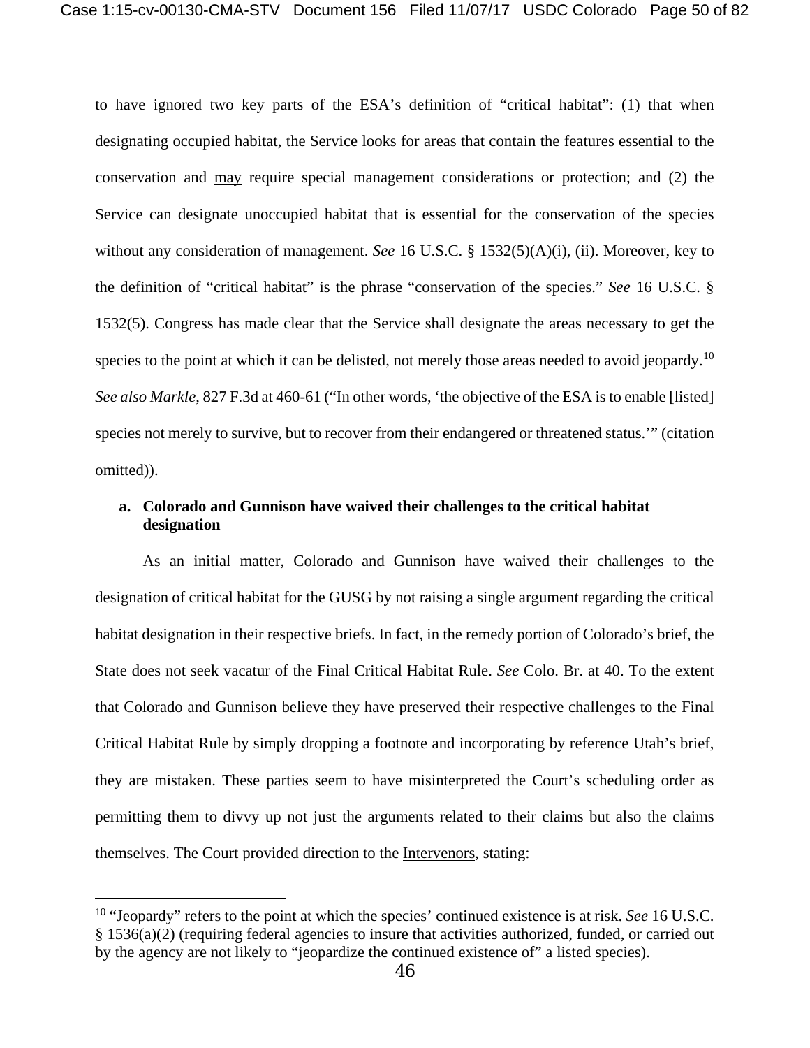to have ignored two key parts of the ESA's definition of "critical habitat": (1) that when designating occupied habitat, the Service looks for areas that contain the features essential to the conservation and may require special management considerations or protection; and (2) the Service can designate unoccupied habitat that is essential for the conservation of the species without any consideration of management. *See* 16 U.S.C. § 1532(5)(A)(i), (ii). Moreover, key to the definition of "critical habitat" is the phrase "conservation of the species." *See* 16 U.S.C. § 1532(5). Congress has made clear that the Service shall designate the areas necessary to get the species to the point at which it can be delisted, not merely those areas needed to avoid jeopardy.<sup>[10](#page-49-0)</sup> *See also Markle*, 827 F.3d at 460-61 ("In other words, 'the objective of the ESA is to enable [listed] species not merely to survive, but to recover from their endangered or threatened status.'" (citation omitted)).

## **a. Colorado and Gunnison have waived their challenges to the critical habitat designation**

As an initial matter, Colorado and Gunnison have waived their challenges to the designation of critical habitat for the GUSG by not raising a single argument regarding the critical habitat designation in their respective briefs. In fact, in the remedy portion of Colorado's brief, the State does not seek vacatur of the Final Critical Habitat Rule. *See* Colo. Br. at 40. To the extent that Colorado and Gunnison believe they have preserved their respective challenges to the Final Critical Habitat Rule by simply dropping a footnote and incorporating by reference Utah's brief, they are mistaken. These parties seem to have misinterpreted the Court's scheduling order as permitting them to divvy up not just the arguments related to their claims but also the claims themselves. The Court provided direction to the Intervenors, stating:

<span id="page-49-0"></span><sup>10</sup> "Jeopardy" refers to the point at which the species' continued existence is at risk. *See* 16 U.S.C. § 1536(a)(2) (requiring federal agencies to insure that activities authorized, funded, or carried out by the agency are not likely to "jeopardize the continued existence of" a listed species).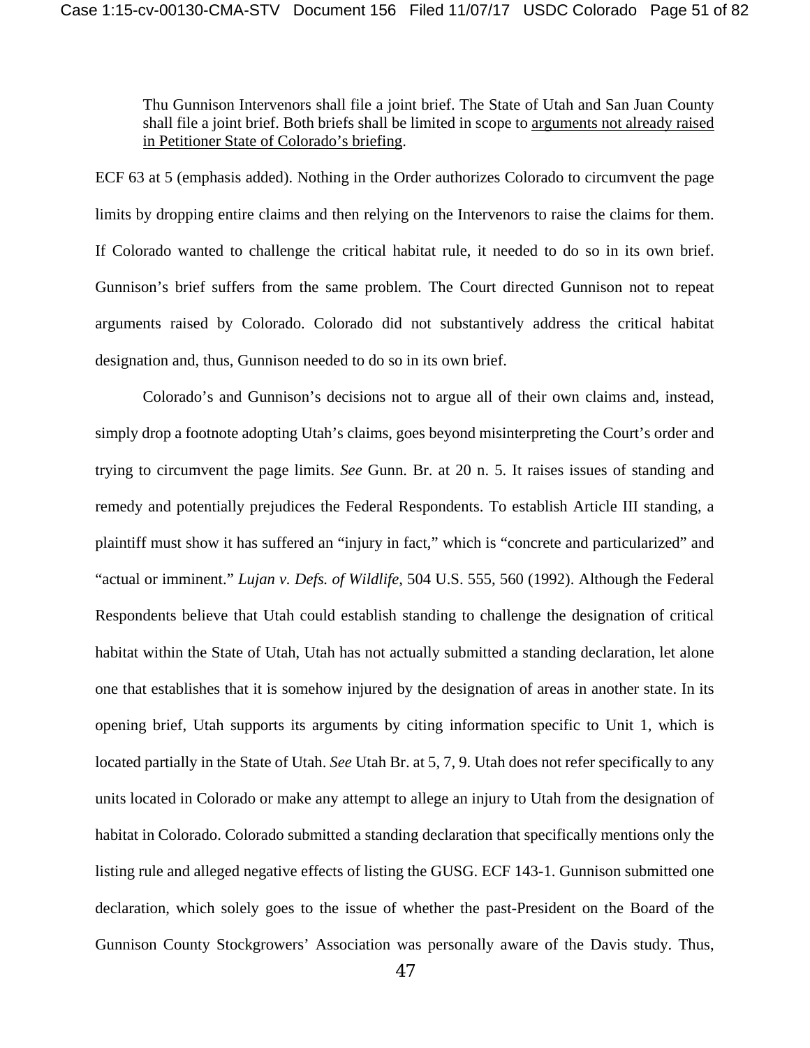Thu Gunnison Intervenors shall file a joint brief. The State of Utah and San Juan County shall file a joint brief. Both briefs shall be limited in scope to arguments not already raised in Petitioner State of Colorado's briefing.

ECF 63 at 5 (emphasis added). Nothing in the Order authorizes Colorado to circumvent the page limits by dropping entire claims and then relying on the Intervenors to raise the claims for them. If Colorado wanted to challenge the critical habitat rule, it needed to do so in its own brief. Gunnison's brief suffers from the same problem. The Court directed Gunnison not to repeat arguments raised by Colorado. Colorado did not substantively address the critical habitat designation and, thus, Gunnison needed to do so in its own brief.

Colorado's and Gunnison's decisions not to argue all of their own claims and, instead, simply drop a footnote adopting Utah's claims, goes beyond misinterpreting the Court's order and trying to circumvent the page limits. *See* Gunn. Br. at 20 n. 5. It raises issues of standing and remedy and potentially prejudices the Federal Respondents. To establish Article III standing, a plaintiff must show it has suffered an "injury in fact," which is "concrete and particularized" and "actual or imminent." *Lujan v. Defs. of Wildlife*, 504 U.S. 555, 560 (1992). Although the Federal Respondents believe that Utah could establish standing to challenge the designation of critical habitat within the State of Utah, Utah has not actually submitted a standing declaration, let alone one that establishes that it is somehow injured by the designation of areas in another state. In its opening brief, Utah supports its arguments by citing information specific to Unit 1, which is located partially in the State of Utah. *See* Utah Br. at 5, 7, 9. Utah does not refer specifically to any units located in Colorado or make any attempt to allege an injury to Utah from the designation of habitat in Colorado. Colorado submitted a standing declaration that specifically mentions only the listing rule and alleged negative effects of listing the GUSG. ECF 143-1. Gunnison submitted one declaration, which solely goes to the issue of whether the past-President on the Board of the Gunnison County Stockgrowers' Association was personally aware of the Davis study. Thus,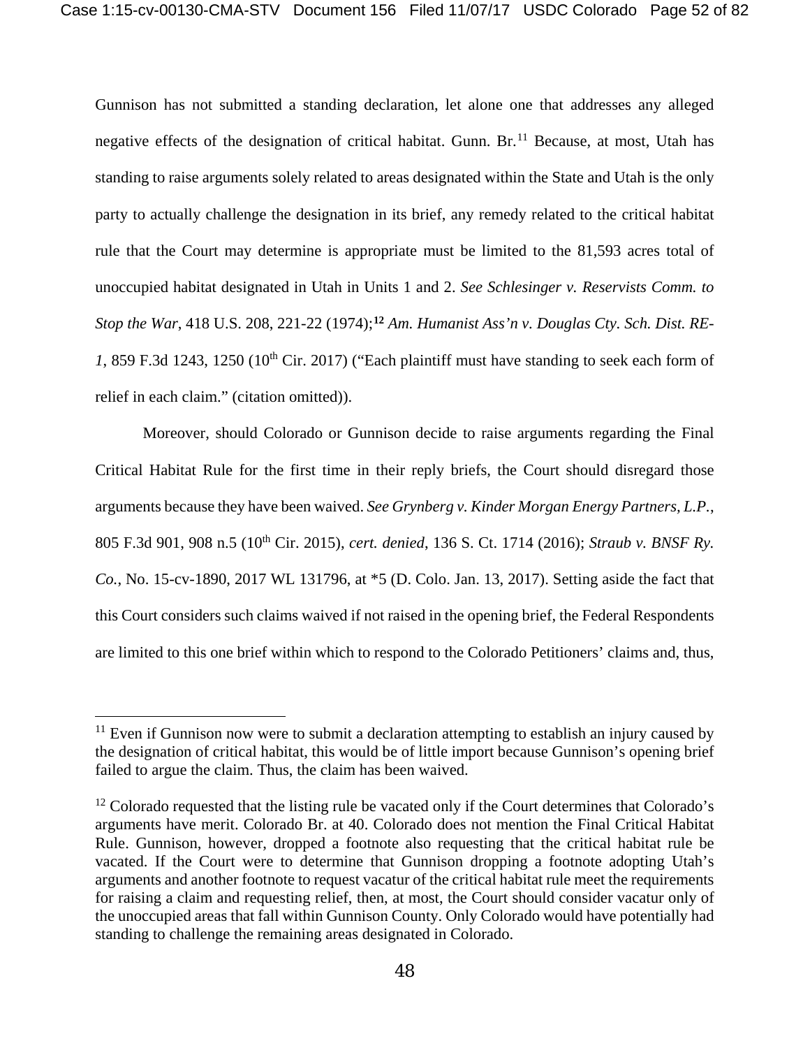Gunnison has not submitted a standing declaration, let alone one that addresses any alleged negative effects of the designation of critical habitat. Gunn. Br.<sup>[11](#page-51-0)</sup> Because, at most, Utah has standing to raise arguments solely related to areas designated within the State and Utah is the only party to actually challenge the designation in its brief, any remedy related to the critical habitat rule that the Court may determine is appropriate must be limited to the 81,593 acres total of unoccupied habitat designated in Utah in Units 1 and 2. *See Schlesinger v. Reservists Comm. to Stop the War*, 418 U.S. 208, 221-22 (1974);**[12](#page-51-1)** *Am. Humanist Ass'n v. Douglas Cty. Sch. Dist. RE-1*, 859 F.3d 1243, 1250 (10th Cir. 2017) ("Each plaintiff must have standing to seek each form of relief in each claim." (citation omitted)).

Moreover, should Colorado or Gunnison decide to raise arguments regarding the Final Critical Habitat Rule for the first time in their reply briefs, the Court should disregard those arguments because they have been waived. *See Grynberg v. Kinder Morgan Energy Partners, L.P.*, 805 F.3d 901, 908 n.5 (10th Cir. 2015), *cert. denied*, 136 S. Ct. 1714 (2016); *Straub v. BNSF Ry. Co.*, No. 15-cv-1890, 2017 WL 131796, at \*5 (D. Colo. Jan. 13, 2017). Setting aside the fact that this Court considers such claims waived if not raised in the opening brief, the Federal Respondents are limited to this one brief within which to respond to the Colorado Petitioners' claims and, thus,

<span id="page-51-0"></span> $11$  Even if Gunnison now were to submit a declaration attempting to establish an injury caused by the designation of critical habitat, this would be of little import because Gunnison's opening brief failed to argue the claim. Thus, the claim has been waived.

<span id="page-51-1"></span><sup>&</sup>lt;sup>12</sup> Colorado requested that the listing rule be vacated only if the Court determines that Colorado's arguments have merit. Colorado Br. at 40. Colorado does not mention the Final Critical Habitat Rule. Gunnison, however, dropped a footnote also requesting that the critical habitat rule be vacated. If the Court were to determine that Gunnison dropping a footnote adopting Utah's arguments and another footnote to request vacatur of the critical habitat rule meet the requirements for raising a claim and requesting relief, then, at most, the Court should consider vacatur only of the unoccupied areas that fall within Gunnison County. Only Colorado would have potentially had standing to challenge the remaining areas designated in Colorado.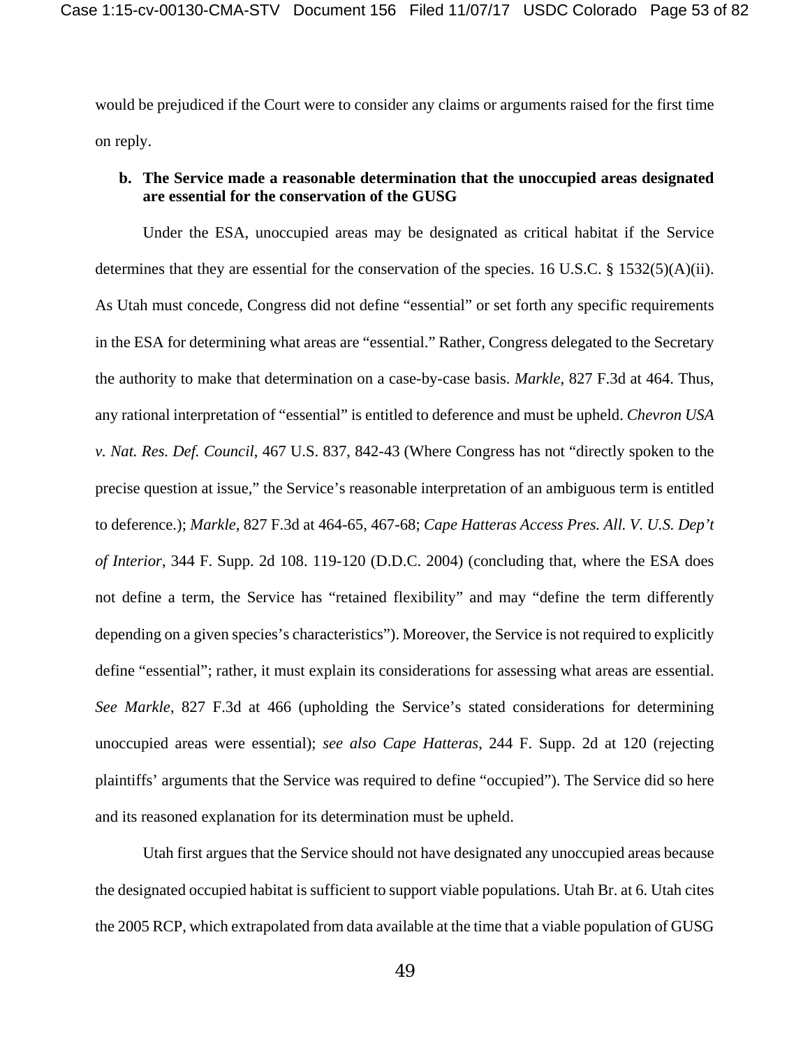would be prejudiced if the Court were to consider any claims or arguments raised for the first time on reply.

# **b. The Service made a reasonable determination that the unoccupied areas designated are essential for the conservation of the GUSG**

Under the ESA, unoccupied areas may be designated as critical habitat if the Service determines that they are essential for the conservation of the species. 16 U.S.C. § 1532(5)(A)(ii). As Utah must concede, Congress did not define "essential" or set forth any specific requirements in the ESA for determining what areas are "essential." Rather, Congress delegated to the Secretary the authority to make that determination on a case-by-case basis. *Markle*, 827 F.3d at 464. Thus, any rational interpretation of "essential" is entitled to deference and must be upheld. *Chevron USA v. Nat. Res. Def. Council*, 467 U.S. 837, 842-43 (Where Congress has not "directly spoken to the precise question at issue," the Service's reasonable interpretation of an ambiguous term is entitled to deference.); *Markle*, 827 F.3d at 464-65, 467-68; *Cape Hatteras Access Pres. All. V. U.S. Dep't of Interior*, 344 F. Supp. 2d 108. 119-120 (D.D.C. 2004) (concluding that, where the ESA does not define a term, the Service has "retained flexibility" and may "define the term differently depending on a given species's characteristics"). Moreover, the Service is not required to explicitly define "essential"; rather, it must explain its considerations for assessing what areas are essential. *See Markle*, 827 F.3d at 466 (upholding the Service's stated considerations for determining unoccupied areas were essential); *see also Cape Hatteras*, 244 F. Supp. 2d at 120 (rejecting plaintiffs' arguments that the Service was required to define "occupied"). The Service did so here and its reasoned explanation for its determination must be upheld.

Utah first argues that the Service should not have designated any unoccupied areas because the designated occupied habitat is sufficient to support viable populations. Utah Br. at 6. Utah cites the 2005 RCP, which extrapolated from data available at the time that a viable population of GUSG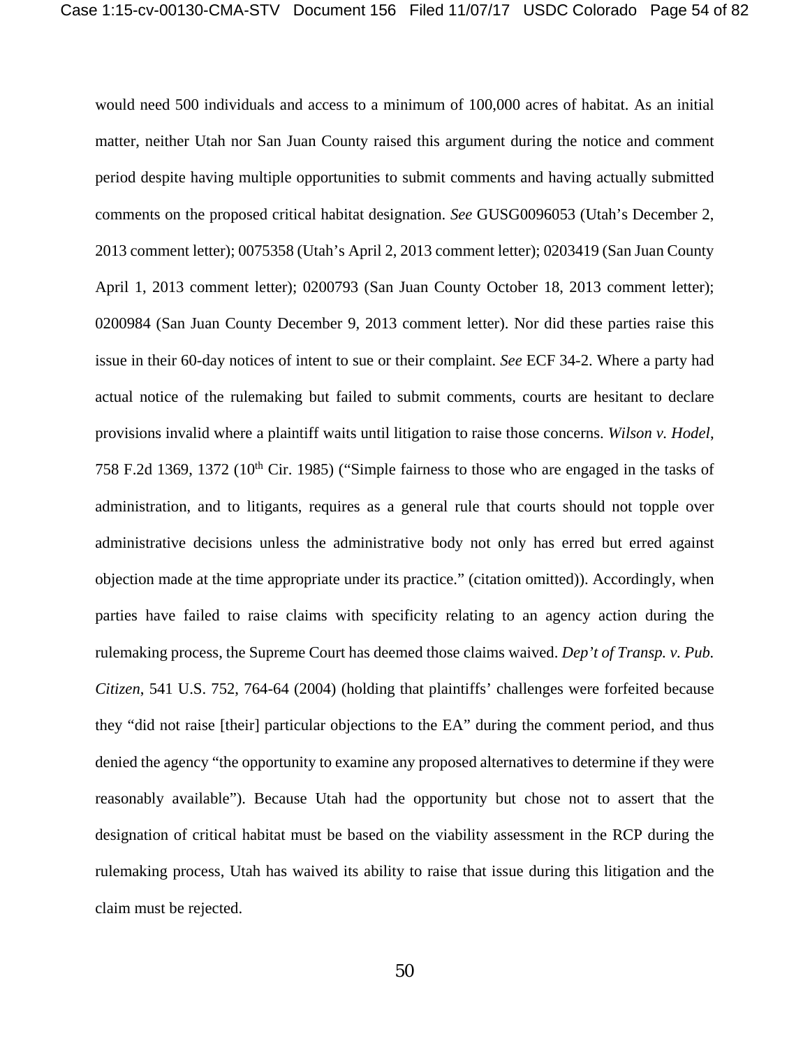would need 500 individuals and access to a minimum of 100,000 acres of habitat. As an initial matter, neither Utah nor San Juan County raised this argument during the notice and comment period despite having multiple opportunities to submit comments and having actually submitted comments on the proposed critical habitat designation. *See* GUSG0096053 (Utah's December 2, 2013 comment letter); 0075358 (Utah's April 2, 2013 comment letter); 0203419 (San Juan County April 1, 2013 comment letter); 0200793 (San Juan County October 18, 2013 comment letter); 0200984 (San Juan County December 9, 2013 comment letter). Nor did these parties raise this issue in their 60-day notices of intent to sue or their complaint. *See* ECF 34-2. Where a party had actual notice of the rulemaking but failed to submit comments, courts are hesitant to declare provisions invalid where a plaintiff waits until litigation to raise those concerns. *Wilson v. Hodel*, 758 F.2d 1369, 1372 (10<sup>th</sup> Cir. 1985) ("Simple fairness to those who are engaged in the tasks of administration, and to litigants, requires as a general rule that courts should not topple over administrative decisions unless the administrative body not only has erred but erred against objection made at the time appropriate under its practice." (citation omitted)). Accordingly, when parties have failed to raise claims with specificity relating to an agency action during the rulemaking process, the Supreme Court has deemed those claims waived. *Dep't of Transp. v. Pub. Citizen*, 541 U.S. 752, 764-64 (2004) (holding that plaintiffs' challenges were forfeited because they "did not raise [their] particular objections to the EA" during the comment period, and thus denied the agency "the opportunity to examine any proposed alternatives to determine if they were reasonably available"). Because Utah had the opportunity but chose not to assert that the designation of critical habitat must be based on the viability assessment in the RCP during the rulemaking process, Utah has waived its ability to raise that issue during this litigation and the claim must be rejected.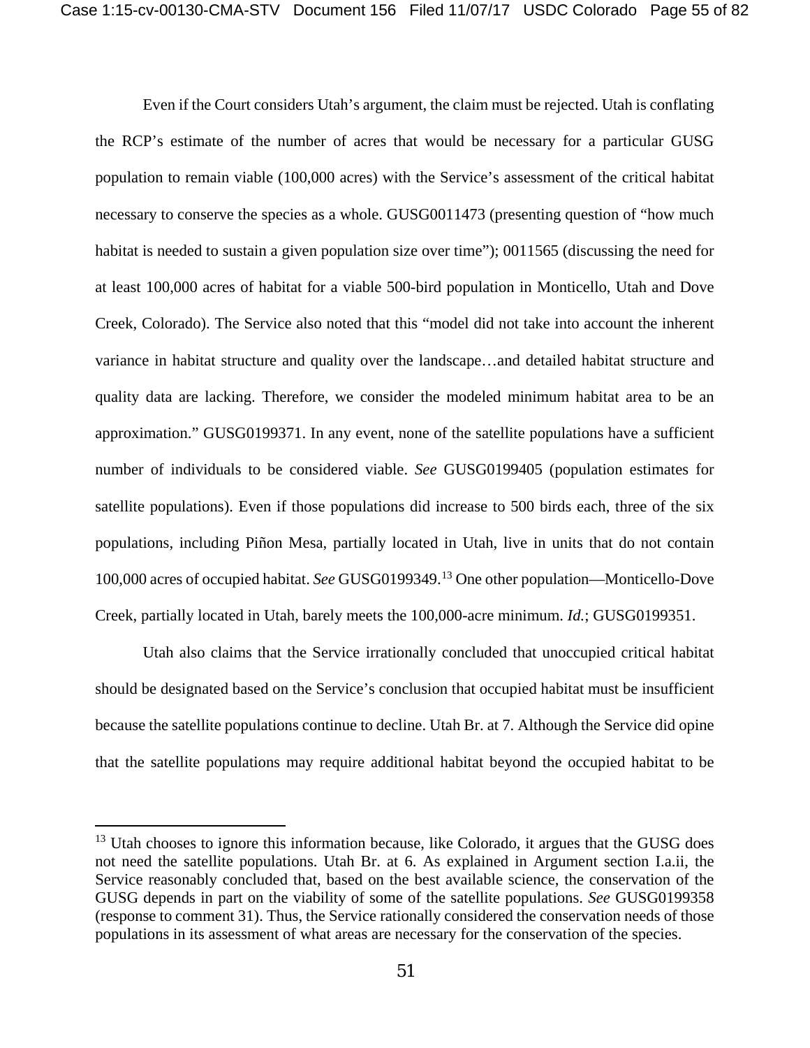Even if the Court considers Utah's argument, the claim must be rejected. Utah is conflating the RCP's estimate of the number of acres that would be necessary for a particular GUSG population to remain viable (100,000 acres) with the Service's assessment of the critical habitat necessary to conserve the species as a whole. GUSG0011473 (presenting question of "how much habitat is needed to sustain a given population size over time"); 0011565 (discussing the need for at least 100,000 acres of habitat for a viable 500-bird population in Monticello, Utah and Dove Creek, Colorado). The Service also noted that this "model did not take into account the inherent variance in habitat structure and quality over the landscape…and detailed habitat structure and quality data are lacking. Therefore, we consider the modeled minimum habitat area to be an approximation." GUSG0199371. In any event, none of the satellite populations have a sufficient number of individuals to be considered viable. *See* GUSG0199405 (population estimates for satellite populations). Even if those populations did increase to 500 birds each, three of the six populations, including Piñon Mesa, partially located in Utah, live in units that do not contain 100,000 acres of occupied habitat. *See* GUSG0199349.[13](#page-54-0) One other population—Monticello-Dove Creek, partially located in Utah, barely meets the 100,000-acre minimum. *Id.*; GUSG0199351.

Utah also claims that the Service irrationally concluded that unoccupied critical habitat should be designated based on the Service's conclusion that occupied habitat must be insufficient because the satellite populations continue to decline. Utah Br. at 7. Although the Service did opine that the satellite populations may require additional habitat beyond the occupied habitat to be

<span id="page-54-0"></span><sup>&</sup>lt;sup>13</sup> Utah chooses to ignore this information because, like Colorado, it argues that the GUSG does not need the satellite populations. Utah Br. at 6. As explained in Argument section I.a.ii, the Service reasonably concluded that, based on the best available science, the conservation of the GUSG depends in part on the viability of some of the satellite populations. *See* GUSG0199358 (response to comment 31). Thus, the Service rationally considered the conservation needs of those populations in its assessment of what areas are necessary for the conservation of the species.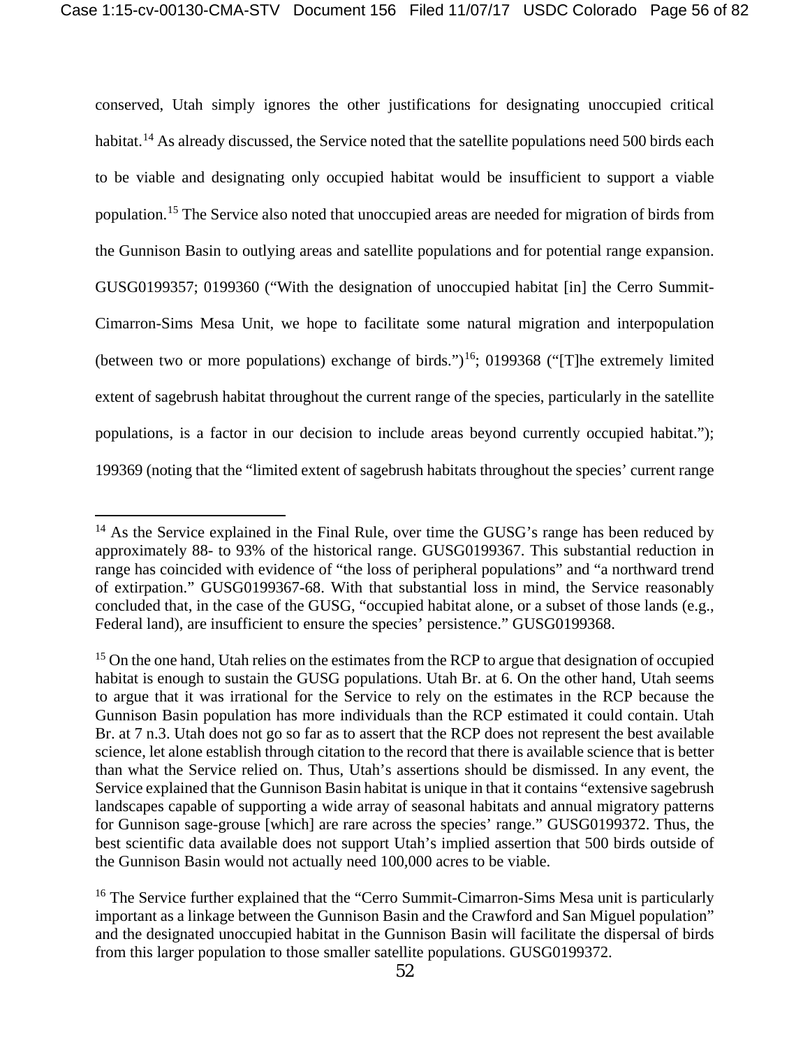conserved, Utah simply ignores the other justifications for designating unoccupied critical habitat.<sup>[14](#page-55-0)</sup> As already discussed, the Service noted that the satellite populations need 500 birds each to be viable and designating only occupied habitat would be insufficient to support a viable population.[15](#page-55-1) The Service also noted that unoccupied areas are needed for migration of birds from the Gunnison Basin to outlying areas and satellite populations and for potential range expansion. GUSG0199357; 0199360 ("With the designation of unoccupied habitat [in] the Cerro Summit-Cimarron-Sims Mesa Unit, we hope to facilitate some natural migration and interpopulation (between two or more populations) exchange of birds.")<sup>[16](#page-55-2)</sup>; 0199368 ("The extremely limited extent of sagebrush habitat throughout the current range of the species, particularly in the satellite populations, is a factor in our decision to include areas beyond currently occupied habitat."); 199369 (noting that the "limited extent of sagebrush habitats throughout the species' current range

<span id="page-55-0"></span> $14$  As the Service explained in the Final Rule, over time the GUSG's range has been reduced by approximately 88- to 93% of the historical range. GUSG0199367. This substantial reduction in range has coincided with evidence of "the loss of peripheral populations" and "a northward trend of extirpation." GUSG0199367-68. With that substantial loss in mind, the Service reasonably concluded that, in the case of the GUSG, "occupied habitat alone, or a subset of those lands (e.g., Federal land), are insufficient to ensure the species' persistence." GUSG0199368.

<span id="page-55-1"></span><sup>&</sup>lt;sup>15</sup> On the one hand, Utah relies on the estimates from the RCP to argue that designation of occupied habitat is enough to sustain the GUSG populations. Utah Br. at 6. On the other hand, Utah seems to argue that it was irrational for the Service to rely on the estimates in the RCP because the Gunnison Basin population has more individuals than the RCP estimated it could contain. Utah Br. at 7 n.3. Utah does not go so far as to assert that the RCP does not represent the best available science, let alone establish through citation to the record that there is available science that is better than what the Service relied on. Thus, Utah's assertions should be dismissed. In any event, the Service explained that the Gunnison Basin habitat is unique in that it contains "extensive sagebrush landscapes capable of supporting a wide array of seasonal habitats and annual migratory patterns for Gunnison sage-grouse [which] are rare across the species' range." GUSG0199372. Thus, the best scientific data available does not support Utah's implied assertion that 500 birds outside of the Gunnison Basin would not actually need 100,000 acres to be viable.

<span id="page-55-2"></span><sup>&</sup>lt;sup>16</sup> The Service further explained that the "Cerro Summit-Cimarron-Sims Mesa unit is particularly important as a linkage between the Gunnison Basin and the Crawford and San Miguel population" and the designated unoccupied habitat in the Gunnison Basin will facilitate the dispersal of birds from this larger population to those smaller satellite populations. GUSG0199372.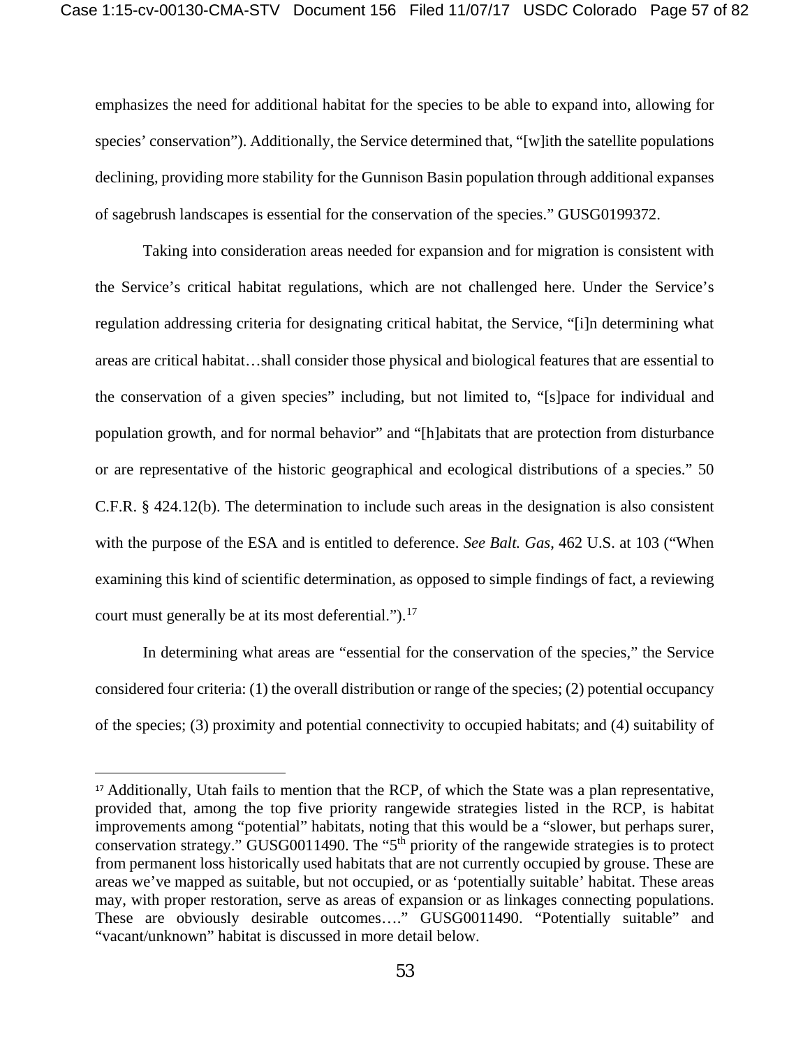emphasizes the need for additional habitat for the species to be able to expand into, allowing for species' conservation"). Additionally, the Service determined that, "[w]ith the satellite populations declining, providing more stability for the Gunnison Basin population through additional expanses of sagebrush landscapes is essential for the conservation of the species." GUSG0199372.

Taking into consideration areas needed for expansion and for migration is consistent with the Service's critical habitat regulations, which are not challenged here. Under the Service's regulation addressing criteria for designating critical habitat, the Service, "[i]n determining what areas are critical habitat…shall consider those physical and biological features that are essential to the conservation of a given species" including, but not limited to, "[s]pace for individual and population growth, and for normal behavior" and "[h]abitats that are protection from disturbance or are representative of the historic geographical and ecological distributions of a species." 50 C.F.R. § 424.12(b). The determination to include such areas in the designation is also consistent with the purpose of the ESA and is entitled to deference. *See Balt. Gas*, 462 U.S. at 103 ("When examining this kind of scientific determination, as opposed to simple findings of fact, a reviewing court must generally be at its most deferential.").<sup>[17](#page-56-0)</sup>

In determining what areas are "essential for the conservation of the species," the Service considered four criteria: (1) the overall distribution or range of the species; (2) potential occupancy of the species; (3) proximity and potential connectivity to occupied habitats; and (4) suitability of

<span id="page-56-0"></span><sup>&</sup>lt;sup>17</sup> Additionally, Utah fails to mention that the RCP, of which the State was a plan representative, provided that, among the top five priority rangewide strategies listed in the RCP, is habitat improvements among "potential" habitats, noting that this would be a "slower, but perhaps surer, conservation strategy." GUSG0011490. The "5th priority of the rangewide strategies is to protect from permanent loss historically used habitats that are not currently occupied by grouse. These are areas we've mapped as suitable, but not occupied, or as 'potentially suitable' habitat. These areas may, with proper restoration, serve as areas of expansion or as linkages connecting populations. These are obviously desirable outcomes…." GUSG0011490. "Potentially suitable" and "vacant/unknown" habitat is discussed in more detail below.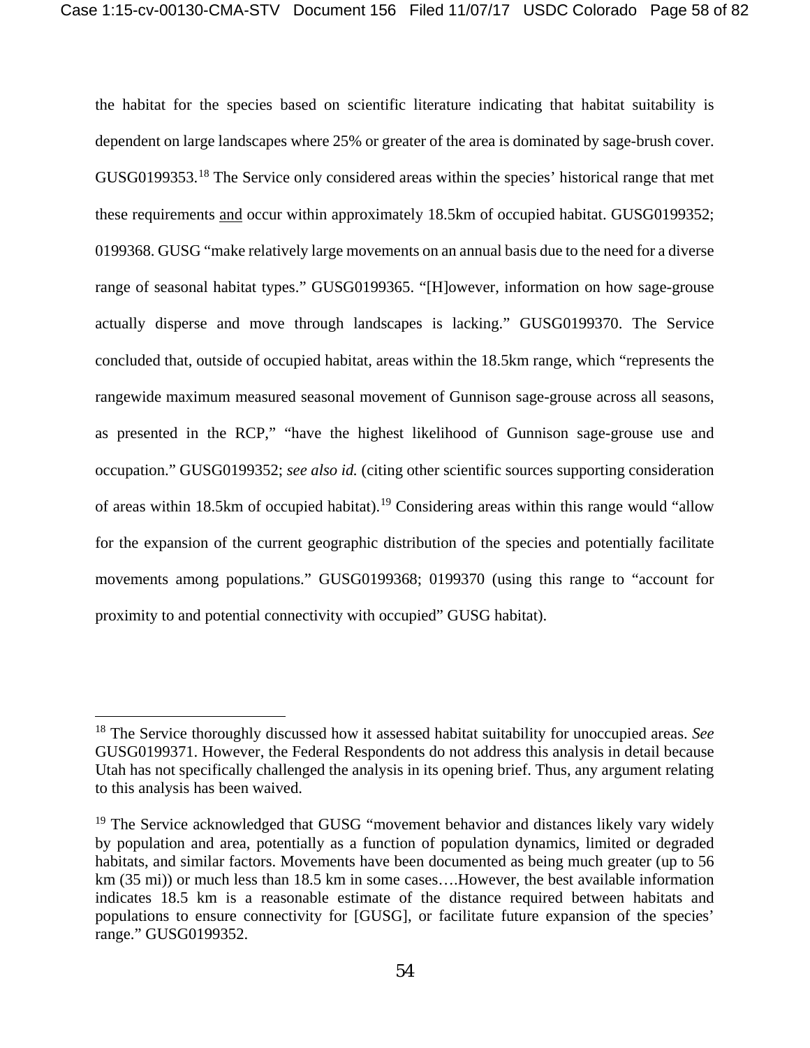the habitat for the species based on scientific literature indicating that habitat suitability is dependent on large landscapes where 25% or greater of the area is dominated by sage-brush cover. GUSG0199353.[18](#page-57-0) The Service only considered areas within the species' historical range that met these requirements and occur within approximately 18.5km of occupied habitat. GUSG0199352; 0199368. GUSG "make relatively large movements on an annual basis due to the need for a diverse range of seasonal habitat types." GUSG0199365. "[H]owever, information on how sage-grouse actually disperse and move through landscapes is lacking." GUSG0199370. The Service concluded that, outside of occupied habitat, areas within the 18.5km range, which "represents the rangewide maximum measured seasonal movement of Gunnison sage-grouse across all seasons, as presented in the RCP," "have the highest likelihood of Gunnison sage-grouse use and occupation." GUSG0199352; *see also id.* (citing other scientific sources supporting consideration of areas within 18.5km of occupied habitat).<sup>[19](#page-57-1)</sup> Considering areas within this range would "allow" for the expansion of the current geographic distribution of the species and potentially facilitate movements among populations." GUSG0199368; 0199370 (using this range to "account for proximity to and potential connectivity with occupied" GUSG habitat).

<span id="page-57-0"></span><sup>18</sup> The Service thoroughly discussed how it assessed habitat suitability for unoccupied areas. *See*  GUSG0199371. However, the Federal Respondents do not address this analysis in detail because Utah has not specifically challenged the analysis in its opening brief. Thus, any argument relating to this analysis has been waived.

<span id="page-57-1"></span> $19$  The Service acknowledged that GUSG "movement behavior and distances likely vary widely by population and area, potentially as a function of population dynamics, limited or degraded habitats, and similar factors. Movements have been documented as being much greater (up to 56 km (35 mi)) or much less than 18.5 km in some cases....However, the best available information indicates 18.5 km is a reasonable estimate of the distance required between habitats and populations to ensure connectivity for [GUSG], or facilitate future expansion of the species' range." GUSG0199352.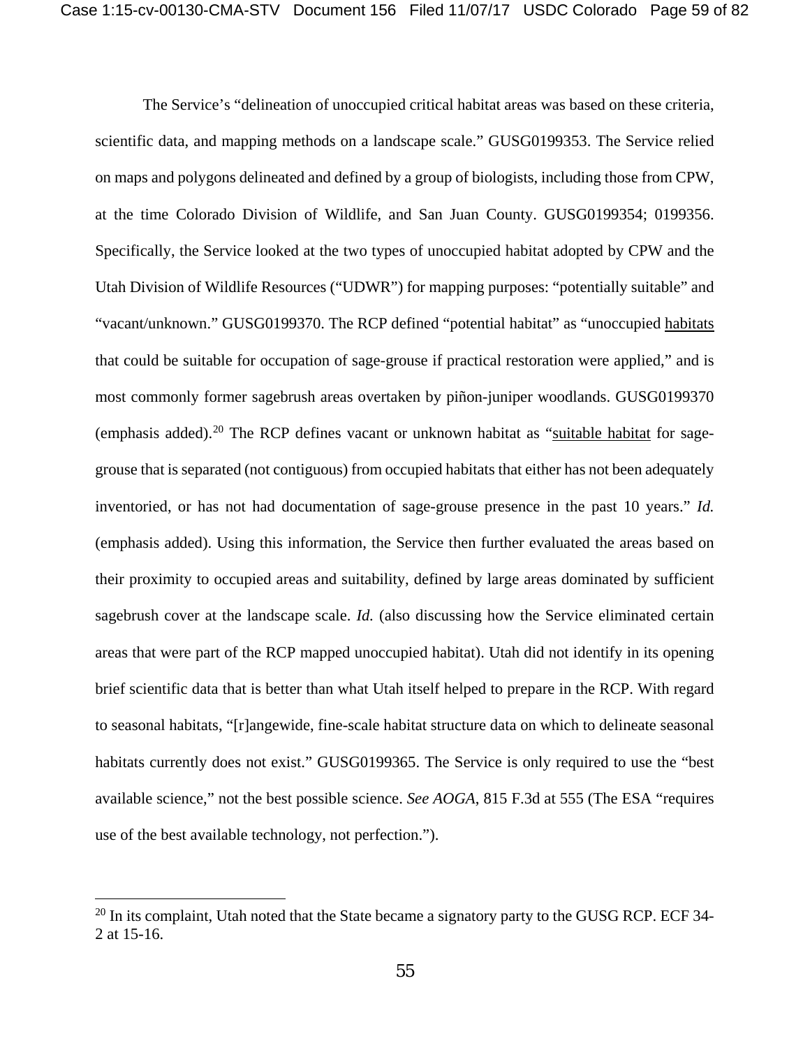The Service's "delineation of unoccupied critical habitat areas was based on these criteria, scientific data, and mapping methods on a landscape scale." GUSG0199353. The Service relied on maps and polygons delineated and defined by a group of biologists, including those from CPW, at the time Colorado Division of Wildlife, and San Juan County. GUSG0199354; 0199356. Specifically, the Service looked at the two types of unoccupied habitat adopted by CPW and the Utah Division of Wildlife Resources ("UDWR") for mapping purposes: "potentially suitable" and "vacant/unknown." GUSG0199370. The RCP defined "potential habitat" as "unoccupied habitats that could be suitable for occupation of sage-grouse if practical restoration were applied," and is most commonly former sagebrush areas overtaken by piñon-juniper woodlands. GUSG0199370 (emphasis added).<sup>[20](#page-58-0)</sup> The RCP defines vacant or unknown habitat as "suitable habitat for sagegrouse that is separated (not contiguous) from occupied habitats that either has not been adequately inventoried, or has not had documentation of sage-grouse presence in the past 10 years." *Id.*  (emphasis added). Using this information, the Service then further evaluated the areas based on their proximity to occupied areas and suitability, defined by large areas dominated by sufficient sagebrush cover at the landscape scale. *Id.* (also discussing how the Service eliminated certain areas that were part of the RCP mapped unoccupied habitat). Utah did not identify in its opening brief scientific data that is better than what Utah itself helped to prepare in the RCP. With regard to seasonal habitats, "[r]angewide, fine-scale habitat structure data on which to delineate seasonal habitats currently does not exist." GUSG0199365. The Service is only required to use the "best available science," not the best possible science. *See AOGA*, 815 F.3d at 555 (The ESA "requires use of the best available technology, not perfection.").

<span id="page-58-0"></span> $20$  In its complaint, Utah noted that the State became a signatory party to the GUSG RCP. ECF 34-2 at 15-16.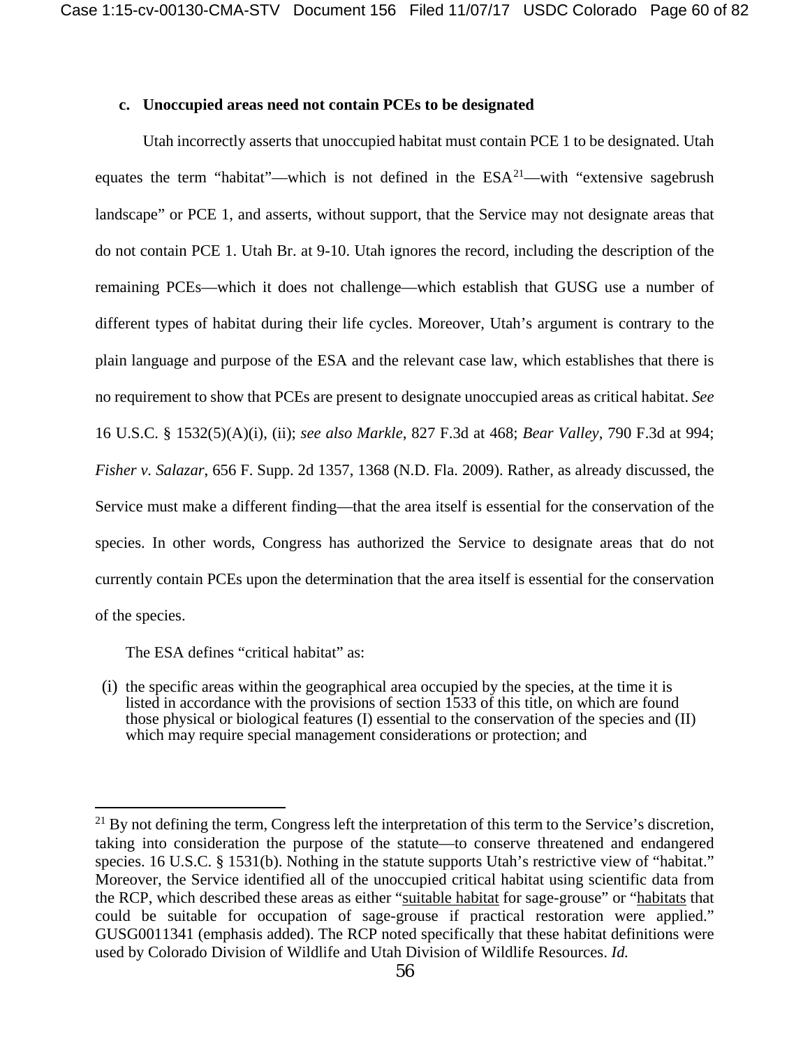#### **c. Unoccupied areas need not contain PCEs to be designated**

Utah incorrectly asserts that unoccupied habitat must contain PCE 1 to be designated. Utah equates the term "habitat"—which is not defined in the  $ESA^{21}$  $ESA^{21}$  $ESA^{21}$ —with "extensive sagebrush landscape" or PCE 1, and asserts, without support, that the Service may not designate areas that do not contain PCE 1. Utah Br. at 9-10. Utah ignores the record, including the description of the remaining PCEs—which it does not challenge—which establish that GUSG use a number of different types of habitat during their life cycles. Moreover, Utah's argument is contrary to the plain language and purpose of the ESA and the relevant case law, which establishes that there is no requirement to show that PCEs are present to designate unoccupied areas as critical habitat. *See*  16 U.S.C. § 1532(5)(A)(i), (ii); *see also Markle*, 827 F.3d at 468; *Bear Valley*, 790 F.3d at 994; *Fisher v. Salazar*, 656 F. Supp. 2d 1357, 1368 (N.D. Fla. 2009). Rather, as already discussed, the Service must make a different finding—that the area itself is essential for the conservation of the species. In other words, Congress has authorized the Service to designate areas that do not currently contain PCEs upon the determination that the area itself is essential for the conservation of the species.

The ESA defines "critical habitat" as:

 $\overline{a}$ 

(i) the specific areas within the geographical area occupied by the species, at the time it is listed in accordance with the provisions of [section](https://web2.westlaw.com/find/default.wl?mt=Westlaw&db=1000546&docname=16USCAS1533&rp=%2ffind%2fdefault.wl&findtype=L&ordoc=1677676&tc=-1&vr=2.0&fn=_top&sv=Split&tf=-1&pbc=70FDB552&rs=WLW14.01) 1533 of this title, on which are found those physical or biological features (I) essential to the conservation of the species and (II) which may require special management considerations or protection; and

<span id="page-59-0"></span> $^{21}$  By not defining the term, Congress left the interpretation of this term to the Service's discretion, taking into consideration the purpose of the statute—to conserve threatened and endangered species. 16 U.S.C. § 1531(b). Nothing in the statute supports Utah's restrictive view of "habitat." Moreover, the Service identified all of the unoccupied critical habitat using scientific data from the RCP, which described these areas as either "suitable habitat for sage-grouse" or "habitats that could be suitable for occupation of sage-grouse if practical restoration were applied." GUSG0011341 (emphasis added). The RCP noted specifically that these habitat definitions were used by Colorado Division of Wildlife and Utah Division of Wildlife Resources. *Id.*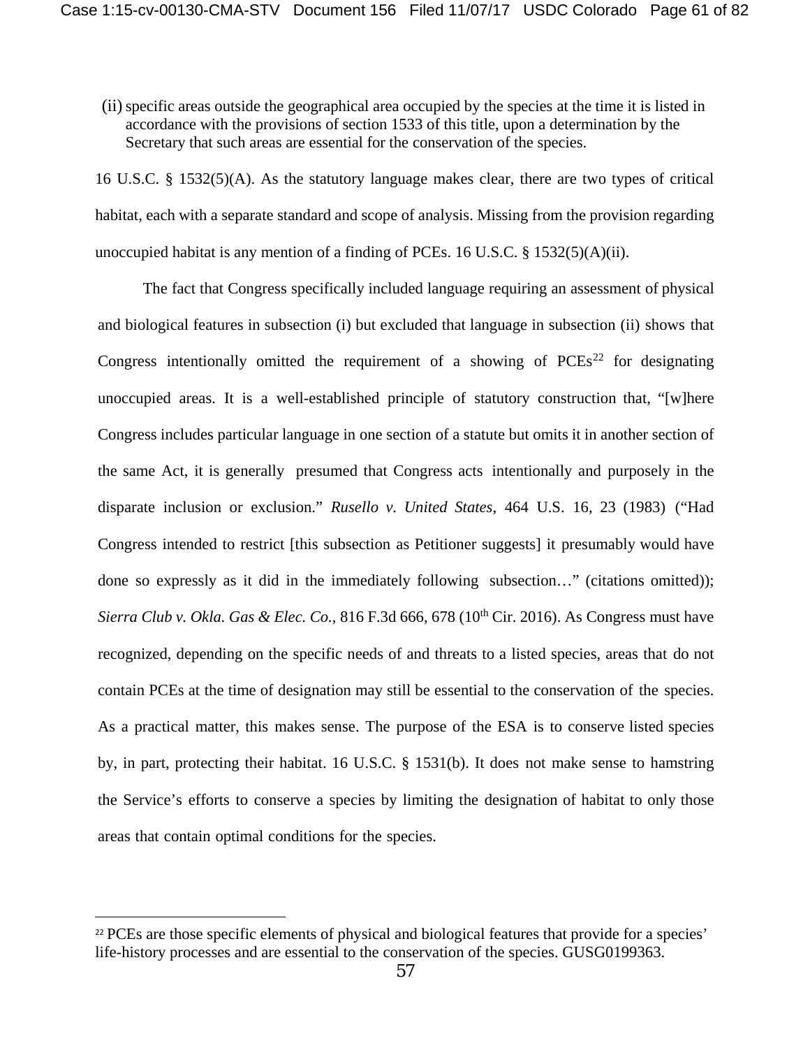(ii)specific areas outside the geographical area occupied by the species at the time it is listed in accordance with the provisions of [section](https://web2.westlaw.com/find/default.wl?mt=Westlaw&db=1000546&docname=16USCAS1533&rp=%2ffind%2fdefault.wl&findtype=L&ordoc=1677676&tc=-1&vr=2.0&fn=_top&sv=Split&tf=-1&pbc=70FDB552&rs=WLW14.01) 1533 of this title, upon a determination by the Secretary that such areas are essential for the conservation of the species.

16 U.S.C. § 1532(5)(A). As the statutory language makes clear, there are two types of critical habitat, each with a separate standard and scope of analysis. Missing from the provision regarding unoccupied habitat is any mention of a finding of PCEs. 16 U.S.C. § 1532(5)(A)(ii).

The fact that Congress specifically included language requiring an assessment of physical and biological features in subsection (i) but excluded that language in subsection (ii) shows that Congress intentionally omitted the requirement of a showing of  $PCEs<sup>22</sup>$  $PCEs<sup>22</sup>$  $PCEs<sup>22</sup>$  for designating unoccupied areas. It is a well-established principle of statutory construction that, "[w]here Congress includes particular language in one section of a statute but omits it in another section of the same Act, it is generally presumed that Congress acts intentionally and purposely in the disparate inclusion or exclusion." *Rusello v. United States*, 464 U.S. 16, 23 (1983) ("Had Congress intended to restrict [this subsection as Petitioner suggests] it presumably would have done so expressly as it did in the immediately following subsection…" (citations omitted)); *Sierra Club v. Okla. Gas & Elec. Co.*, 816 F.3d 666, 678 (10th Cir. 2016). As Congress must have recognized, depending on the specific needs of and threats to a listed species, areas that do not contain PCEs at the time of designation may still be essential to the conservation of the species. As a practical matter, this makes sense. The purpose of the ESA is to conserve listed species by, in part, protecting their habitat. 16 U.S.C. § 1531(b). It does not make sense to hamstring the Service's efforts to conserve a species by limiting the designation of habitat to only those areas that contain optimal conditions for the species.

<span id="page-60-0"></span><sup>&</sup>lt;sup>22</sup> PCEs are those specific elements of physical and biological features that provide for a species' life-history processes and are essential to the conservation of the species. GUSG0199363.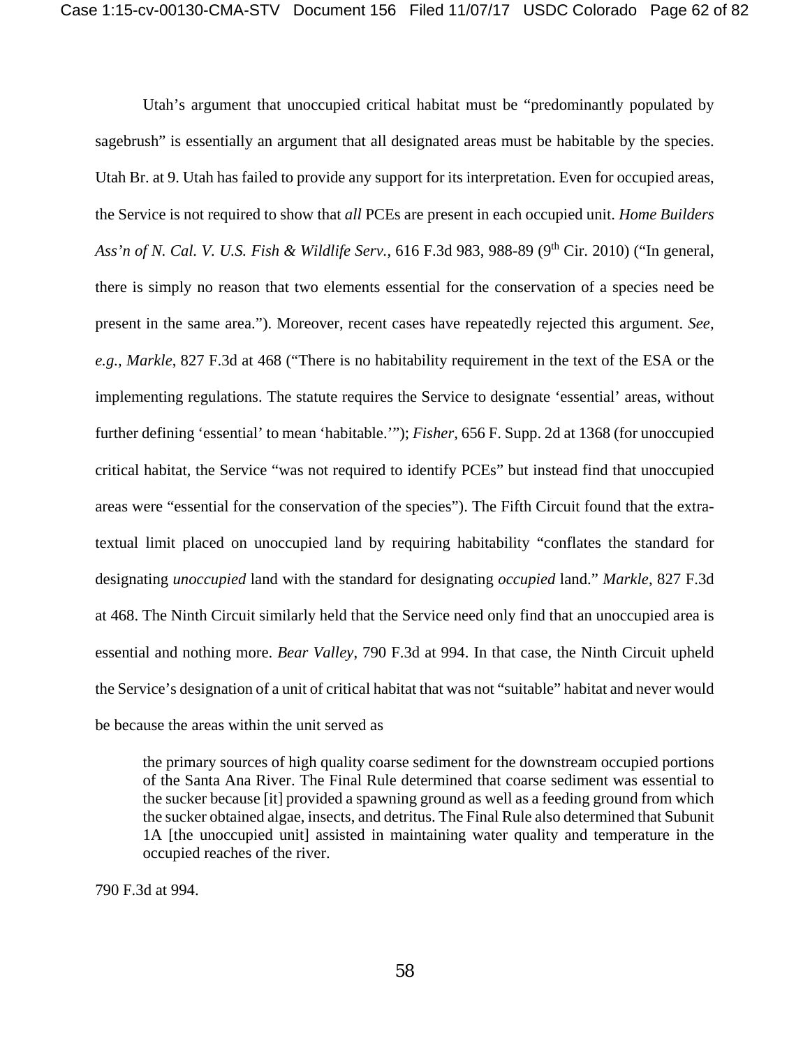Utah's argument that unoccupied critical habitat must be "predominantly populated by sagebrush" is essentially an argument that all designated areas must be habitable by the species. Utah Br. at 9. Utah has failed to provide any support for its interpretation. Even for occupied areas, the Service is not required to show that *all* PCEs are present in each occupied unit. *Home Builders Ass'n of N. Cal. V. U.S. Fish & Wildlife Serv.*, 616 F.3d 983, 988-89 (9th Cir. 2010) ("In general, there is simply no reason that two elements essential for the conservation of a species need be present in the same area."). Moreover, recent cases have repeatedly rejected this argument. *See, e.g., Markle*, 827 F.3d at 468 ("There is no habitability requirement in the text of the ESA or the implementing regulations. The statute requires the Service to designate 'essential' areas, without further defining 'essential' to mean 'habitable.'"); *Fisher*, 656 F. Supp. 2d at 1368 (for unoccupied critical habitat, the Service "was not required to identify PCEs" but instead find that unoccupied areas were "essential for the conservation of the species"). The Fifth Circuit found that the extratextual limit placed on unoccupied land by requiring habitability "conflates the standard for designating *unoccupied* land with the standard for designating *occupied* land." *Markle*, 827 F.3d at 468. The Ninth Circuit similarly held that the Service need only find that an unoccupied area is essential and nothing more. *Bear Valley*, 790 F.3d at 994. In that case, the Ninth Circuit upheld the Service's designation of a unit of critical habitat that was not "suitable" habitat and never would be because the areas within the unit served as

the primary sources of high quality coarse sediment for the downstream occupied portions of the Santa Ana River. The Final Rule determined that coarse sediment was essential to the sucker because [it] provided a spawning ground as well as a feeding ground from which the sucker obtained algae, insects, and detritus. The Final Rule also determined that Subunit 1A [the unoccupied unit] assisted in maintaining water quality and temperature in the occupied reaches of the river.

790 F.3d at 994.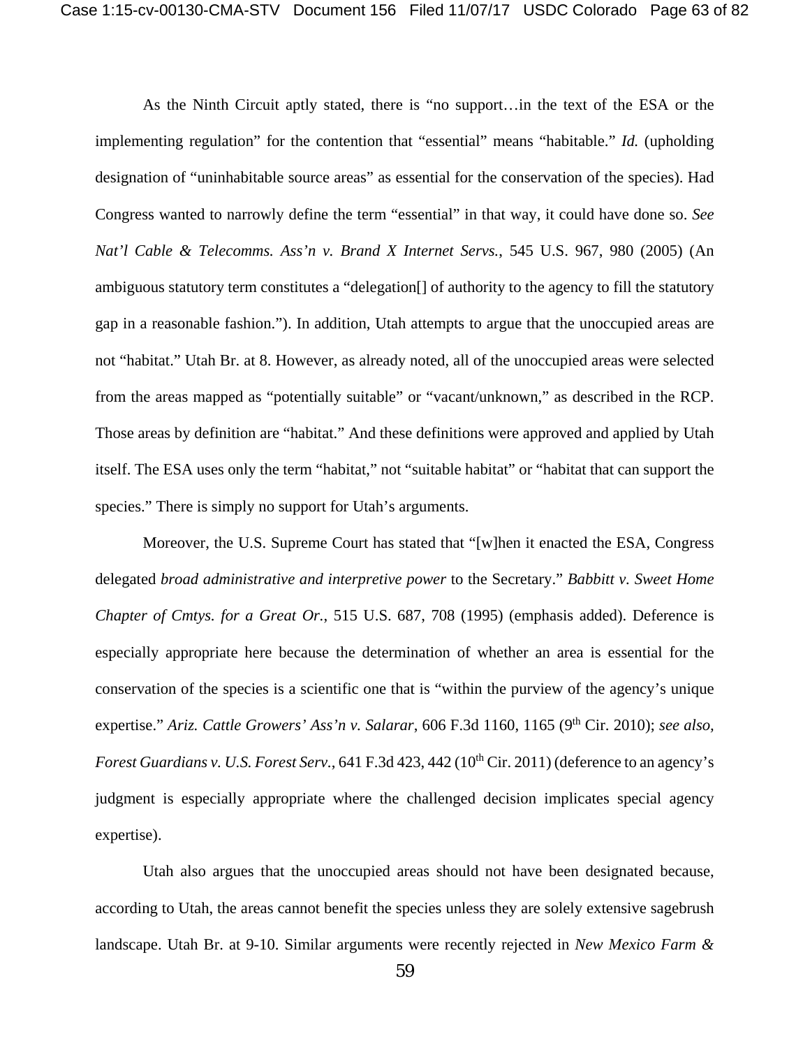As the Ninth Circuit aptly stated, there is "no support…in the text of the ESA or the implementing regulation" for the contention that "essential" means "habitable." *Id.* (upholding designation of "uninhabitable source areas" as essential for the conservation of the species). Had Congress wanted to narrowly define the term "essential" in that way, it could have done so. *See Nat'l Cable & Telecomms. Ass'n v. Brand X Internet Servs.*, 545 U.S. 967, 980 (2005) (An ambiguous statutory term constitutes a "delegation[] of authority to the agency to fill the statutory gap in a reasonable fashion."). In addition, Utah attempts to argue that the unoccupied areas are not "habitat." Utah Br. at 8. However, as already noted, all of the unoccupied areas were selected from the areas mapped as "potentially suitable" or "vacant/unknown," as described in the RCP. Those areas by definition are "habitat." And these definitions were approved and applied by Utah itself. The ESA uses only the term "habitat," not "suitable habitat" or "habitat that can support the species." There is simply no support for Utah's arguments.

Moreover, the U.S. Supreme Court has stated that "[w]hen it enacted the ESA, Congress delegated *broad administrative and interpretive power* to the Secretary." *Babbitt v. Sweet Home Chapter of Cmtys. for a Great Or.*, 515 U.S. 687, 708 (1995) (emphasis added). Deference is especially appropriate here because the determination of whether an area is essential for the conservation of the species is a scientific one that is "within the purview of the agency's unique expertise." Ariz. Cattle Growers' Ass'n v. Salarar, 606 F.3d 1160, 1165 (9<sup>th</sup> Cir. 2010); see also, *Forest Guardians v. U.S. Forest Serv.*, 641 F.3d 423, 442 (10<sup>th</sup> Cir. 2011) (deference to an agency's judgment is especially appropriate where the challenged decision implicates special agency expertise).

Utah also argues that the unoccupied areas should not have been designated because, according to Utah, the areas cannot benefit the species unless they are solely extensive sagebrush landscape. Utah Br. at 9-10. Similar arguments were recently rejected in *New Mexico Farm &*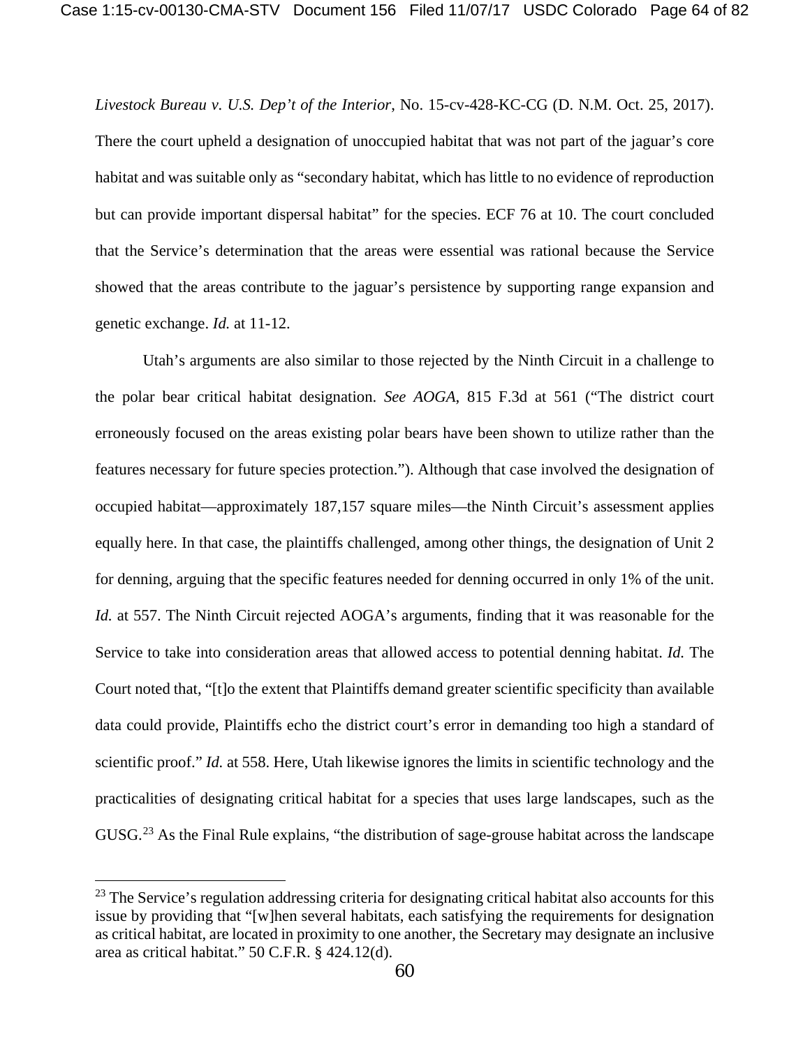*Livestock Bureau v. U.S. Dep't of the Interior*, No. 15-cv-428-KC-CG (D. N.M. Oct. 25, 2017). There the court upheld a designation of unoccupied habitat that was not part of the jaguar's core habitat and was suitable only as "secondary habitat, which has little to no evidence of reproduction but can provide important dispersal habitat" for the species. ECF 76 at 10. The court concluded that the Service's determination that the areas were essential was rational because the Service showed that the areas contribute to the jaguar's persistence by supporting range expansion and genetic exchange. *Id.* at 11-12.

Utah's arguments are also similar to those rejected by the Ninth Circuit in a challenge to the polar bear critical habitat designation. *See AOGA*, 815 F.3d at 561 ("The district court erroneously focused on the areas existing polar bears have been shown to utilize rather than the features necessary for future species protection."). Although that case involved the designation of occupied habitat—approximately 187,157 square miles—the Ninth Circuit's assessment applies equally here. In that case, the plaintiffs challenged, among other things, the designation of Unit 2 for denning, arguing that the specific features needed for denning occurred in only 1% of the unit. *Id.* at 557. The Ninth Circuit rejected AOGA's arguments, finding that it was reasonable for the Service to take into consideration areas that allowed access to potential denning habitat. *Id.* The Court noted that, "[t]o the extent that Plaintiffs demand greater scientific specificity than available data could provide, Plaintiffs echo the district court's error in demanding too high a standard of scientific proof." *Id.* at 558. Here, Utah likewise ignores the limits in scientific technology and the practicalities of designating critical habitat for a species that uses large landscapes, such as the GUSG.<sup>[23](#page-63-0)</sup> As the Final Rule explains, "the distribution of sage-grouse habitat across the landscape

<span id="page-63-0"></span><sup>&</sup>lt;sup>23</sup> The Service's regulation addressing criteria for designating critical habitat also accounts for this issue by providing that "[w]hen several habitats, each satisfying the requirements for designation as critical habitat, are located in proximity to one another, the Secretary may designate an inclusive area as critical habitat." 50 C.F.R. § 424.12(d).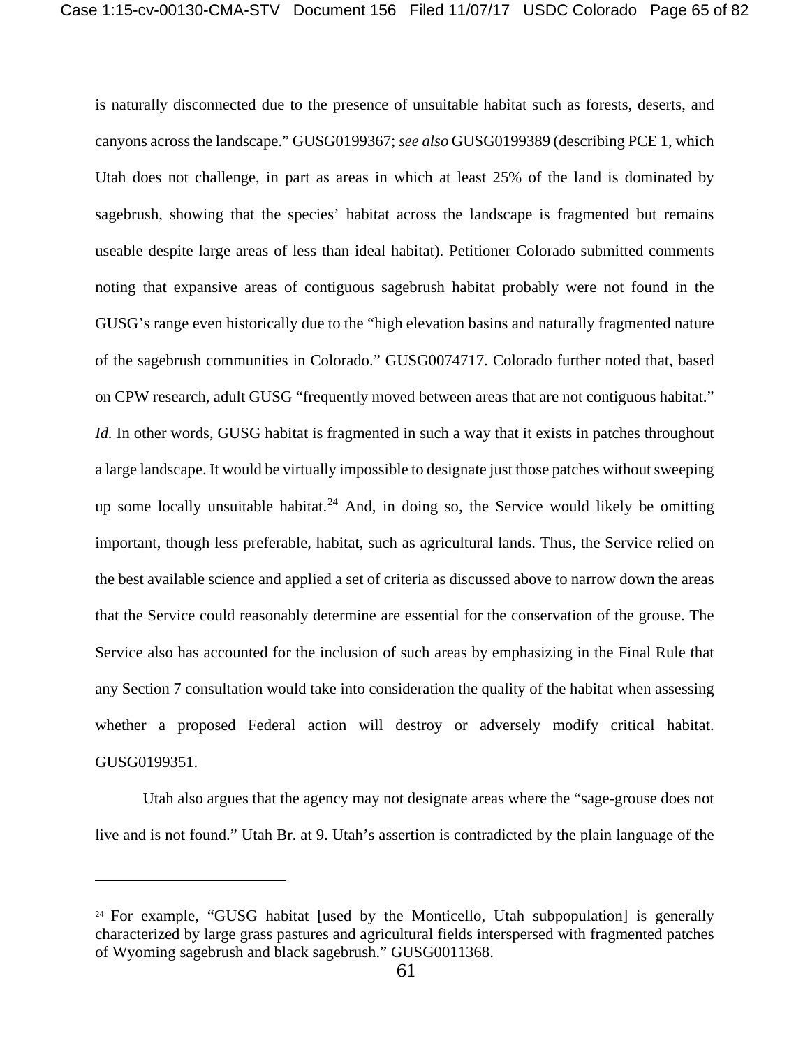is naturally disconnected due to the presence of unsuitable habitat such as forests, deserts, and canyons across the landscape." GUSG0199367; *see also* GUSG0199389 (describing PCE 1, which Utah does not challenge, in part as areas in which at least 25% of the land is dominated by sagebrush, showing that the species' habitat across the landscape is fragmented but remains useable despite large areas of less than ideal habitat). Petitioner Colorado submitted comments noting that expansive areas of contiguous sagebrush habitat probably were not found in the GUSG's range even historically due to the "high elevation basins and naturally fragmented nature of the sagebrush communities in Colorado." GUSG0074717. Colorado further noted that, based on CPW research, adult GUSG "frequently moved between areas that are not contiguous habitat." *Id.* In other words, GUSG habitat is fragmented in such a way that it exists in patches throughout a large landscape. It would be virtually impossible to designate just those patches without sweeping up some locally unsuitable habitat.<sup>[24](#page-64-0)</sup> And, in doing so, the Service would likely be omitting important, though less preferable, habitat, such as agricultural lands. Thus, the Service relied on the best available science and applied a set of criteria as discussed above to narrow down the areas that the Service could reasonably determine are essential for the conservation of the grouse. The Service also has accounted for the inclusion of such areas by emphasizing in the Final Rule that any Section 7 consultation would take into consideration the quality of the habitat when assessing whether a proposed Federal action will destroy or adversely modify critical habitat. GUSG0199351.

Utah also argues that the agency may not designate areas where the "sage-grouse does not live and is not found." Utah Br. at 9. Utah's assertion is contradicted by the plain language of the

<span id="page-64-0"></span><sup>&</sup>lt;sup>24</sup> For example, "GUSG habitat [used by the Monticello, Utah subpopulation] is generally characterized by large grass pastures and agricultural fields interspersed with fragmented patches of Wyoming sagebrush and black sagebrush." GUSG0011368.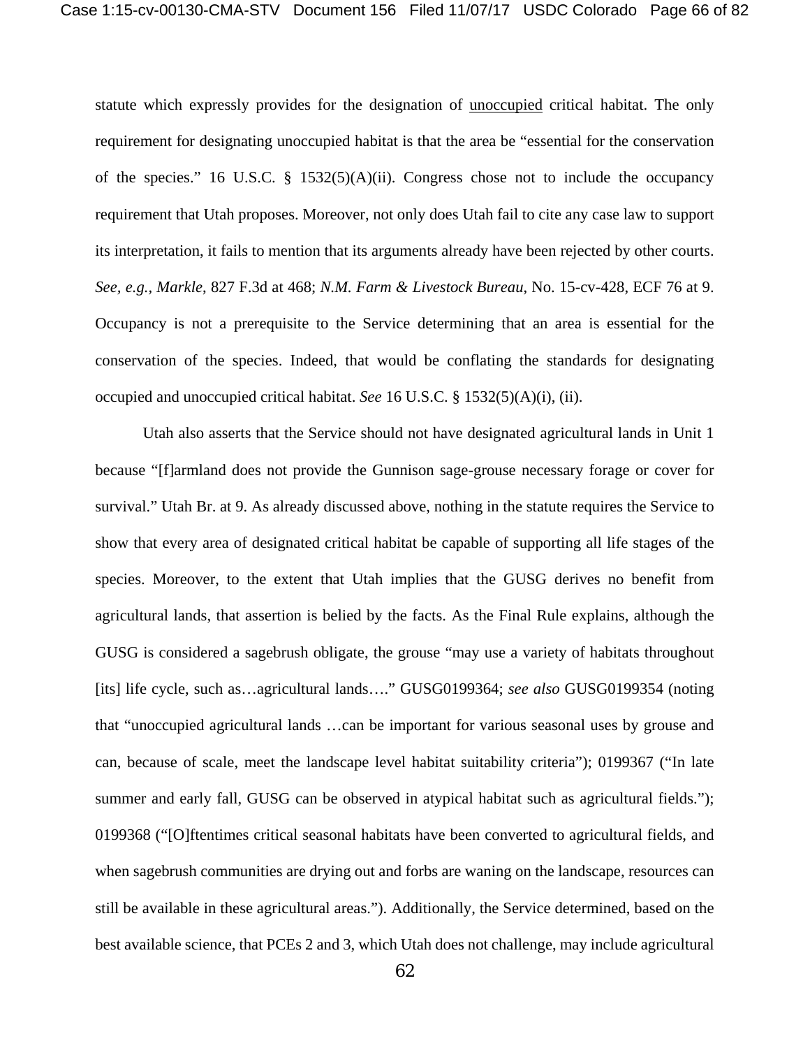statute which expressly provides for the designation of unoccupied critical habitat. The only requirement for designating unoccupied habitat is that the area be "essential for the conservation of the species." 16 U.S.C.  $\S$  1532(5)(A)(ii). Congress chose not to include the occupancy requirement that Utah proposes. Moreover, not only does Utah fail to cite any case law to support its interpretation, it fails to mention that its arguments already have been rejected by other courts. *See, e.g., Markle*, 827 F.3d at 468; *N.M. Farm & Livestock Bureau*, No. 15-cv-428, ECF 76 at 9. Occupancy is not a prerequisite to the Service determining that an area is essential for the conservation of the species. Indeed, that would be conflating the standards for designating occupied and unoccupied critical habitat. *See* 16 U.S.C. § 1532(5)(A)(i), (ii).

Utah also asserts that the Service should not have designated agricultural lands in Unit 1 because "[f]armland does not provide the Gunnison sage-grouse necessary forage or cover for survival." Utah Br. at 9. As already discussed above, nothing in the statute requires the Service to show that every area of designated critical habitat be capable of supporting all life stages of the species. Moreover, to the extent that Utah implies that the GUSG derives no benefit from agricultural lands, that assertion is belied by the facts. As the Final Rule explains, although the GUSG is considered a sagebrush obligate, the grouse "may use a variety of habitats throughout [its] life cycle, such as…agricultural lands…." GUSG0199364; *see also* GUSG0199354 (noting that "unoccupied agricultural lands …can be important for various seasonal uses by grouse and can, because of scale, meet the landscape level habitat suitability criteria"); 0199367 ("In late summer and early fall, GUSG can be observed in atypical habitat such as agricultural fields."); 0199368 ("[O]ftentimes critical seasonal habitats have been converted to agricultural fields, and when sagebrush communities are drying out and forbs are waning on the landscape, resources can still be available in these agricultural areas."). Additionally, the Service determined, based on the best available science, that PCEs 2 and 3, which Utah does not challenge, may include agricultural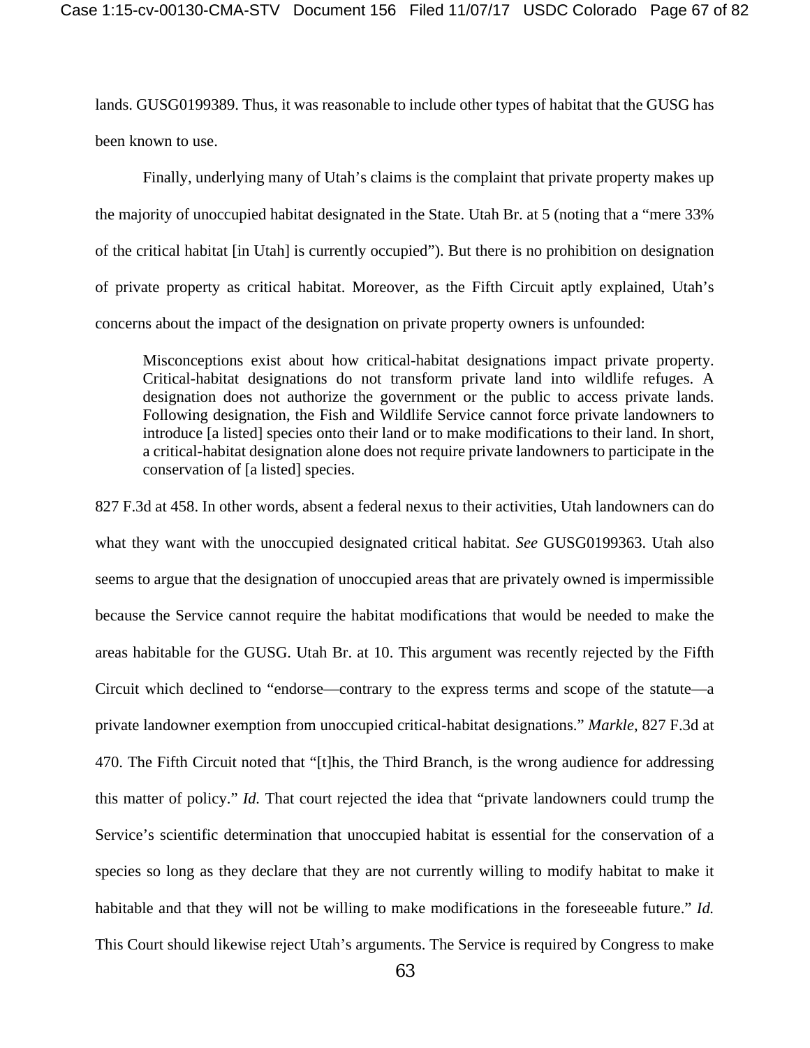lands. GUSG0199389. Thus, it was reasonable to include other types of habitat that the GUSG has been known to use.

Finally, underlying many of Utah's claims is the complaint that private property makes up the majority of unoccupied habitat designated in the State. Utah Br. at 5 (noting that a "mere 33% of the critical habitat [in Utah] is currently occupied"). But there is no prohibition on designation of private property as critical habitat. Moreover, as the Fifth Circuit aptly explained, Utah's concerns about the impact of the designation on private property owners is unfounded:

Misconceptions exist about how critical-habitat designations impact private property. Critical-habitat designations do not transform private land into wildlife refuges. A designation does not authorize the government or the public to access private lands. Following designation, the Fish and Wildlife Service cannot force private landowners to introduce [a listed] species onto their land or to make modifications to their land. In short, a critical-habitat designation alone does not require private landowners to participate in the conservation of [a listed] species.

827 F.3d at 458. In other words, absent a federal nexus to their activities, Utah landowners can do what they want with the unoccupied designated critical habitat. *See* GUSG0199363. Utah also seems to argue that the designation of unoccupied areas that are privately owned is impermissible because the Service cannot require the habitat modifications that would be needed to make the areas habitable for the GUSG. Utah Br. at 10. This argument was recently rejected by the Fifth Circuit which declined to "endorse—contrary to the express terms and scope of the statute—a private landowner exemption from unoccupied critical-habitat designations." *Markle*, 827 F.3d at 470. The Fifth Circuit noted that "[t]his, the Third Branch, is the wrong audience for addressing this matter of policy." *Id.* That court rejected the idea that "private landowners could trump the Service's scientific determination that unoccupied habitat is essential for the conservation of a species so long as they declare that they are not currently willing to modify habitat to make it habitable and that they will not be willing to make modifications in the foreseeable future." *Id.*  This Court should likewise reject Utah's arguments. The Service is required by Congress to make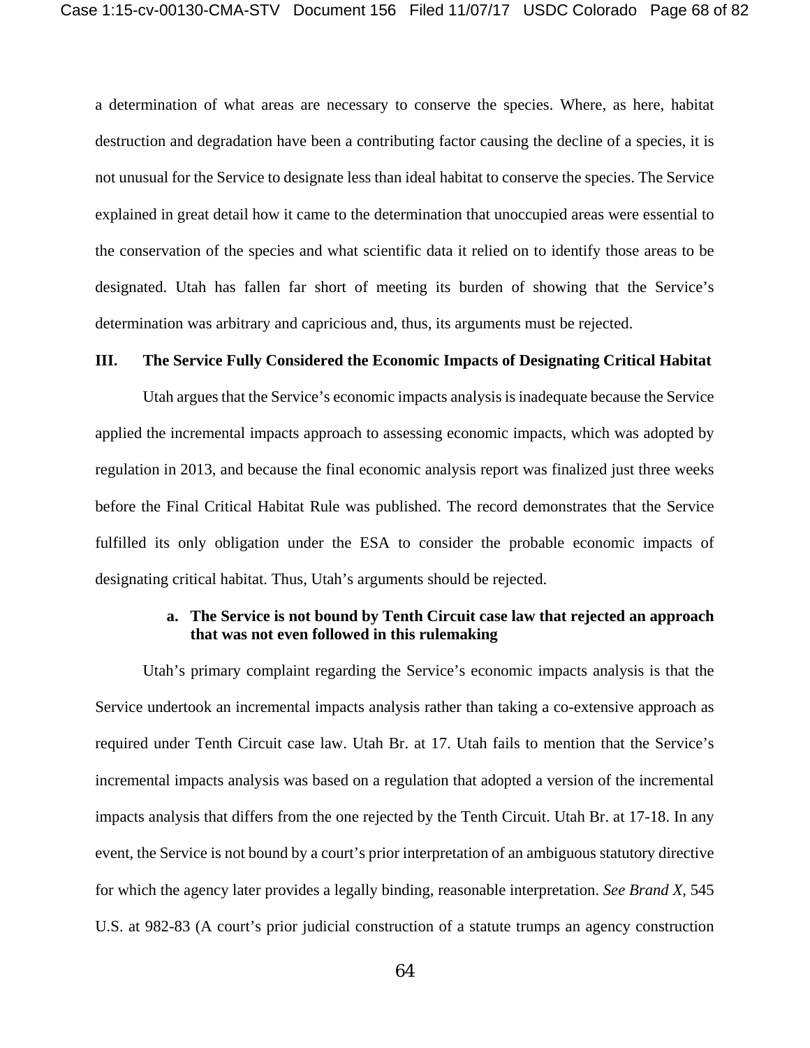a determination of what areas are necessary to conserve the species. Where, as here, habitat destruction and degradation have been a contributing factor causing the decline of a species, it is not unusual for the Service to designate less than ideal habitat to conserve the species. The Service explained in great detail how it came to the determination that unoccupied areas were essential to the conservation of the species and what scientific data it relied on to identify those areas to be designated. Utah has fallen far short of meeting its burden of showing that the Service's determination was arbitrary and capricious and, thus, its arguments must be rejected.

#### **III. The Service Fully Considered the Economic Impacts of Designating Critical Habitat**

Utah argues that the Service's economic impacts analysis is inadequate because the Service applied the incremental impacts approach to assessing economic impacts, which was adopted by regulation in 2013, and because the final economic analysis report was finalized just three weeks before the Final Critical Habitat Rule was published. The record demonstrates that the Service fulfilled its only obligation under the ESA to consider the probable economic impacts of designating critical habitat. Thus, Utah's arguments should be rejected.

## **a. The Service is not bound by Tenth Circuit case law that rejected an approach that was not even followed in this rulemaking**

Utah's primary complaint regarding the Service's economic impacts analysis is that the Service undertook an incremental impacts analysis rather than taking a co-extensive approach as required under Tenth Circuit case law. Utah Br. at 17. Utah fails to mention that the Service's incremental impacts analysis was based on a regulation that adopted a version of the incremental impacts analysis that differs from the one rejected by the Tenth Circuit. Utah Br. at 17-18. In any event, the Service is not bound by a court's prior interpretation of an ambiguous statutory directive for which the agency later provides a legally binding, reasonable interpretation. *See Brand X*, 545 U.S. at 982-83 (A court's prior judicial construction of a statute trumps an agency construction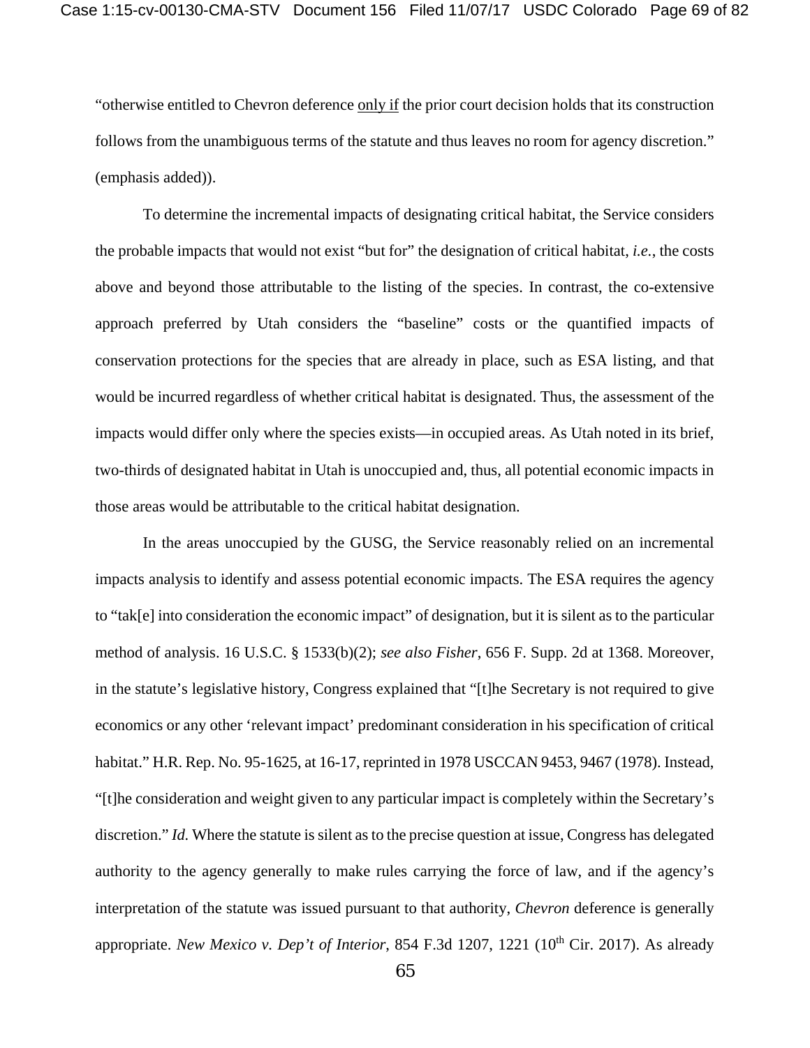"otherwise entitled to Chevron deference only if the prior court decision holds that its construction follows from the unambiguous terms of the statute and thus leaves no room for agency discretion." (emphasis added)).

To determine the incremental impacts of designating critical habitat, the Service considers the probable impacts that would not exist "but for" the designation of critical habitat, *i.e.*, the costs above and beyond those attributable to the listing of the species. In contrast, the co-extensive approach preferred by Utah considers the "baseline" costs or the quantified impacts of conservation protections for the species that are already in place, such as ESA listing, and that would be incurred regardless of whether critical habitat is designated. Thus, the assessment of the impacts would differ only where the species exists—in occupied areas. As Utah noted in its brief, two-thirds of designated habitat in Utah is unoccupied and, thus, all potential economic impacts in those areas would be attributable to the critical habitat designation.

In the areas unoccupied by the GUSG, the Service reasonably relied on an incremental impacts analysis to identify and assess potential economic impacts. The ESA requires the agency to "tak[e] into consideration the economic impact" of designation, but it is silent as to the particular method of analysis. 16 U.S.C. § 1533(b)(2); *see also Fisher*, 656 F. Supp. 2d at 1368. Moreover, in the statute's legislative history, Congress explained that "[t]he Secretary is not required to give economics or any other 'relevant impact' predominant consideration in his specification of critical habitat." H.R. Rep. No. 95-1625, at 16-17, reprinted in 1978 USCCAN 9453, 9467 (1978). Instead, "[t]he consideration and weight given to any particular impact is completely within the Secretary's discretion." *Id.* Where the statute is silent as to the precise question at issue, Congress has delegated authority to the agency generally to make rules carrying the force of law, and if the agency's interpretation of the statute was issued pursuant to that authority, *Chevron* deference is generally appropriate. *New Mexico v. Dep't of Interior*, 854 F.3d 1207, 1221 (10<sup>th</sup> Cir. 2017). As already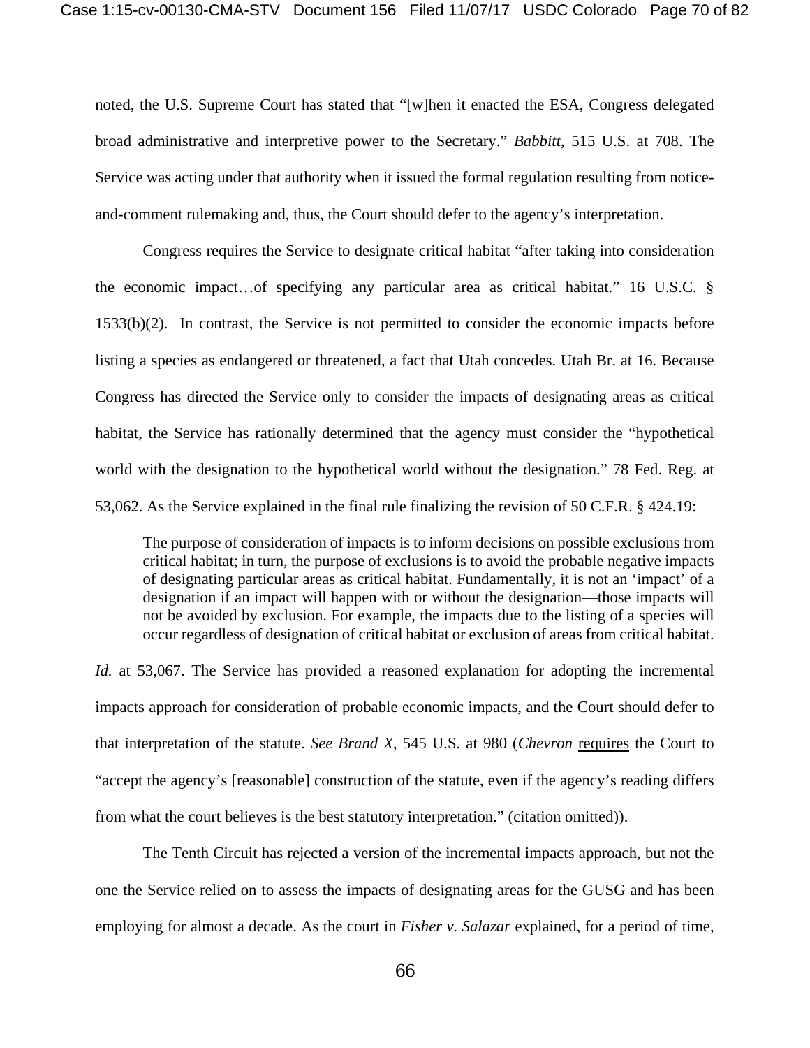noted, the U.S. Supreme Court has stated that "[w]hen it enacted the ESA, Congress delegated broad administrative and interpretive power to the Secretary." *Babbitt*, 515 U.S. at 708. The Service was acting under that authority when it issued the formal regulation resulting from noticeand-comment rulemaking and, thus, the Court should defer to the agency's interpretation.

Congress requires the Service to designate critical habitat "after taking into consideration the economic impact…of specifying any particular area as critical habitat." 16 U.S.C. § 1533(b)(2). In contrast, the Service is not permitted to consider the economic impacts before listing a species as endangered or threatened, a fact that Utah concedes. Utah Br. at 16. Because Congress has directed the Service only to consider the impacts of designating areas as critical habitat, the Service has rationally determined that the agency must consider the "hypothetical world with the designation to the hypothetical world without the designation." 78 Fed. Reg. at 53,062. As the Service explained in the final rule finalizing the revision of 50 C.F.R. § 424.19:

The purpose of consideration of impacts is to inform decisions on possible exclusions from critical habitat; in turn, the purpose of exclusions is to avoid the probable negative impacts of designating particular areas as critical habitat. Fundamentally, it is not an 'impact' of a designation if an impact will happen with or without the designation—those impacts will not be avoided by exclusion. For example, the impacts due to the listing of a species will occur regardless of designation of critical habitat or exclusion of areas from critical habitat.

*Id.* at 53,067. The Service has provided a reasoned explanation for adopting the incremental impacts approach for consideration of probable economic impacts, and the Court should defer to that interpretation of the statute. *See Brand X*, 545 U.S. at 980 (*Chevron* requires the Court to "accept the agency's [reasonable] construction of the statute, even if the agency's reading differs from what the court believes is the best statutory interpretation." (citation omitted)).

The Tenth Circuit has rejected a version of the incremental impacts approach, but not the one the Service relied on to assess the impacts of designating areas for the GUSG and has been employing for almost a decade. As the court in *Fisher v. Salazar* explained, for a period of time,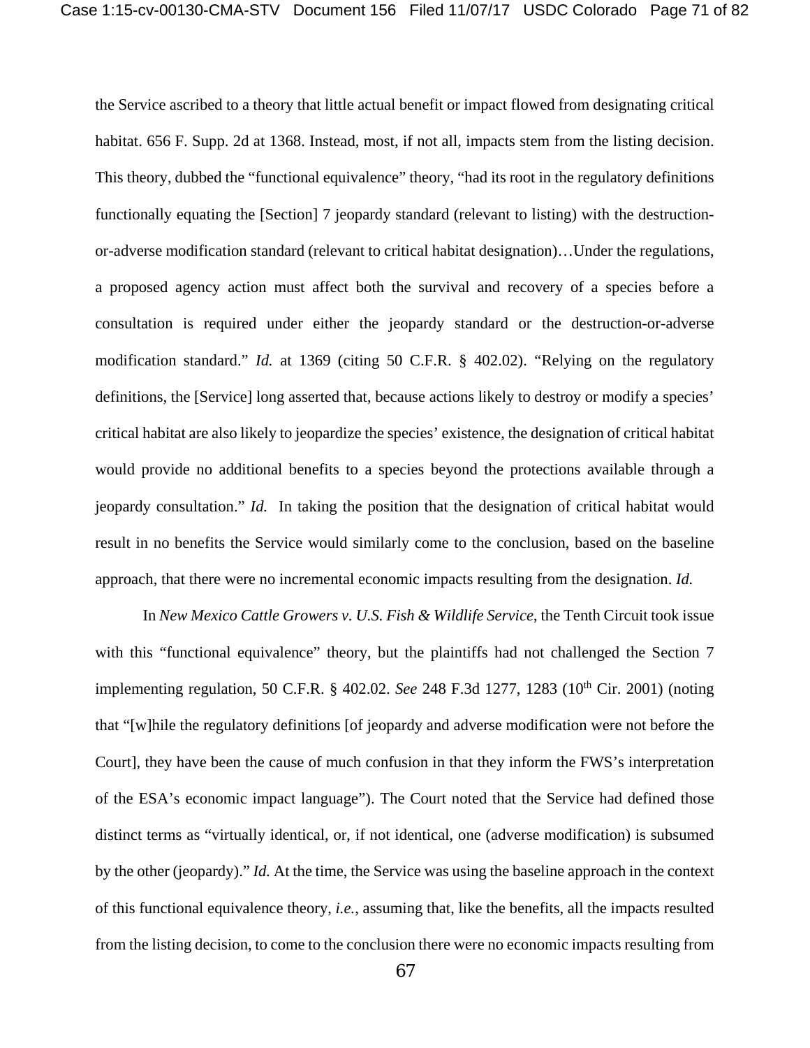the Service ascribed to a theory that little actual benefit or impact flowed from designating critical habitat. 656 F. Supp. 2d at 1368. Instead, most, if not all, impacts stem from the listing decision. This theory, dubbed the "functional equivalence" theory, "had its root in the regulatory definitions functionally equating the [Section] 7 jeopardy standard (relevant to listing) with the destructionor-adverse modification standard (relevant to critical habitat designation)…Under the regulations, a proposed agency action must affect both the survival and recovery of a species before a consultation is required under either the jeopardy standard or the destruction-or-adverse modification standard." *Id.* at 1369 (citing 50 C.F.R. § 402.02). "Relying on the regulatory definitions, the [Service] long asserted that, because actions likely to destroy or modify a species' critical habitat are also likely to jeopardize the species' existence, the designation of critical habitat would provide no additional benefits to a species beyond the protections available through a jeopardy consultation." *Id.* In taking the position that the designation of critical habitat would result in no benefits the Service would similarly come to the conclusion, based on the baseline approach, that there were no incremental economic impacts resulting from the designation. *Id.* 

In *New Mexico Cattle Growers v. U.S. Fish & Wildlife Service*, the Tenth Circuit took issue with this "functional equivalence" theory, but the plaintiffs had not challenged the Section 7 implementing regulation, 50 C.F.R. § 402.02. *See* 248 F.3d 1277, 1283 (10<sup>th</sup> Cir. 2001) (noting that "[w]hile the regulatory definitions [of jeopardy and adverse modification were not before the Court], they have been the cause of much confusion in that they inform the FWS's interpretation of the ESA's economic impact language"). The Court noted that the Service had defined those distinct terms as "virtually identical, or, if not identical, one (adverse modification) is subsumed by the other (jeopardy)." *Id.* At the time, the Service was using the baseline approach in the context of this functional equivalence theory, *i.e.*, assuming that, like the benefits, all the impacts resulted from the listing decision, to come to the conclusion there were no economic impacts resulting from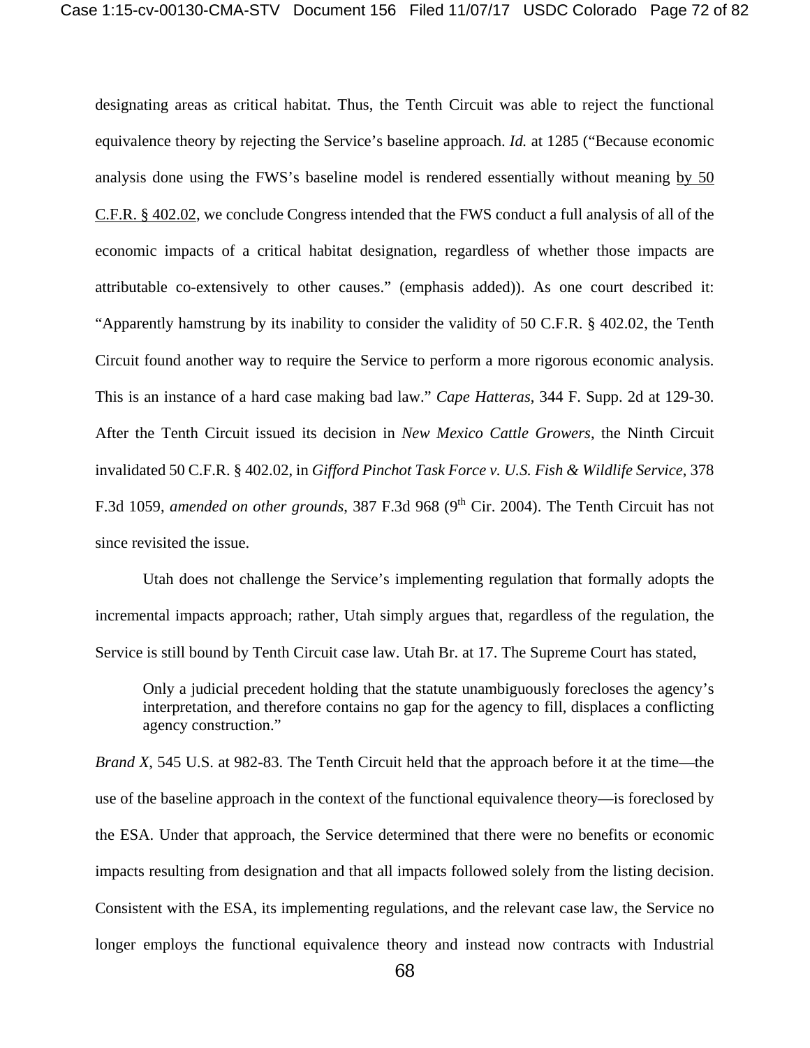designating areas as critical habitat. Thus, the Tenth Circuit was able to reject the functional equivalence theory by rejecting the Service's baseline approach. *Id.* at 1285 ("Because economic analysis done using the FWS's baseline model is rendered essentially without meaning by 50 C.F.R. § 402.02, we conclude Congress intended that the FWS conduct a full analysis of all of the economic impacts of a critical habitat designation, regardless of whether those impacts are attributable co-extensively to other causes." (emphasis added)). As one court described it: "Apparently hamstrung by its inability to consider the validity of 50 C.F.R. § 402.02, the Tenth Circuit found another way to require the Service to perform a more rigorous economic analysis. This is an instance of a hard case making bad law." *Cape Hatteras*, 344 F. Supp. 2d at 129-30. After the Tenth Circuit issued its decision in *New Mexico Cattle Growers*, the Ninth Circuit invalidated 50 C.F.R. § 402.02, in *Gifford Pinchot Task Force v. U.S. Fish & Wildlife Service*, 378 F.3d 1059, *amended on other grounds*, 387 F.3d 968 (9<sup>th</sup> Cir. 2004). The Tenth Circuit has not since revisited the issue.

Utah does not challenge the Service's implementing regulation that formally adopts the incremental impacts approach; rather, Utah simply argues that, regardless of the regulation, the Service is still bound by Tenth Circuit case law. Utah Br. at 17. The Supreme Court has stated,

Only a judicial precedent holding that the statute unambiguously forecloses the agency's interpretation, and therefore contains no gap for the agency to fill, displaces a conflicting agency construction."

*Brand X*, 545 U.S. at 982-83. The Tenth Circuit held that the approach before it at the time—the use of the baseline approach in the context of the functional equivalence theory—is foreclosed by the ESA. Under that approach, the Service determined that there were no benefits or economic impacts resulting from designation and that all impacts followed solely from the listing decision. Consistent with the ESA, its implementing regulations, and the relevant case law, the Service no longer employs the functional equivalence theory and instead now contracts with Industrial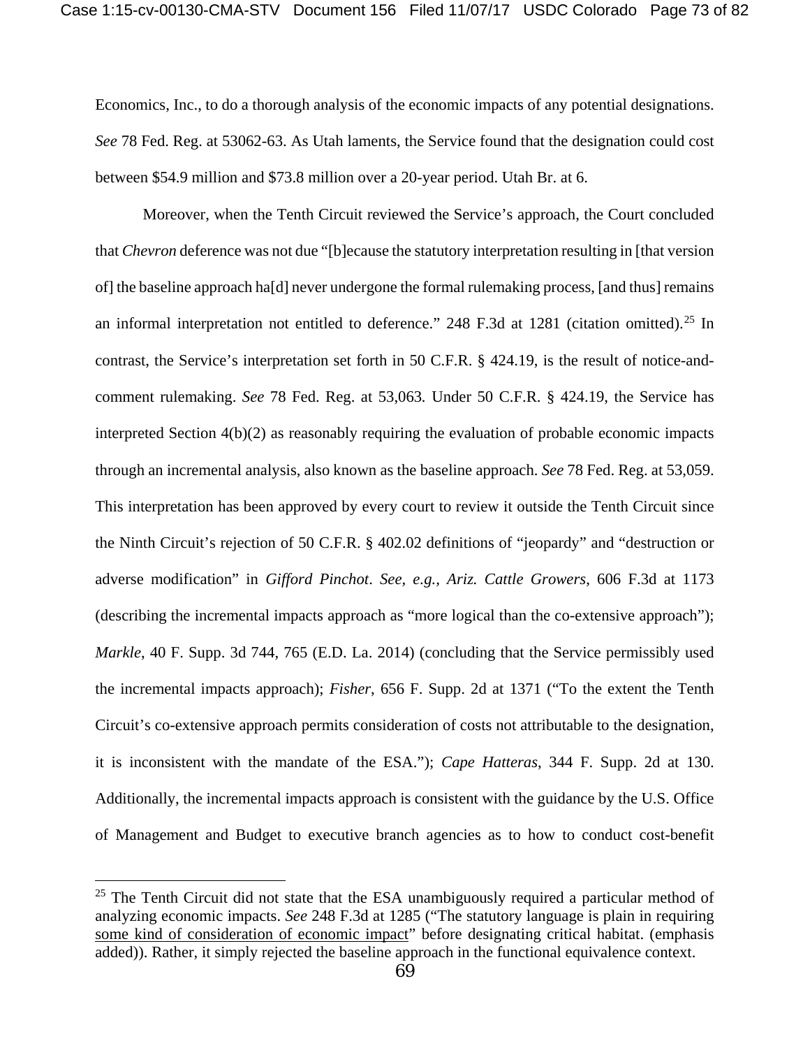Economics, Inc., to do a thorough analysis of the economic impacts of any potential designations. *See* 78 Fed. Reg. at 53062-63. As Utah laments, the Service found that the designation could cost between \$54.9 million and \$73.8 million over a 20-year period. Utah Br. at 6.

Moreover, when the Tenth Circuit reviewed the Service's approach, the Court concluded that *Chevron* deference was not due "[b]ecause the statutory interpretation resulting in [that version of] the baseline approach ha[d] never undergone the formal rulemaking process, [and thus] remains an informal interpretation not entitled to deference." 248 F.3d at 1281 (citation omitted).<sup>[25](#page-72-0)</sup> In contrast, the Service's interpretation set forth in 50 C.F.R. § 424.19, is the result of notice-andcomment rulemaking. *See* 78 Fed. Reg. at 53,063*.* Under 50 C.F.R. § 424.19, the Service has interpreted Section  $4(b)(2)$  as reasonably requiring the evaluation of probable economic impacts through an incremental analysis, also known as the baseline approach. *See* 78 Fed. Reg. at 53,059. This interpretation has been approved by every court to review it outside the Tenth Circuit since the Ninth Circuit's rejection of 50 C.F.R. § 402.02 definitions of "jeopardy" and "destruction or adverse modification" in *Gifford Pinchot*. *See, e.g., Ariz. Cattle Growers*, 606 F.3d at 1173 (describing the incremental impacts approach as "more logical than the co-extensive approach"); *Markle*, 40 F. Supp. 3d 744, 765 (E.D. La. 2014) (concluding that the Service permissibly used the incremental impacts approach); *Fisher*, 656 F. Supp. 2d at 1371 ("To the extent the Tenth Circuit's co-extensive approach permits consideration of costs not attributable to the designation, it is inconsistent with the mandate of the ESA."); *Cape Hatteras*, 344 F. Supp. 2d at 130. Additionally, the incremental impacts approach is consistent with the guidance by the U.S. Office of Management and Budget to executive branch agencies as to how to conduct cost-benefit

 $\overline{a}$ 

<span id="page-72-0"></span> $25$  The Tenth Circuit did not state that the ESA unambiguously required a particular method of analyzing economic impacts. *See* 248 F.3d at 1285 ("The statutory language is plain in requiring some kind of consideration of economic impact" before designating critical habitat. (emphasis added)). Rather, it simply rejected the baseline approach in the functional equivalence context.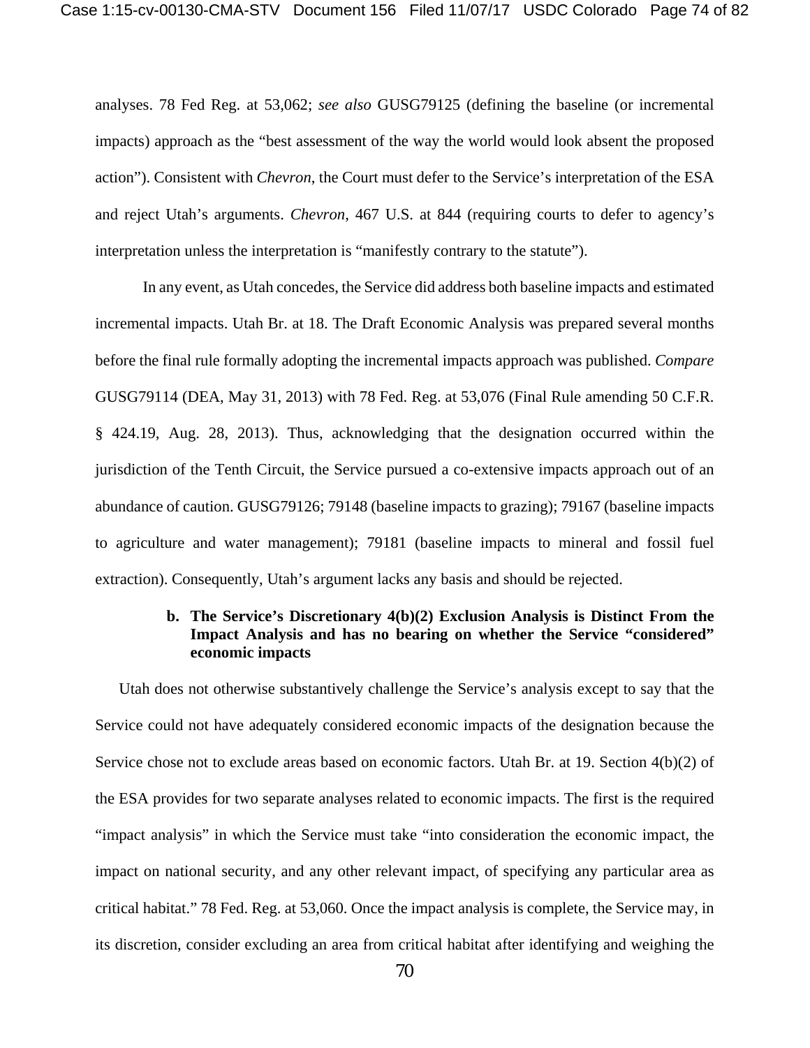analyses. 78 Fed Reg. at 53,062; *see also* GUSG79125 (defining the baseline (or incremental impacts) approach as the "best assessment of the way the world would look absent the proposed action"). Consistent with *Chevron*, the Court must defer to the Service's interpretation of the ESA and reject Utah's arguments. *Chevron*, 467 U.S. at 844 (requiring courts to defer to agency's interpretation unless the interpretation is "manifestly contrary to the statute").

In any event, as Utah concedes, the Service did address both baseline impacts and estimated incremental impacts. Utah Br. at 18. The Draft Economic Analysis was prepared several months before the final rule formally adopting the incremental impacts approach was published. *Compare*  GUSG79114 (DEA, May 31, 2013) with 78 Fed. Reg. at 53,076 (Final Rule amending 50 C.F.R. § 424.19, Aug. 28, 2013). Thus, acknowledging that the designation occurred within the jurisdiction of the Tenth Circuit, the Service pursued a co-extensive impacts approach out of an abundance of caution. GUSG79126; 79148 (baseline impacts to grazing); 79167 (baseline impacts to agriculture and water management); 79181 (baseline impacts to mineral and fossil fuel extraction). Consequently, Utah's argument lacks any basis and should be rejected.

## **b. The Service's Discretionary 4(b)(2) Exclusion Analysis is Distinct From the Impact Analysis and has no bearing on whether the Service "considered" economic impacts**

Utah does not otherwise substantively challenge the Service's analysis except to say that the Service could not have adequately considered economic impacts of the designation because the Service chose not to exclude areas based on economic factors. Utah Br. at 19. Section 4(b)(2) of the ESA provides for two separate analyses related to economic impacts. The first is the required "impact analysis" in which the Service must take "into consideration the economic impact, the impact on national security, and any other relevant impact, of specifying any particular area as critical habitat." 78 Fed. Reg. at 53,060. Once the impact analysis is complete, the Service may, in its discretion, consider excluding an area from critical habitat after identifying and weighing the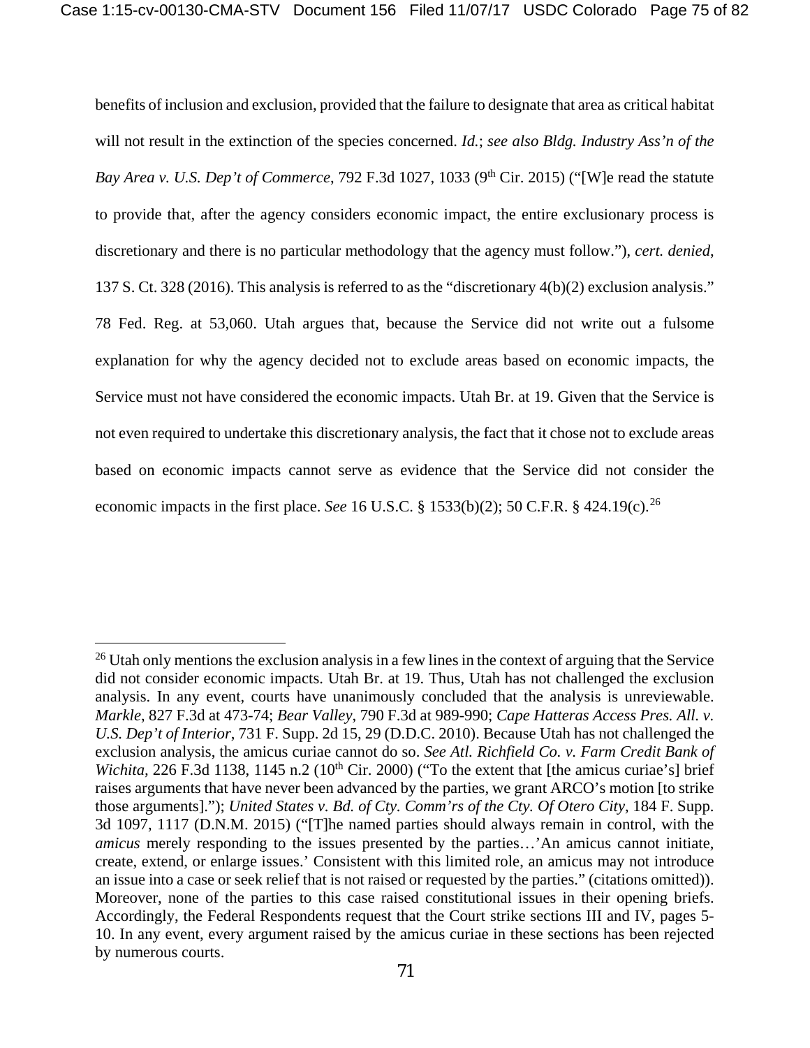benefits of inclusion and exclusion, provided that the failure to designate that area as critical habitat will not result in the extinction of the species concerned. *Id.*; *see also Bldg. Industry Ass'n of the Bay Area v. U.S. Dep't of Commerce*, 792 F.3d 1027, 1033 (9<sup>th</sup> Cir. 2015) ("[W]e read the statute to provide that, after the agency considers economic impact, the entire exclusionary process is discretionary and there is no particular methodology that the agency must follow."), *cert. denied*, 137 S. Ct. 328 (2016). This analysis is referred to as the "discretionary 4(b)(2) exclusion analysis." 78 Fed. Reg. at 53,060. Utah argues that, because the Service did not write out a fulsome explanation for why the agency decided not to exclude areas based on economic impacts, the Service must not have considered the economic impacts. Utah Br. at 19. Given that the Service is not even required to undertake this discretionary analysis, the fact that it chose not to exclude areas based on economic impacts cannot serve as evidence that the Service did not consider the economic impacts in the first place. *See* 16 U.S.C. § 1533(b)(2); 50 C.F.R. § 424.19(c).[26](#page-74-0)

 $\overline{a}$ 

<span id="page-74-0"></span><sup>&</sup>lt;sup>26</sup> Utah only mentions the exclusion analysis in a few lines in the context of arguing that the Service did not consider economic impacts. Utah Br. at 19. Thus, Utah has not challenged the exclusion analysis. In any event, courts have unanimously concluded that the analysis is unreviewable. *Markle*, 827 F.3d at 473-74; *Bear Valley*, 790 F.3d at 989-990; *Cape Hatteras Access Pres. All. v. U.S. Dep't of Interior*, 731 F. Supp. 2d 15, 29 (D.D.C. 2010). Because Utah has not challenged the exclusion analysis, the amicus curiae cannot do so. *See Atl. Richfield Co. v. Farm Credit Bank of Wichita,* 226 F.3d 1138, 1145 n.2 (10<sup>th</sup> Cir. 2000) ("To the extent that [the amicus curiae's] brief raises arguments that have never been advanced by the parties, we grant ARCO's motion [to strike those arguments]."); *United States v. Bd. of Cty. Comm'rs of the Cty. Of Otero City*, 184 F. Supp. 3d 1097, 1117 (D.N.M. 2015) ("[T]he named parties should always remain in control, with the *amicus* merely responding to the issues presented by the parties…'An amicus cannot initiate, create, extend, or enlarge issues.' Consistent with this limited role, an amicus may not introduce an issue into a case or seek relief that is not raised or requested by the parties." (citations omitted)). Moreover, none of the parties to this case raised constitutional issues in their opening briefs. Accordingly, the Federal Respondents request that the Court strike sections III and IV, pages 5- 10. In any event, every argument raised by the amicus curiae in these sections has been rejected by numerous courts.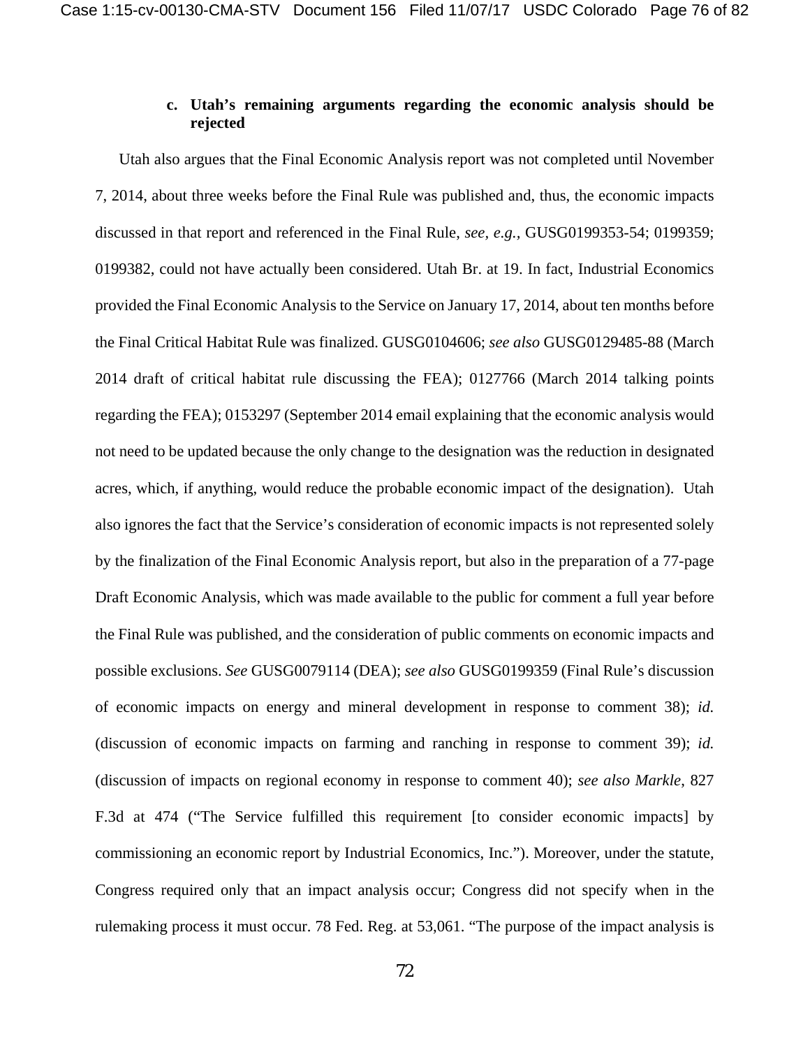## **c. Utah's remaining arguments regarding the economic analysis should be rejected**

Utah also argues that the Final Economic Analysis report was not completed until November 7, 2014, about three weeks before the Final Rule was published and, thus, the economic impacts discussed in that report and referenced in the Final Rule, *see, e.g.,* GUSG0199353-54; 0199359; 0199382, could not have actually been considered. Utah Br. at 19. In fact, Industrial Economics provided the Final Economic Analysis to the Service on January 17, 2014, about ten months before the Final Critical Habitat Rule was finalized. GUSG0104606; *see also* GUSG0129485-88 (March 2014 draft of critical habitat rule discussing the FEA); 0127766 (March 2014 talking points regarding the FEA); 0153297 (September 2014 email explaining that the economic analysis would not need to be updated because the only change to the designation was the reduction in designated acres, which, if anything, would reduce the probable economic impact of the designation). Utah also ignores the fact that the Service's consideration of economic impacts is not represented solely by the finalization of the Final Economic Analysis report, but also in the preparation of a 77-page Draft Economic Analysis, which was made available to the public for comment a full year before the Final Rule was published, and the consideration of public comments on economic impacts and possible exclusions. *See* GUSG0079114 (DEA); *see also* GUSG0199359 (Final Rule's discussion of economic impacts on energy and mineral development in response to comment 38); *id.*  (discussion of economic impacts on farming and ranching in response to comment 39); *id.*  (discussion of impacts on regional economy in response to comment 40); *see also Markle*, 827 F.3d at 474 ("The Service fulfilled this requirement [to consider economic impacts] by commissioning an economic report by Industrial Economics, Inc."). Moreover, under the statute, Congress required only that an impact analysis occur; Congress did not specify when in the rulemaking process it must occur. 78 Fed. Reg. at 53,061. "The purpose of the impact analysis is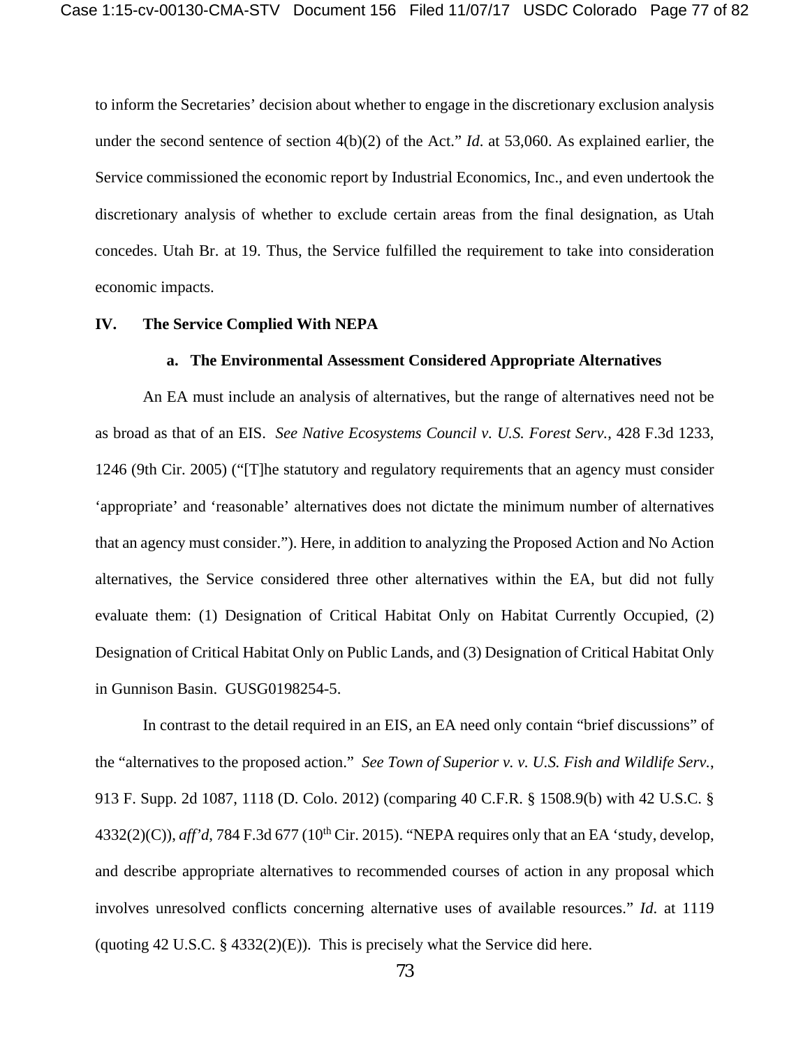to inform the Secretaries' decision about whether to engage in the discretionary exclusion analysis under the second sentence of section 4(b)(2) of the Act." *Id*. at 53,060. As explained earlier, the Service commissioned the economic report by Industrial Economics, Inc., and even undertook the discretionary analysis of whether to exclude certain areas from the final designation, as Utah concedes. Utah Br. at 19. Thus, the Service fulfilled the requirement to take into consideration economic impacts.

### **IV. The Service Complied With NEPA**

#### **a. The Environmental Assessment Considered Appropriate Alternatives**

An EA must include an analysis of alternatives, but the range of alternatives need not be as broad as that of an EIS. *See Native Ecosystems Council v. U.S. Forest Serv.*, 428 F.3d 1233, 1246 (9th Cir. 2005) ("[T]he statutory and regulatory requirements that an agency must consider 'appropriate' and 'reasonable' alternatives does not dictate the minimum number of alternatives that an agency must consider."). Here, in addition to analyzing the Proposed Action and No Action alternatives, the Service considered three other alternatives within the EA, but did not fully evaluate them: (1) Designation of Critical Habitat Only on Habitat Currently Occupied, (2) Designation of Critical Habitat Only on Public Lands, and (3) Designation of Critical Habitat Only in Gunnison Basin. GUSG0198254-5.

In contrast to the detail required in an EIS, an EA need only contain "brief discussions" of the "alternatives to the proposed action." *See Town of Superior v. v. U.S. Fish and Wildlife Serv.*, 913 F. Supp. 2d 1087, 1118 (D. Colo. 2012) (comparing 40 C.F.R. § 1508.9(b) with 42 U.S.C. §  $4332(2)(C)$ ), *aff'd*, 784 F.3d 677 (10<sup>th</sup> Cir. 2015). "NEPA requires only that an EA 'study, develop, and describe appropriate alternatives to recommended courses of action in any proposal which involves unresolved conflicts concerning alternative uses of available resources." *Id*. at 1119 (quoting 42 U.S.C.  $\S$  4332(2)(E)). This is precisely what the Service did here.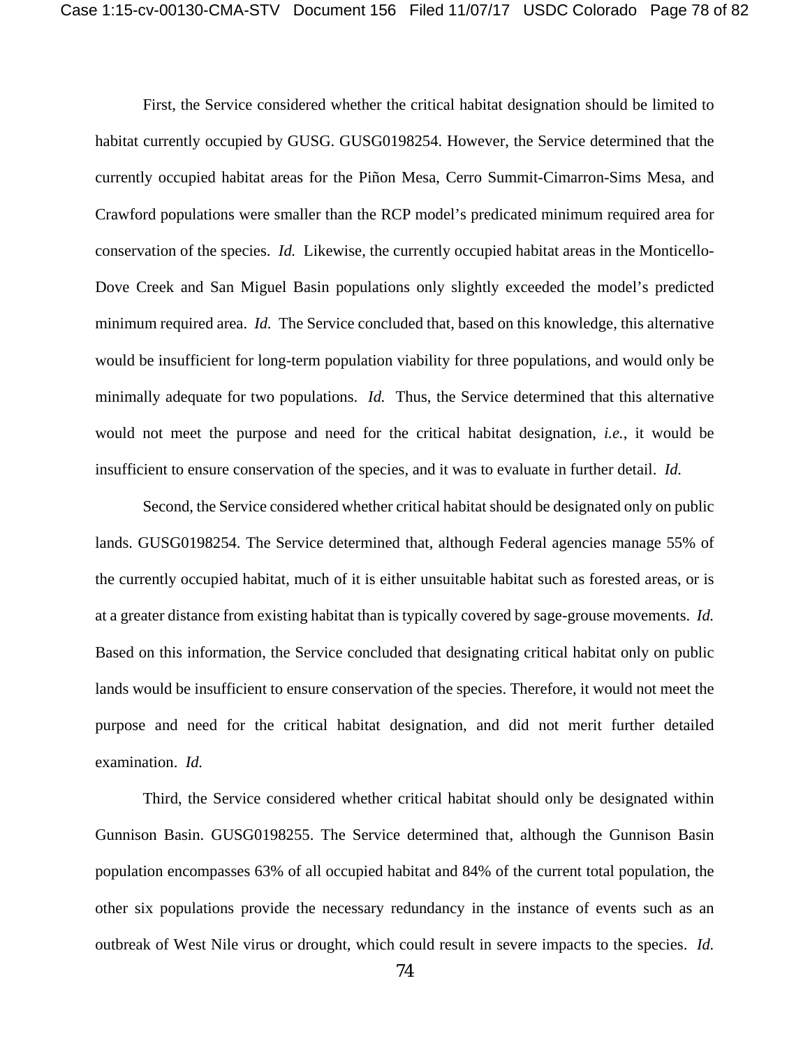First, the Service considered whether the critical habitat designation should be limited to habitat currently occupied by GUSG. GUSG0198254. However, the Service determined that the currently occupied habitat areas for the Piñon Mesa, Cerro Summit-Cimarron-Sims Mesa, and Crawford populations were smaller than the RCP model's predicated minimum required area for conservation of the species. *Id.* Likewise, the currently occupied habitat areas in the Monticello-Dove Creek and San Miguel Basin populations only slightly exceeded the model's predicted minimum required area. *Id.* The Service concluded that, based on this knowledge, this alternative would be insufficient for long-term population viability for three populations, and would only be minimally adequate for two populations. *Id.* Thus, the Service determined that this alternative would not meet the purpose and need for the critical habitat designation, *i.e.*, it would be insufficient to ensure conservation of the species, and it was to evaluate in further detail. *Id.*

Second, the Service considered whether critical habitat should be designated only on public lands. GUSG0198254. The Service determined that, although Federal agencies manage 55% of the currently occupied habitat, much of it is either unsuitable habitat such as forested areas, or is at a greater distance from existing habitat than is typically covered by sage-grouse movements. *Id.* Based on this information, the Service concluded that designating critical habitat only on public lands would be insufficient to ensure conservation of the species. Therefore, it would not meet the purpose and need for the critical habitat designation, and did not merit further detailed examination. *Id.*

Third, the Service considered whether critical habitat should only be designated within Gunnison Basin. GUSG0198255. The Service determined that, although the Gunnison Basin population encompasses 63% of all occupied habitat and 84% of the current total population, the other six populations provide the necessary redundancy in the instance of events such as an outbreak of West Nile virus or drought, which could result in severe impacts to the species. *Id.*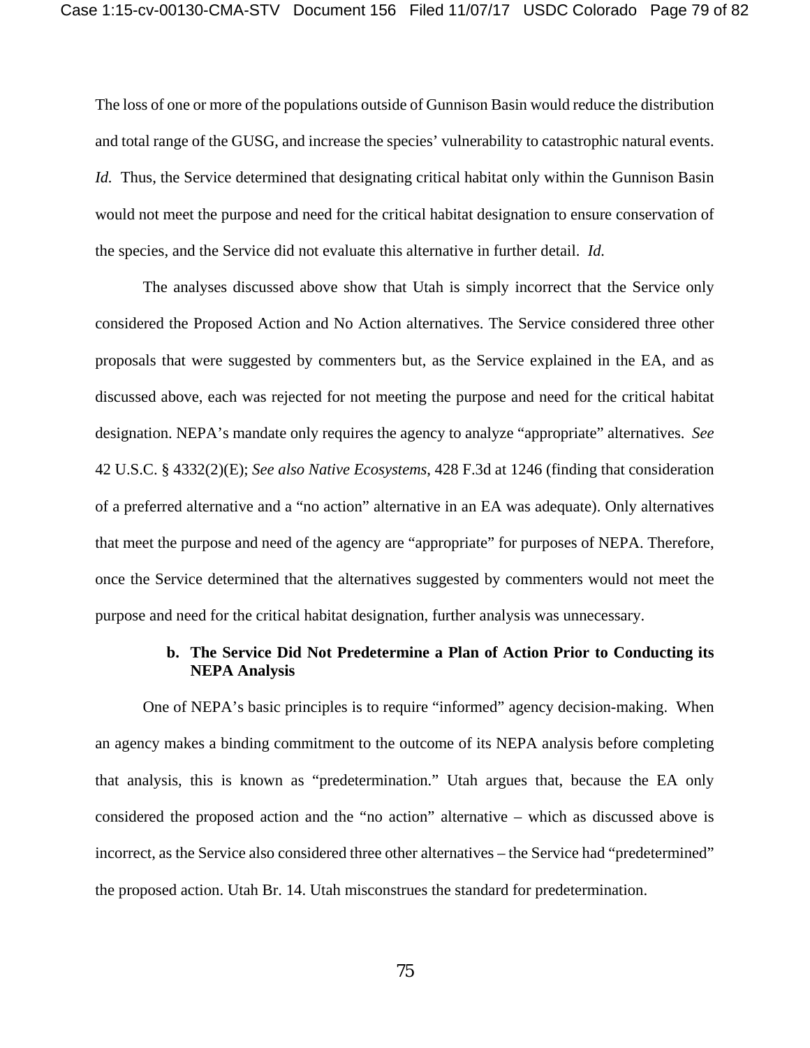The loss of one or more of the populations outside of Gunnison Basin would reduce the distribution and total range of the GUSG, and increase the species' vulnerability to catastrophic natural events. *Id.* Thus, the Service determined that designating critical habitat only within the Gunnison Basin would not meet the purpose and need for the critical habitat designation to ensure conservation of the species, and the Service did not evaluate this alternative in further detail. *Id.*

The analyses discussed above show that Utah is simply incorrect that the Service only considered the Proposed Action and No Action alternatives. The Service considered three other proposals that were suggested by commenters but, as the Service explained in the EA, and as discussed above, each was rejected for not meeting the purpose and need for the critical habitat designation. NEPA's mandate only requires the agency to analyze "appropriate" alternatives. *See*  42 U.S.C. § 4332(2)(E); *See also Native Ecosystems*, 428 F.3d at 1246 (finding that consideration of a preferred alternative and a "no action" alternative in an EA was adequate). Only alternatives that meet the purpose and need of the agency are "appropriate" for purposes of NEPA. Therefore, once the Service determined that the alternatives suggested by commenters would not meet the purpose and need for the critical habitat designation, further analysis was unnecessary.

## **b. The Service Did Not Predetermine a Plan of Action Prior to Conducting its NEPA Analysis**

One of NEPA's basic principles is to require "informed" agency decision-making. When an agency makes a binding commitment to the outcome of its NEPA analysis before completing that analysis, this is known as "predetermination." Utah argues that, because the EA only considered the proposed action and the "no action" alternative – which as discussed above is incorrect, as the Service also considered three other alternatives – the Service had "predetermined" the proposed action. Utah Br. 14. Utah misconstrues the standard for predetermination.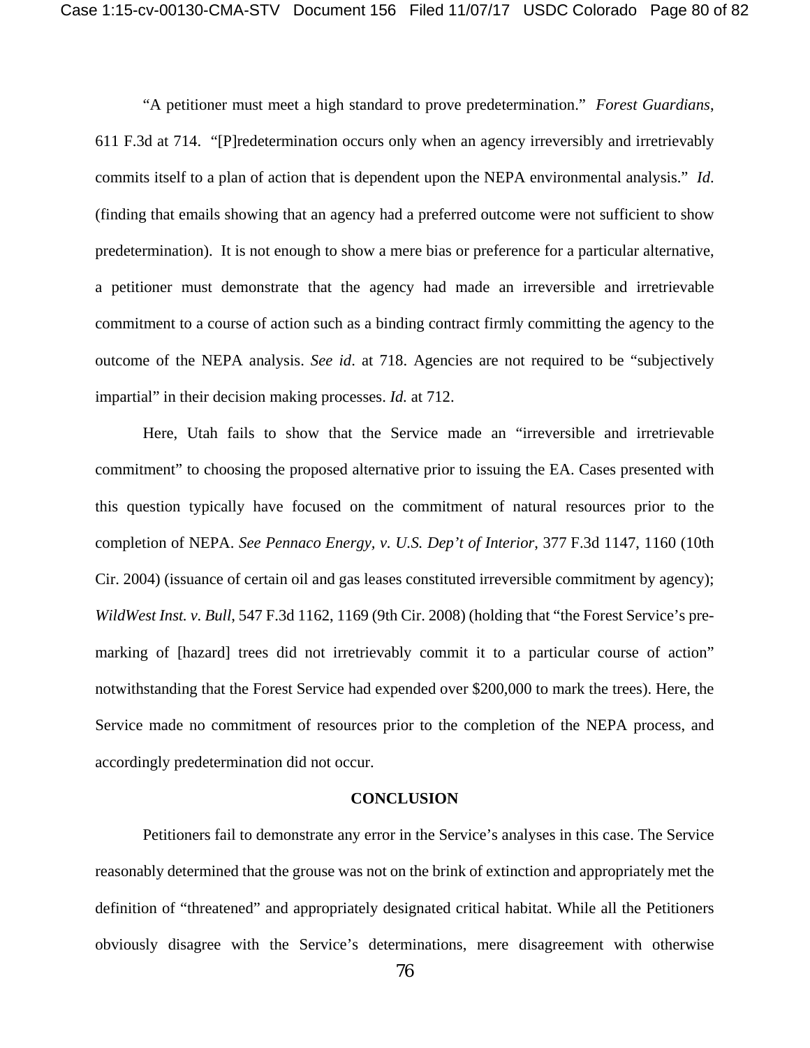"A petitioner must meet a high standard to prove predetermination." *Forest Guardians*, 611 F.3d at 714. "[P]redetermination occurs only when an agency irreversibly and irretrievably commits itself to a plan of action that is dependent upon the NEPA environmental analysis." *Id*. (finding that emails showing that an agency had a preferred outcome were not sufficient to show predetermination). It is not enough to show a mere bias or preference for a particular alternative, a petitioner must demonstrate that the agency had made an irreversible and irretrievable commitment to a course of action such as a binding contract firmly committing the agency to the outcome of the NEPA analysis. *See id*. at 718. Agencies are not required to be "subjectively impartial" in their decision making processes. *Id.* at 712.

Here, Utah fails to show that the Service made an "irreversible and irretrievable commitment" to choosing the proposed alternative prior to issuing the EA. Cases presented with this question typically have focused on the commitment of natural resources prior to the completion of NEPA. *See Pennaco Energy, v. U.S. Dep't of Interior*, 377 F.3d 1147, 1160 (10th Cir. 2004) (issuance of certain oil and gas leases constituted irreversible commitment by agency); *WildWest Inst. v. Bull*, 547 F.3d 1162, 1169 (9th Cir. 2008) (holding that "the Forest Service's premarking of [hazard] trees did not irretrievably commit it to a particular course of action" notwithstanding that the Forest Service had expended over \$200,000 to mark the trees). Here, the Service made no commitment of resources prior to the completion of the NEPA process, and accordingly predetermination did not occur.

#### **CONCLUSION**

Petitioners fail to demonstrate any error in the Service's analyses in this case. The Service reasonably determined that the grouse was not on the brink of extinction and appropriately met the definition of "threatened" and appropriately designated critical habitat. While all the Petitioners obviously disagree with the Service's determinations, mere disagreement with otherwise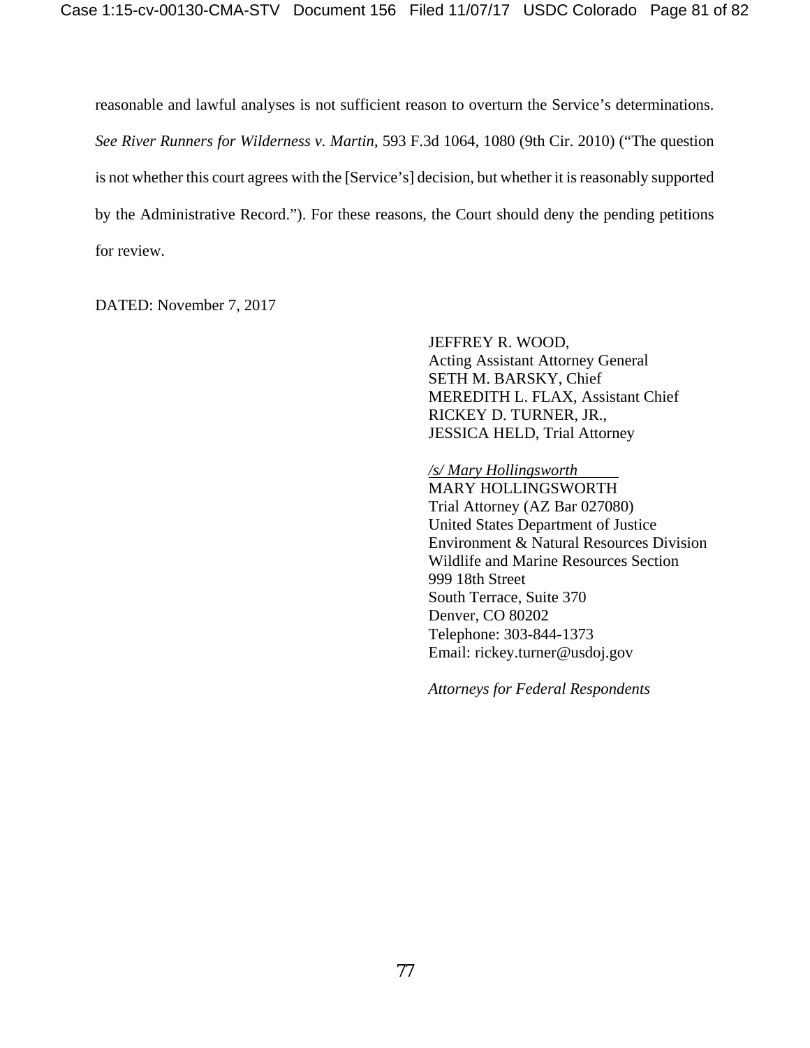reasonable and lawful analyses is not sufficient reason to overturn the Service's determinations. *See River Runners for Wilderness v. Martin*, 593 F.3d 1064, 1080 (9th Cir. 2010) ("The question is not whether this court agrees with the [Service's] decision, but whether it is reasonably supported by the Administrative Record."). For these reasons, the Court should deny the pending petitions for review.

DATED: November 7, 2017

JEFFREY R. WOOD, Acting Assistant Attorney General SETH M. BARSKY, Chief MEREDITH L. FLAX, Assistant Chief RICKEY D. TURNER, JR., JESSICA HELD, Trial Attorney

*/s/ Mary Hollingsworth*

MARY HOLLINGSWORTH Trial Attorney (AZ Bar 027080) United States Department of Justice Environment & Natural Resources Division Wildlife and Marine Resources Section 999 18th Street South Terrace, Suite 370 Denver, CO 80202 Telephone: 303-844-1373 Email: rickey.turner@usdoj.gov

*Attorneys for Federal Respondents*